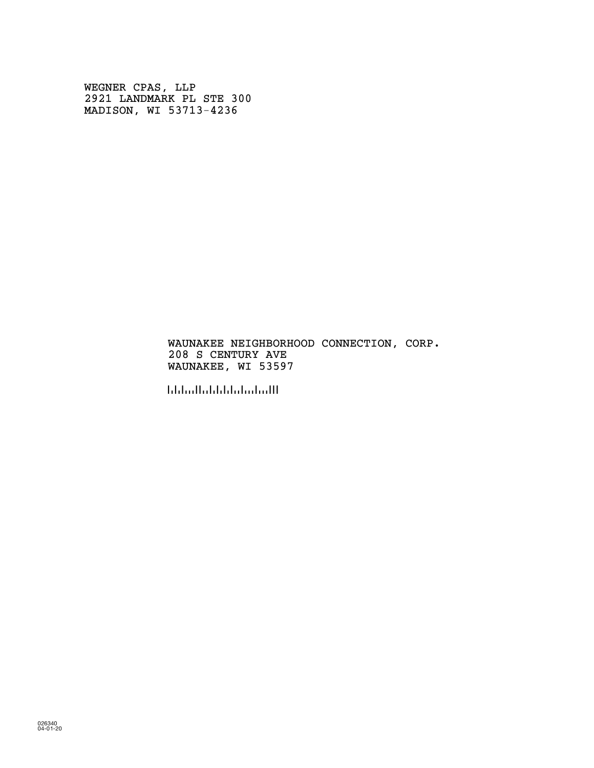WEGNER CPAS, LLP 2921 LANDMARK PL STE 300 MADISON, WI 53713-4236

### WAUNAKEE NEIGHBORHOOD CONNECTION, CORP. 208 S CENTURY AVE WAUNAKEE, WI 53597

!535971!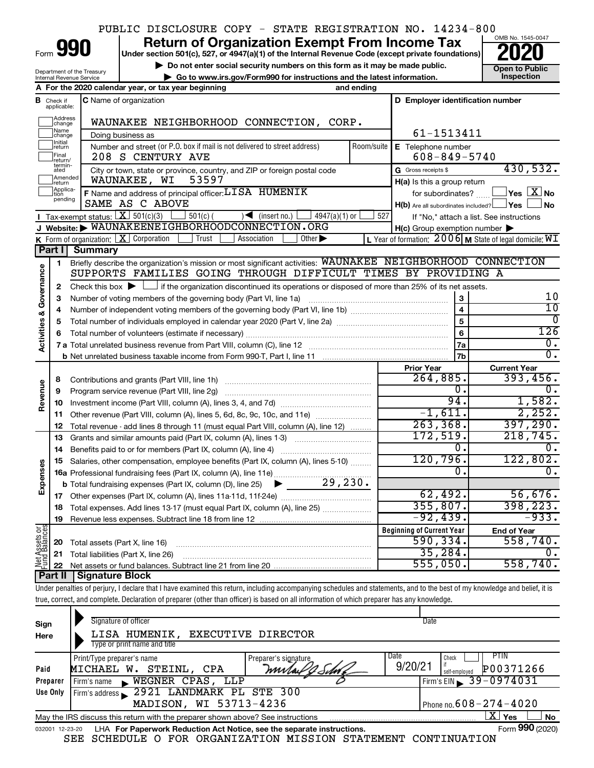## PUBLIC DISCLOSURE COPY - STATE REGISTRATION NO. 14234-800

Form

Department of the Treasury Internal Revenue Service

# **990** Return of Organization Exempt From Income Tax <br>
Under section 501(c), 527, or 4947(a)(1) of the Internal Revenue Code (except private foundations)<br> **PO20**

**but the Social security numbers on this form as it may be made public.** The only one to Public **Depending to Public and the latest information.** This pection **| Go to www.irs.gov/Form990 for instructions and the latest information. Inspection**



|                                |                               | A For the 2020 calendar year, or tax year beginning                                                                                         | and ending     |                                                     |                                                         |
|--------------------------------|-------------------------------|---------------------------------------------------------------------------------------------------------------------------------------------|----------------|-----------------------------------------------------|---------------------------------------------------------|
|                                | <b>B</b> Check if applicable: | <b>C</b> Name of organization                                                                                                               |                | D Employer identification number                    |                                                         |
|                                | Address<br>change             | WAUNAKEE NEIGHBORHOOD CONNECTION, CORP.                                                                                                     |                |                                                     |                                                         |
|                                | Name<br>change                | Doing business as                                                                                                                           |                | 61-1513411                                          |                                                         |
|                                | Initial<br> return            | Number and street (or P.O. box if mail is not delivered to street address)                                                                  | Room/suite     | E Telephone number                                  |                                                         |
|                                | Final<br>return/<br>termin-   | 208 S CENTURY AVE                                                                                                                           |                | $608 - 849 - 5740$                                  |                                                         |
|                                | ated                          | City or town, state or province, country, and ZIP or foreign postal code                                                                    |                | G Gross receipts \$                                 | 430,532.                                                |
|                                | Amended<br>return             | 53597<br>WAUNAKEE, WI                                                                                                                       |                | $H(a)$ is this a group return                       |                                                         |
|                                | Applica-<br>pending           | F Name and address of principal officer: LISA HUMENIK                                                                                       |                | for subordinates?                                   | $Yes$ $Xno$                                             |
|                                |                               | SAME AS C ABOVE                                                                                                                             |                | $H(b)$ Are all subordinates included? $\Box$ Yes    | l No                                                    |
|                                |                               | <b>I</b> Tax-exempt status: $\boxed{\mathbf{X}}$ 501(c)(3)<br>$\sqrt{\frac{1}{1}}$ (insert no.)<br>$501(c)$ (<br>$4947(a)(1)$ or            | 527            |                                                     | If "No," attach a list. See instructions                |
|                                |                               | J Website: WAUNAKEENEIGHBORHOODCONNECTION.ORG<br>Trust<br>Association                                                                       |                | $H(c)$ Group exemption number $\blacktriangleright$ |                                                         |
|                                | Part I                        | K Form of organization: $X$ Corporation<br>Other $\blacktriangleright$<br>Summary                                                           |                |                                                     | L Year of formation: 2006 M State of legal domicile: WI |
|                                |                               | Briefly describe the organization's mission or most significant activities: WAUNAKEE NEIGHBORHOOD CONNECTION                                |                |                                                     |                                                         |
|                                | 1                             | SUPPORTS FAMILIES GOING THROUGH DIFFICULT TIMES BY PROVIDING A                                                                              |                |                                                     |                                                         |
| Governance                     | 2                             | Check this box $\blacktriangleright$ $\Box$ if the organization discontinued its operations or disposed of more than 25% of its net assets. |                |                                                     |                                                         |
|                                | з                             | Number of voting members of the governing body (Part VI, line 1a)                                                                           |                | 3                                                   | 10                                                      |
|                                | 4                             |                                                                                                                                             |                | $\overline{4}$                                      | $\overline{10}$                                         |
|                                | 5                             |                                                                                                                                             | $\overline{5}$ | 0                                                   |                                                         |
| <b>Activities &amp;</b>        |                               |                                                                                                                                             | 6              | 126                                                 |                                                         |
|                                |                               |                                                                                                                                             |                | 7a                                                  | $\overline{0}$ .                                        |
|                                |                               |                                                                                                                                             |                | 7b                                                  | $\overline{0}$ .                                        |
|                                |                               |                                                                                                                                             |                | <b>Prior Year</b>                                   | <b>Current Year</b>                                     |
|                                | 8                             | Contributions and grants (Part VIII, line 1h)                                                                                               |                | 264,885.                                            | 393,456.                                                |
|                                | 9                             | Program service revenue (Part VIII, line 2g)                                                                                                |                | 0.                                                  | 0.                                                      |
| Revenue                        | 10                            |                                                                                                                                             |                | 94.                                                 | 1,582.                                                  |
|                                | 11                            | Other revenue (Part VIII, column (A), lines 5, 6d, 8c, 9c, 10c, and 11e)                                                                    |                | $-1,611.$                                           | 2,252.                                                  |
|                                | 12                            | Total revenue - add lines 8 through 11 (must equal Part VIII, column (A), line 12)                                                          |                | 263,368.                                            | 397,290.                                                |
|                                | 13                            | Grants and similar amounts paid (Part IX, column (A), lines 1-3)                                                                            |                | 172,519.                                            | 218, 745.                                               |
|                                | 14                            | Benefits paid to or for members (Part IX, column (A), line 4)                                                                               |                | 0.                                                  | 0.                                                      |
|                                | 15                            | Salaries, other compensation, employee benefits (Part IX, column (A), lines 5-10)                                                           |                | 120,796.                                            | 122,802.                                                |
| Expenses                       |                               | 16a Professional fundraising fees (Part IX, column (A), line 11e)                                                                           |                | Ω.                                                  | 0.                                                      |
|                                |                               | 29,230.<br><b>b</b> Total fundraising expenses (Part IX, column (D), line 25)                                                               |                |                                                     |                                                         |
|                                | 17                            |                                                                                                                                             |                | 62,492.<br>355,807.                                 | 56,676.<br>398, 223.                                    |
|                                | 18                            | Total expenses. Add lines 13-17 (must equal Part IX, column (A), line 25)                                                                   |                | $-92,439.$                                          | $-933.$                                                 |
|                                | 19                            |                                                                                                                                             |                | <b>Beginning of Current Year</b>                    |                                                         |
|                                |                               |                                                                                                                                             |                | 590, 334.                                           | <b>End of Year</b><br>558,740.                          |
|                                | 20                            | Total assets (Part X, line 16)<br>21 Total liabilities (Part X, line 26)                                                                    |                | 35, 284.                                            | 0.                                                      |
| Net Assets or<br>Fund Balances |                               |                                                                                                                                             |                | 555,050.                                            | 558,740.                                                |
|                                |                               | Dart II   Cianaturo Blook                                                                                                                   |                |                                                     |                                                         |

**Part II Signature Block**

Under penalties of perjury, I declare that I have examined this return, including accompanying schedules and statements, and to the best of my knowledge and belief, it is true, correct, and complete. Declaration of preparer (other than officer) is based on all information of which preparer has any knowledge.

| Sign<br>Here     | Signature of officer<br>LISA HUMENIK,<br><b>EXECUTIVE DIRECTOR</b><br>Type or print name and title                |                               | Date                                                                                    |           |  |  |  |  |  |  |
|------------------|-------------------------------------------------------------------------------------------------------------------|-------------------------------|-----------------------------------------------------------------------------------------|-----------|--|--|--|--|--|--|
| Paid<br>Preparer | Print/Type preparer's name<br>STEINL, CPA<br>MICHAEL W.<br>WEGNER CPAS, LLP<br>Firm's name<br>$\blacksquare$      | Preparer's signature<br>mutal | Date<br>PTIN<br>Check<br>9/20/21<br>P00371266<br>self-emploved<br>Firm's EIN 39-0974031 |           |  |  |  |  |  |  |
| Use Only         | Firm's address 2921 LANDMARK PL STE 300<br>Phone no. $608 - 274 - 4020$<br>MADISON, WI 53713-4236                 |                               |                                                                                         |           |  |  |  |  |  |  |
|                  | May the IRS discuss this return with the preparer shown above? See instructions                                   |                               | ΧI<br>Yes                                                                               | <b>No</b> |  |  |  |  |  |  |
| 032001 12-23-20  | LHA For Paperwork Reduction Act Notice, see the separate instructions.<br>SEE SCHEDULE O FOR ORGANIZATION MISSION | <b>STATEMENT</b>              | Form 990 (2020)<br>CONTINUATION                                                         |           |  |  |  |  |  |  |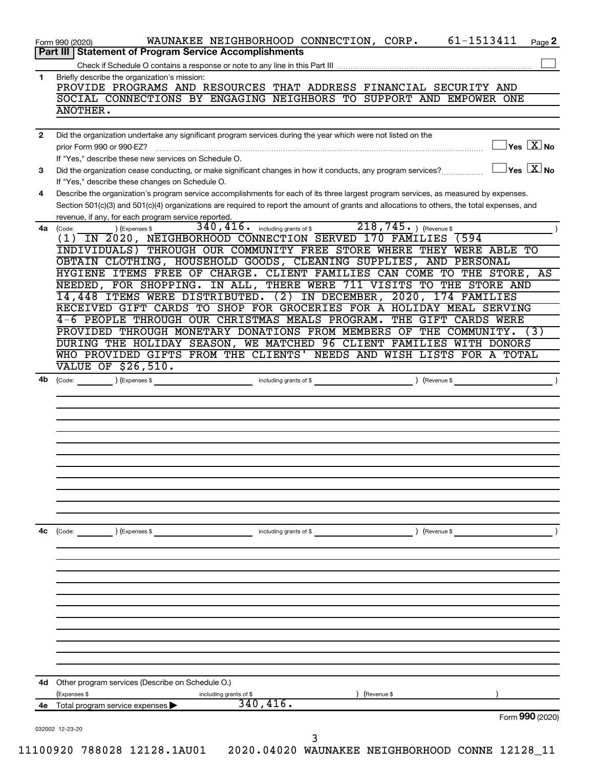|              | Part III   Statement of Program Service Accomplishments                                                                                                                                             |
|--------------|-----------------------------------------------------------------------------------------------------------------------------------------------------------------------------------------------------|
|              |                                                                                                                                                                                                     |
| 1            | Briefly describe the organization's mission:<br>PROVIDE PROGRAMS AND RESOURCES THAT ADDRESS FINANCIAL SECURITY AND                                                                                  |
|              | SOCIAL CONNECTIONS BY ENGAGING NEIGHBORS TO SUPPORT AND EMPOWER ONE                                                                                                                                 |
|              | ANOTHER.                                                                                                                                                                                            |
|              |                                                                                                                                                                                                     |
| $\mathbf{2}$ | Did the organization undertake any significant program services during the year which were not listed on the                                                                                        |
|              | $\vert$ Yes $\vert$ $\overline{\mathrm{X}}$ No<br>prior Form 990 or 990-EZ?                                                                                                                         |
|              | If "Yes," describe these new services on Schedule O.                                                                                                                                                |
| 3            | $ {\mathsf Y}{\mathsf e}{\mathsf s}^\top\overline{{\mathbf X}} $ No<br>Did the organization cease conducting, or make significant changes in how it conducts, any program services?                 |
|              | If "Yes," describe these changes on Schedule O.                                                                                                                                                     |
| 4            | Describe the organization's program service accomplishments for each of its three largest program services, as measured by expenses.                                                                |
|              | Section 501(c)(3) and 501(c)(4) organizations are required to report the amount of grants and allocations to others, the total expenses, and<br>revenue, if any, for each program service reported. |
| 4a           | 218,745. ) (Revenue \$<br>$340, 416$ . including grants of \$<br>(Code:<br>(Expenses \$                                                                                                             |
|              | (1) IN 2020, NEIGHBORHOOD CONNECTION SERVED 170 FAMILIES (594                                                                                                                                       |
|              | INDIVIDUALS) THROUGH OUR COMMUNITY FREE STORE WHERE THEY WERE ABLE TO                                                                                                                               |
|              | OBTAIN CLOTHING, HOUSEHOLD GOODS, CLEANING SUPPLIES, AND PERSONAL                                                                                                                                   |
|              | HYGIENE ITEMS FREE OF CHARGE. CLIENT FAMILIES CAN COME TO THE STORE, AS                                                                                                                             |
|              | NEEDED, FOR SHOPPING. IN ALL, THERE WERE 711 VISITS TO THE STORE AND                                                                                                                                |
|              | 14,448 ITEMS WERE DISTRIBUTED. (2) IN DECEMBER, 2020, 174 FAMILIES                                                                                                                                  |
|              | RECEIVED GIFT CARDS TO SHOP FOR GROCERIES FOR A HOLIDAY MEAL SERVING                                                                                                                                |
|              | 4-6 PEOPLE THROUGH OUR CHRISTMAS MEALS PROGRAM.<br>THE GIFT CARDS WERE<br>PROVIDED THROUGH MONETARY DONATIONS FROM MEMBERS OF THE COMMUNITY.<br>(3)                                                 |
|              | DURING THE HOLIDAY SEASON, WE MATCHED 96 CLIENT FAMILIES WITH DONORS                                                                                                                                |
|              | WHO PROVIDED GIFTS FROM THE CLIENTS' NEEDS AND WISH LISTS FOR A TOTAL                                                                                                                               |
|              | <b>VALUE OF \$26,510.</b>                                                                                                                                                                           |
| 4b           | including grants of \$<br>(Expenses \$<br>) (Revenue \$<br>(Code:                                                                                                                                   |
|              |                                                                                                                                                                                                     |
|              |                                                                                                                                                                                                     |
|              |                                                                                                                                                                                                     |
|              |                                                                                                                                                                                                     |
|              |                                                                                                                                                                                                     |
|              |                                                                                                                                                                                                     |
|              |                                                                                                                                                                                                     |
|              |                                                                                                                                                                                                     |
|              |                                                                                                                                                                                                     |
|              |                                                                                                                                                                                                     |
|              |                                                                                                                                                                                                     |
| 4с           | including grants of \$<br>) (Revenue \$<br>(Code:<br>) (Expenses \$                                                                                                                                 |
|              |                                                                                                                                                                                                     |
|              |                                                                                                                                                                                                     |
|              |                                                                                                                                                                                                     |
|              |                                                                                                                                                                                                     |
|              |                                                                                                                                                                                                     |
|              |                                                                                                                                                                                                     |
|              |                                                                                                                                                                                                     |
|              |                                                                                                                                                                                                     |
|              |                                                                                                                                                                                                     |
|              |                                                                                                                                                                                                     |
|              |                                                                                                                                                                                                     |
| 4d           | Other program services (Describe on Schedule O.)                                                                                                                                                    |
| 4е           | (Expenses \$<br>including grants of \$<br>(Revenue \$<br>340, 416.<br>Total program service expenses                                                                                                |
|              |                                                                                                                                                                                                     |
|              | Form 990 (2020)                                                                                                                                                                                     |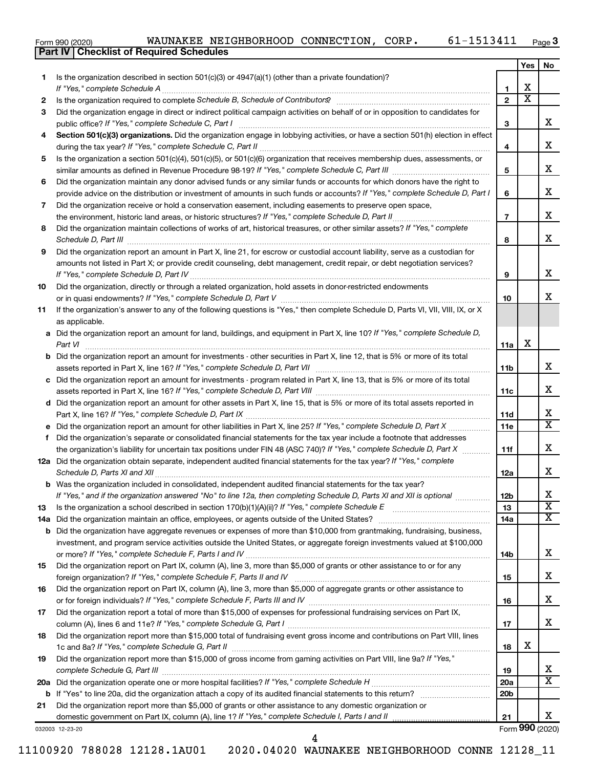| Form 990 (2020) |  |  | WAUNAKEE NEIGHBORHOOD CONNECTION, |  | CORP | 61-1513411 | Page |
|-----------------|--|--|-----------------------------------|--|------|------------|------|
|-----------------|--|--|-----------------------------------|--|------|------------|------|

|    | Part IV   Checklist of Required Schedules                                                                                                                                                                                                                                                                                                                             |                 |                         |                         |  |  |  |
|----|-----------------------------------------------------------------------------------------------------------------------------------------------------------------------------------------------------------------------------------------------------------------------------------------------------------------------------------------------------------------------|-----------------|-------------------------|-------------------------|--|--|--|
|    |                                                                                                                                                                                                                                                                                                                                                                       |                 | Yes                     | No                      |  |  |  |
| 1. | Is the organization described in section 501(c)(3) or $4947(a)(1)$ (other than a private foundation)?                                                                                                                                                                                                                                                                 |                 |                         |                         |  |  |  |
|    |                                                                                                                                                                                                                                                                                                                                                                       | 1               | х                       |                         |  |  |  |
| 2  |                                                                                                                                                                                                                                                                                                                                                                       | $\overline{2}$  | $\overline{\textbf{x}}$ |                         |  |  |  |
| 3  | Did the organization engage in direct or indirect political campaign activities on behalf of or in opposition to candidates for                                                                                                                                                                                                                                       |                 |                         |                         |  |  |  |
|    | public office? If "Yes," complete Schedule C, Part I                                                                                                                                                                                                                                                                                                                  | З               |                         | x                       |  |  |  |
| 4  | Section 501(c)(3) organizations. Did the organization engage in lobbying activities, or have a section 501(h) election in effect                                                                                                                                                                                                                                      |                 |                         |                         |  |  |  |
|    |                                                                                                                                                                                                                                                                                                                                                                       | 4               |                         | x                       |  |  |  |
| 5  | Is the organization a section 501(c)(4), 501(c)(5), or 501(c)(6) organization that receives membership dues, assessments, or                                                                                                                                                                                                                                          |                 |                         |                         |  |  |  |
|    |                                                                                                                                                                                                                                                                                                                                                                       |                 |                         |                         |  |  |  |
| 6  | Did the organization maintain any donor advised funds or any similar funds or accounts for which donors have the right to                                                                                                                                                                                                                                             | 5               |                         | x                       |  |  |  |
|    | provide advice on the distribution or investment of amounts in such funds or accounts? If "Yes," complete Schedule D, Part I                                                                                                                                                                                                                                          | 6               |                         | x                       |  |  |  |
| 7  | Did the organization receive or hold a conservation easement, including easements to preserve open space,                                                                                                                                                                                                                                                             |                 |                         |                         |  |  |  |
|    | the environment, historic land areas, or historic structures? If "Yes," complete Schedule D, Part II                                                                                                                                                                                                                                                                  | $\overline{7}$  |                         | x                       |  |  |  |
| 8  | Did the organization maintain collections of works of art, historical treasures, or other similar assets? If "Yes," complete                                                                                                                                                                                                                                          |                 |                         |                         |  |  |  |
|    |                                                                                                                                                                                                                                                                                                                                                                       | 8               |                         | x                       |  |  |  |
| 9  | Schedule D, Part III <b>Marting Community Contract Contract Contract Contract Contract Contract Contract Contract Contract Contract Contract Contract Contract Contract Contract Contract Contract Contract Contract Contract Co</b><br>Did the organization report an amount in Part X, line 21, for escrow or custodial account liability, serve as a custodian for |                 |                         |                         |  |  |  |
|    | amounts not listed in Part X; or provide credit counseling, debt management, credit repair, or debt negotiation services?                                                                                                                                                                                                                                             |                 |                         |                         |  |  |  |
|    |                                                                                                                                                                                                                                                                                                                                                                       | 9               |                         | x                       |  |  |  |
| 10 | Did the organization, directly or through a related organization, hold assets in donor-restricted endowments                                                                                                                                                                                                                                                          |                 |                         |                         |  |  |  |
|    |                                                                                                                                                                                                                                                                                                                                                                       | 10              |                         | x                       |  |  |  |
|    |                                                                                                                                                                                                                                                                                                                                                                       |                 |                         |                         |  |  |  |
| 11 | If the organization's answer to any of the following questions is "Yes," then complete Schedule D, Parts VI, VII, VIII, IX, or X                                                                                                                                                                                                                                      |                 |                         |                         |  |  |  |
|    | as applicable.                                                                                                                                                                                                                                                                                                                                                        |                 |                         |                         |  |  |  |
|    | a Did the organization report an amount for land, buildings, and equipment in Part X, line 10? If "Yes," complete Schedule D,                                                                                                                                                                                                                                         |                 | х                       |                         |  |  |  |
|    | Part VI                                                                                                                                                                                                                                                                                                                                                               | 11a             |                         |                         |  |  |  |
|    | <b>b</b> Did the organization report an amount for investments - other securities in Part X, line 12, that is 5% or more of its total                                                                                                                                                                                                                                 |                 |                         | x                       |  |  |  |
|    |                                                                                                                                                                                                                                                                                                                                                                       | 11b             |                         |                         |  |  |  |
|    | c Did the organization report an amount for investments - program related in Part X, line 13, that is 5% or more of its total                                                                                                                                                                                                                                         |                 |                         | х                       |  |  |  |
|    |                                                                                                                                                                                                                                                                                                                                                                       | 11c             |                         |                         |  |  |  |
|    | d Did the organization report an amount for other assets in Part X, line 15, that is 5% or more of its total assets reported in                                                                                                                                                                                                                                       |                 |                         | х                       |  |  |  |
|    |                                                                                                                                                                                                                                                                                                                                                                       | 11d             |                         | $\overline{\text{X}}$   |  |  |  |
|    | e Did the organization report an amount for other liabilities in Part X, line 25? If "Yes," complete Schedule D, Part X                                                                                                                                                                                                                                               | 11e             |                         |                         |  |  |  |
| f  | Did the organization's separate or consolidated financial statements for the tax year include a footnote that addresses                                                                                                                                                                                                                                               |                 |                         | х                       |  |  |  |
|    | the organization's liability for uncertain tax positions under FIN 48 (ASC 740)? If "Yes," complete Schedule D, Part X                                                                                                                                                                                                                                                | 11f             |                         |                         |  |  |  |
|    | 12a Did the organization obtain separate, independent audited financial statements for the tax year? If "Yes," complete                                                                                                                                                                                                                                               |                 |                         | x                       |  |  |  |
|    |                                                                                                                                                                                                                                                                                                                                                                       | 12a             |                         |                         |  |  |  |
|    | b Was the organization included in consolidated, independent audited financial statements for the tax year?                                                                                                                                                                                                                                                           |                 |                         | х                       |  |  |  |
|    | If "Yes," and if the organization answered "No" to line 12a, then completing Schedule D, Parts XI and XII is optional                                                                                                                                                                                                                                                 | 12b             |                         | $\overline{\textbf{X}}$ |  |  |  |
| 13 |                                                                                                                                                                                                                                                                                                                                                                       | 13              |                         | х                       |  |  |  |
|    | 14a Did the organization maintain an office, employees, or agents outside of the United States?                                                                                                                                                                                                                                                                       | 14a             |                         |                         |  |  |  |
|    | <b>b</b> Did the organization have aggregate revenues or expenses of more than \$10,000 from grantmaking, fundraising, business,                                                                                                                                                                                                                                      |                 |                         |                         |  |  |  |
|    | investment, and program service activities outside the United States, or aggregate foreign investments valued at \$100,000                                                                                                                                                                                                                                            | 14b             |                         | x                       |  |  |  |
|    |                                                                                                                                                                                                                                                                                                                                                                       |                 |                         |                         |  |  |  |
| 15 | Did the organization report on Part IX, column (A), line 3, more than \$5,000 of grants or other assistance to or for any<br>foreign organization? If "Yes," complete Schedule F, Parts II and IV                                                                                                                                                                     | 15              |                         | x                       |  |  |  |
|    | Did the organization report on Part IX, column (A), line 3, more than \$5,000 of aggregate grants or other assistance to                                                                                                                                                                                                                                              |                 |                         |                         |  |  |  |
| 16 |                                                                                                                                                                                                                                                                                                                                                                       |                 |                         | х                       |  |  |  |
|    |                                                                                                                                                                                                                                                                                                                                                                       | 16              |                         |                         |  |  |  |
| 17 | Did the organization report a total of more than \$15,000 of expenses for professional fundraising services on Part IX,                                                                                                                                                                                                                                               | 17              |                         | x                       |  |  |  |
|    |                                                                                                                                                                                                                                                                                                                                                                       |                 |                         |                         |  |  |  |
| 18 | Did the organization report more than \$15,000 total of fundraising event gross income and contributions on Part VIII, lines                                                                                                                                                                                                                                          |                 |                         |                         |  |  |  |
|    |                                                                                                                                                                                                                                                                                                                                                                       | 18              | х                       |                         |  |  |  |
| 19 | Did the organization report more than \$15,000 of gross income from gaming activities on Part VIII, line 9a? If "Yes,"                                                                                                                                                                                                                                                |                 |                         | x                       |  |  |  |
|    |                                                                                                                                                                                                                                                                                                                                                                       | 19              |                         | x                       |  |  |  |
|    |                                                                                                                                                                                                                                                                                                                                                                       | <b>20a</b>      |                         |                         |  |  |  |
|    |                                                                                                                                                                                                                                                                                                                                                                       | 20 <sub>b</sub> |                         |                         |  |  |  |
| 21 | Did the organization report more than \$5,000 of grants or other assistance to any domestic organization or                                                                                                                                                                                                                                                           |                 |                         | x                       |  |  |  |
|    | domestic government on Part IX, column (A), line 1? If "Yes," complete Schedule I, Parts I and II                                                                                                                                                                                                                                                                     | 21              |                         |                         |  |  |  |

11100920 788028 12128.1AU01 2020.04020 WAUNAKEE NEIGHBORHOOD CONNE 12128\_11

4

032003 12-23-20

Form (2020) **990**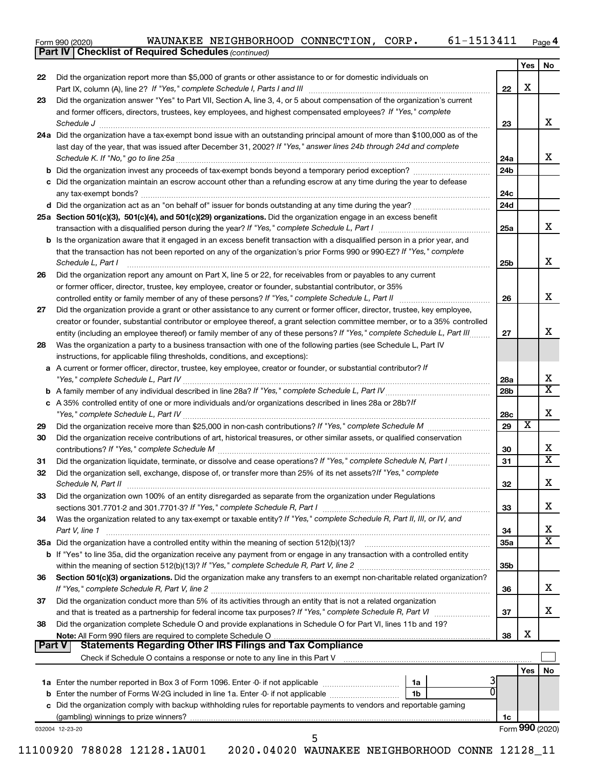Form 990 (2020) Page WAUNAKEE NEIGHBORHOOD CONNECTION, CORP. 61-1513411

*(continued)* **Part IV Checklist of Required Schedules**

|               |                                                                                                                                                                 |                 | Yes                     | No                      |
|---------------|-----------------------------------------------------------------------------------------------------------------------------------------------------------------|-----------------|-------------------------|-------------------------|
| 22            | Did the organization report more than \$5,000 of grants or other assistance to or for domestic individuals on                                                   |                 |                         |                         |
|               |                                                                                                                                                                 | 22              | X                       |                         |
| 23            | Did the organization answer "Yes" to Part VII, Section A, line 3, 4, or 5 about compensation of the organization's current                                      |                 |                         |                         |
|               | and former officers, directors, trustees, key employees, and highest compensated employees? If "Yes," complete                                                  |                 |                         |                         |
|               | Schedule J                                                                                                                                                      | 23              |                         | x                       |
|               | 24a Did the organization have a tax-exempt bond issue with an outstanding principal amount of more than \$100,000 as of the                                     |                 |                         |                         |
|               | last day of the year, that was issued after December 31, 2002? If "Yes," answer lines 24b through 24d and complete                                              |                 |                         |                         |
|               |                                                                                                                                                                 | 24a             |                         | x                       |
|               |                                                                                                                                                                 | 24 <sub>b</sub> |                         |                         |
|               | c Did the organization maintain an escrow account other than a refunding escrow at any time during the year to defease                                          |                 |                         |                         |
|               |                                                                                                                                                                 |                 |                         |                         |
|               |                                                                                                                                                                 | 24c             |                         |                         |
|               |                                                                                                                                                                 | 24d             |                         |                         |
|               | 25a Section 501(c)(3), 501(c)(4), and 501(c)(29) organizations. Did the organization engage in an excess benefit                                                |                 |                         |                         |
|               |                                                                                                                                                                 | 25a             |                         | х                       |
|               | b Is the organization aware that it engaged in an excess benefit transaction with a disqualified person in a prior year, and                                    |                 |                         |                         |
|               | that the transaction has not been reported on any of the organization's prior Forms 990 or 990-EZ? If "Yes," complete                                           |                 |                         |                         |
|               | Schedule L, Part I                                                                                                                                              | 25b             |                         | х                       |
| 26            | Did the organization report any amount on Part X, line 5 or 22, for receivables from or payables to any current                                                 |                 |                         |                         |
|               | or former officer, director, trustee, key employee, creator or founder, substantial contributor, or 35%                                                         |                 |                         |                         |
|               |                                                                                                                                                                 | 26              |                         | х                       |
| 27            | Did the organization provide a grant or other assistance to any current or former officer, director, trustee, key employee,                                     |                 |                         |                         |
|               | creator or founder, substantial contributor or employee thereof, a grant selection committee member, or to a 35% controlled                                     |                 |                         |                         |
|               | entity (including an employee thereof) or family member of any of these persons? If "Yes," complete Schedule L, Part III                                        | 27              |                         | х                       |
| 28            | Was the organization a party to a business transaction with one of the following parties (see Schedule L, Part IV                                               |                 |                         |                         |
|               | instructions, for applicable filing thresholds, conditions, and exceptions):                                                                                    |                 |                         |                         |
|               | a A current or former officer, director, trustee, key employee, creator or founder, or substantial contributor? If                                              |                 |                         |                         |
|               |                                                                                                                                                                 | 28a             |                         | Х                       |
|               |                                                                                                                                                                 | 28 <sub>b</sub> |                         | х                       |
|               | c A 35% controlled entity of one or more individuals and/or organizations described in lines 28a or 28b?/f                                                      |                 |                         |                         |
|               |                                                                                                                                                                 | 28c             |                         | х                       |
| 29            |                                                                                                                                                                 | 29              | $\overline{\textbf{x}}$ |                         |
| 30            | Did the organization receive contributions of art, historical treasures, or other similar assets, or qualified conservation                                     |                 |                         |                         |
|               |                                                                                                                                                                 | 30              |                         | х                       |
| 31            |                                                                                                                                                                 | 31              |                         | $\overline{\mathbf{X}}$ |
| 32            | Did the organization sell, exchange, dispose of, or transfer more than 25% of its net assets? If "Yes," complete                                                |                 |                         |                         |
|               |                                                                                                                                                                 | 32              |                         | х                       |
| 33            | Did the organization own 100% of an entity disregarded as separate from the organization under Regulations                                                      |                 |                         |                         |
|               |                                                                                                                                                                 | 33              |                         | х                       |
| 34            | Was the organization related to any tax-exempt or taxable entity? If "Yes," complete Schedule R, Part II, III, or IV, and                                       |                 |                         |                         |
|               |                                                                                                                                                                 |                 |                         | х                       |
|               | Part V, line 1<br>35a Did the organization have a controlled entity within the meaning of section 512(b)(13)?                                                   | 34              |                         | х                       |
|               |                                                                                                                                                                 | <b>35a</b>      |                         |                         |
|               | b If "Yes" to line 35a, did the organization receive any payment from or engage in any transaction with a controlled entity                                     |                 |                         |                         |
|               |                                                                                                                                                                 | 35b             |                         |                         |
| 36            | Section 501(c)(3) organizations. Did the organization make any transfers to an exempt non-charitable related organization?                                      |                 |                         | х                       |
|               |                                                                                                                                                                 | 36              |                         |                         |
| 37            | Did the organization conduct more than 5% of its activities through an entity that is not a related organization                                                |                 |                         |                         |
|               |                                                                                                                                                                 | 37              |                         | х                       |
| 38            | Did the organization complete Schedule O and provide explanations in Schedule O for Part VI, lines 11b and 19?                                                  |                 |                         |                         |
|               | Note: All Form 990 filers are required to complete Schedule O.                                                                                                  | 38              | X                       |                         |
| <b>Part V</b> | <b>Statements Regarding Other IRS Filings and Tax Compliance</b>                                                                                                |                 |                         |                         |
|               | Check if Schedule O contains a response or note to any line in this Part V [11] [12] Check if Schedule O contains a response or note to any line in this Part V |                 |                         |                         |
|               |                                                                                                                                                                 |                 | Yes $ $                 | No                      |
|               | 1a                                                                                                                                                              |                 |                         |                         |
|               | 1b                                                                                                                                                              |                 |                         |                         |
|               | c Did the organization comply with backup withholding rules for reportable payments to vendors and reportable gaming                                            |                 |                         |                         |
|               |                                                                                                                                                                 | 1c              |                         |                         |
|               | 032004 12-23-20<br>5                                                                                                                                            |                 | Form 990 (2020)         |                         |
|               |                                                                                                                                                                 |                 |                         |                         |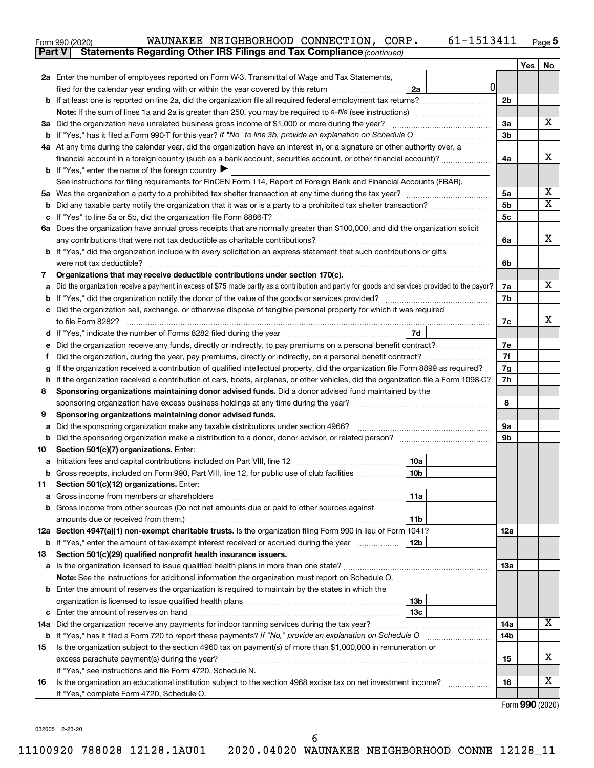| Form 990 (2020) |  | WAUNAKEE NEIGHBORHOOD CONNECTION, CORP.                                             |  | 61-1513411 | Page |
|-----------------|--|-------------------------------------------------------------------------------------|--|------------|------|
|                 |  | <b>Part V</b> Statements Regarding Other IRS Filings and Tax Compliance (continued) |  |            |      |

|    |                                                                                                                                                                                                 |                | Yes | No                      |  |  |  |  |  |  |  |
|----|-------------------------------------------------------------------------------------------------------------------------------------------------------------------------------------------------|----------------|-----|-------------------------|--|--|--|--|--|--|--|
|    | 2a Enter the number of employees reported on Form W-3, Transmittal of Wage and Tax Statements,                                                                                                  |                |     |                         |  |  |  |  |  |  |  |
|    | 0 <br>filed for the calendar year ending with or within the year covered by this return <i>[[[[[[[[[[[[[]]]</i> ]]<br>2a                                                                        |                |     |                         |  |  |  |  |  |  |  |
|    |                                                                                                                                                                                                 |                |     |                         |  |  |  |  |  |  |  |
|    |                                                                                                                                                                                                 |                |     |                         |  |  |  |  |  |  |  |
|    | 3a Did the organization have unrelated business gross income of \$1,000 or more during the year?                                                                                                |                |     |                         |  |  |  |  |  |  |  |
|    |                                                                                                                                                                                                 |                |     |                         |  |  |  |  |  |  |  |
|    | 4a At any time during the calendar year, did the organization have an interest in, or a signature or other authority over, a                                                                    |                |     |                         |  |  |  |  |  |  |  |
|    | financial account in a foreign country (such as a bank account, securities account, or other financial account)?                                                                                | 4a             |     | x                       |  |  |  |  |  |  |  |
|    | <b>b</b> If "Yes," enter the name of the foreign country $\blacktriangleright$                                                                                                                  |                |     |                         |  |  |  |  |  |  |  |
|    | See instructions for filing requirements for FinCEN Form 114, Report of Foreign Bank and Financial Accounts (FBAR).                                                                             |                |     |                         |  |  |  |  |  |  |  |
|    |                                                                                                                                                                                                 | 5a             |     | х                       |  |  |  |  |  |  |  |
|    |                                                                                                                                                                                                 | 5 <sub>b</sub> |     | $\overline{\textbf{x}}$ |  |  |  |  |  |  |  |
|    |                                                                                                                                                                                                 | 5c             |     |                         |  |  |  |  |  |  |  |
|    | 6a Does the organization have annual gross receipts that are normally greater than \$100,000, and did the organization solicit                                                                  |                |     |                         |  |  |  |  |  |  |  |
|    | any contributions that were not tax deductible as charitable contributions?                                                                                                                     | 6a             |     | x                       |  |  |  |  |  |  |  |
|    | b If "Yes," did the organization include with every solicitation an express statement that such contributions or gifts                                                                          |                |     |                         |  |  |  |  |  |  |  |
|    | were not tax deductible?                                                                                                                                                                        | 6b             |     |                         |  |  |  |  |  |  |  |
| 7  | Organizations that may receive deductible contributions under section 170(c).                                                                                                                   |                |     |                         |  |  |  |  |  |  |  |
|    | Did the organization receive a payment in excess of \$75 made partly as a contribution and partly for goods and services provided to the payor?                                                 | 7a             |     | x                       |  |  |  |  |  |  |  |
|    |                                                                                                                                                                                                 | 7b             |     |                         |  |  |  |  |  |  |  |
|    | c Did the organization sell, exchange, or otherwise dispose of tangible personal property for which it was required                                                                             |                |     | х                       |  |  |  |  |  |  |  |
|    | to file Form 8282?                                                                                                                                                                              | 7c             |     |                         |  |  |  |  |  |  |  |
|    | 7d<br>d If "Yes," indicate the number of Forms 8282 filed during the year [11] [12] The West [13] [13] Hermann Control of Forms 8282 filed during the year                                      |                |     |                         |  |  |  |  |  |  |  |
|    | e Did the organization receive any funds, directly or indirectly, to pay premiums on a personal benefit contract?                                                                               | 7е             |     |                         |  |  |  |  |  |  |  |
| Ť. | Did the organization, during the year, pay premiums, directly or indirectly, on a personal benefit contract?                                                                                    | 7f<br>7g       |     |                         |  |  |  |  |  |  |  |
|    | If the organization received a contribution of qualified intellectual property, did the organization file Form 8899 as required?<br>g                                                           |                |     |                         |  |  |  |  |  |  |  |
|    | h If the organization received a contribution of cars, boats, airplanes, or other vehicles, did the organization file a Form 1098-C?                                                            |                |     |                         |  |  |  |  |  |  |  |
|    | Sponsoring organizations maintaining donor advised funds. Did a donor advised fund maintained by the<br>8<br>sponsoring organization have excess business holdings at any time during the year? |                |     |                         |  |  |  |  |  |  |  |
| 9  | Sponsoring organizations maintaining donor advised funds.                                                                                                                                       | 8              |     |                         |  |  |  |  |  |  |  |
| а  | Did the sponsoring organization make any taxable distributions under section 4966?                                                                                                              | 9а             |     |                         |  |  |  |  |  |  |  |
|    |                                                                                                                                                                                                 | 9b             |     |                         |  |  |  |  |  |  |  |
| 10 | Section 501(c)(7) organizations. Enter:                                                                                                                                                         |                |     |                         |  |  |  |  |  |  |  |
|    | 10a                                                                                                                                                                                             |                |     |                         |  |  |  |  |  |  |  |
|    | 10 <sub>b</sub><br><b>b</b> Gross receipts, included on Form 990, Part VIII, line 12, for public use of club facilities <i>manument</i>                                                         |                |     |                         |  |  |  |  |  |  |  |
| 11 | Section 501(c)(12) organizations. Enter:                                                                                                                                                        |                |     |                         |  |  |  |  |  |  |  |
|    | 11a                                                                                                                                                                                             |                |     |                         |  |  |  |  |  |  |  |
|    | <b>b</b> Gross income from other sources (Do not net amounts due or paid to other sources against                                                                                               |                |     |                         |  |  |  |  |  |  |  |
|    | 11b                                                                                                                                                                                             |                |     |                         |  |  |  |  |  |  |  |
|    | 12a Section 4947(a)(1) non-exempt charitable trusts. Is the organization filing Form 990 in lieu of Form 1041?                                                                                  | 12a            |     |                         |  |  |  |  |  |  |  |
|    | <b>b</b> If "Yes," enter the amount of tax-exempt interest received or accrued during the year<br>12b                                                                                           |                |     |                         |  |  |  |  |  |  |  |
| 13 | Section 501(c)(29) qualified nonprofit health insurance issuers.                                                                                                                                |                |     |                         |  |  |  |  |  |  |  |
|    |                                                                                                                                                                                                 | 13a            |     |                         |  |  |  |  |  |  |  |
|    | Note: See the instructions for additional information the organization must report on Schedule O.                                                                                               |                |     |                         |  |  |  |  |  |  |  |
|    | <b>b</b> Enter the amount of reserves the organization is required to maintain by the states in which the                                                                                       |                |     |                         |  |  |  |  |  |  |  |
|    | 13b                                                                                                                                                                                             |                |     |                         |  |  |  |  |  |  |  |
|    | 13с                                                                                                                                                                                             | 14a            |     | х                       |  |  |  |  |  |  |  |
|    |                                                                                                                                                                                                 |                |     |                         |  |  |  |  |  |  |  |
|    | b If "Yes," has it filed a Form 720 to report these payments? If "No," provide an explanation on Schedule O                                                                                     | 14b            |     |                         |  |  |  |  |  |  |  |
| 15 | Is the organization subject to the section 4960 tax on payment(s) of more than \$1,000,000 in remuneration or                                                                                   |                |     | x                       |  |  |  |  |  |  |  |
|    |                                                                                                                                                                                                 | 15             |     |                         |  |  |  |  |  |  |  |
| 16 | If "Yes," see instructions and file Form 4720, Schedule N.<br>Is the organization an educational institution subject to the section 4968 excise tax on net investment income?                   | 16             |     | x                       |  |  |  |  |  |  |  |
|    | If "Yes," complete Form 4720, Schedule O.                                                                                                                                                       |                |     |                         |  |  |  |  |  |  |  |
|    |                                                                                                                                                                                                 |                |     |                         |  |  |  |  |  |  |  |

Form (2020) **990**

032005 12-23-20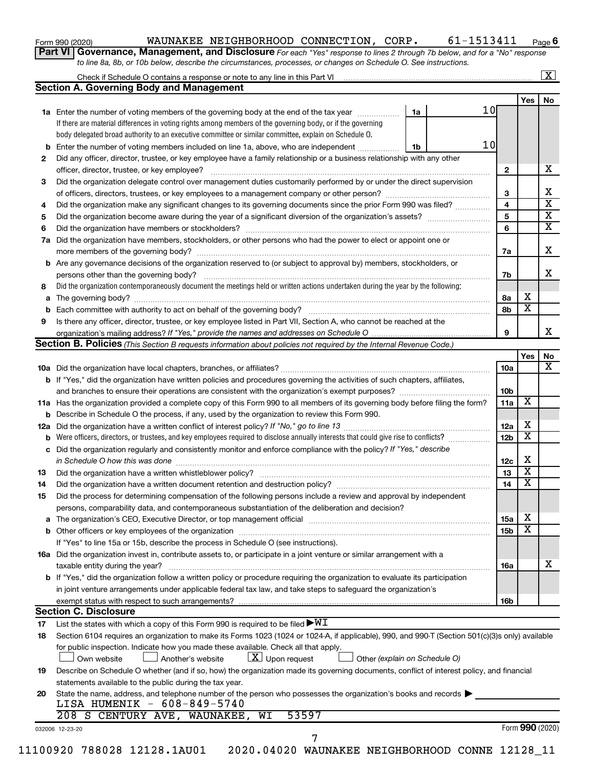| Form 990 (2020) |  |
|-----------------|--|
|-----------------|--|

### Form 990 (2020) Page WAUNAKEE NEIGHBORHOOD CONNECTION, CORP. 61-1513411

**6**

**Part VI** Governance, Management, and Disclosure For each "Yes" response to lines 2 through 7b below, and for a "No" response *to line 8a, 8b, or 10b below, describe the circumstances, processes, or changes on Schedule O. See instructions.*

|    |                                                                                                                                                                                                                                |    |                 |                 |                         | $\boxed{\text{X}}$      |
|----|--------------------------------------------------------------------------------------------------------------------------------------------------------------------------------------------------------------------------------|----|-----------------|-----------------|-------------------------|-------------------------|
|    | <b>Section A. Governing Body and Management</b>                                                                                                                                                                                |    |                 |                 |                         |                         |
|    |                                                                                                                                                                                                                                |    |                 |                 | Yes                     | No                      |
|    | 1a Enter the number of voting members of the governing body at the end of the tax year                                                                                                                                         | 1a | 10 <sub>l</sub> |                 |                         |                         |
|    | If there are material differences in voting rights among members of the governing body, or if the governing                                                                                                                    |    |                 |                 |                         |                         |
|    | body delegated broad authority to an executive committee or similar committee, explain on Schedule O.                                                                                                                          |    |                 |                 |                         |                         |
| b  | Enter the number of voting members included on line 1a, above, who are independent                                                                                                                                             | 1b | 10              |                 |                         |                         |
| 2  | Did any officer, director, trustee, or key employee have a family relationship or a business relationship with any other                                                                                                       |    |                 |                 |                         |                         |
|    | officer, director, trustee, or key employee?                                                                                                                                                                                   |    |                 | 2               |                         | х                       |
| 3  | Did the organization delegate control over management duties customarily performed by or under the direct supervision                                                                                                          |    |                 |                 |                         |                         |
|    |                                                                                                                                                                                                                                |    |                 | 3               |                         | х                       |
| 4  | Did the organization make any significant changes to its governing documents since the prior Form 990 was filed?                                                                                                               |    |                 | 4               |                         | $\overline{\mathbf{x}}$ |
| 5  |                                                                                                                                                                                                                                |    |                 | 5               |                         | $\overline{\mathbf{x}}$ |
| 6  |                                                                                                                                                                                                                                |    |                 | 6               |                         | $\overline{\mathbf{x}}$ |
| 7a | Did the organization have members, stockholders, or other persons who had the power to elect or appoint one or                                                                                                                 |    |                 |                 |                         |                         |
|    |                                                                                                                                                                                                                                |    |                 | 7a              |                         | Х                       |
| b  | Are any governance decisions of the organization reserved to (or subject to approval by) members, stockholders, or                                                                                                             |    |                 |                 |                         |                         |
|    |                                                                                                                                                                                                                                |    |                 | 7b              |                         | x                       |
| 8  | Did the organization contemporaneously document the meetings held or written actions undertaken during the year by the following:                                                                                              |    |                 |                 |                         |                         |
| a  |                                                                                                                                                                                                                                |    |                 | 8а              | х                       |                         |
|    |                                                                                                                                                                                                                                |    |                 | 8b              | $\overline{\mathbf{x}}$ |                         |
| 9  | Is there any officer, director, trustee, or key employee listed in Part VII, Section A, who cannot be reached at the                                                                                                           |    |                 |                 |                         |                         |
|    |                                                                                                                                                                                                                                |    |                 | 9               |                         | x                       |
|    | Section B. Policies (This Section B requests information about policies not required by the Internal Revenue Code.)                                                                                                            |    |                 |                 |                         |                         |
|    |                                                                                                                                                                                                                                |    |                 |                 | Yes                     | No                      |
|    |                                                                                                                                                                                                                                |    |                 | <b>10a</b>      |                         | х                       |
|    | <b>b</b> If "Yes," did the organization have written policies and procedures governing the activities of such chapters, affiliates,                                                                                            |    |                 |                 |                         |                         |
|    |                                                                                                                                                                                                                                |    |                 | 10b             |                         |                         |
|    | 11a Has the organization provided a complete copy of this Form 990 to all members of its governing body before filing the form?                                                                                                |    |                 | 11a             | X                       |                         |
|    | <b>b</b> Describe in Schedule O the process, if any, used by the organization to review this Form 990.                                                                                                                         |    |                 |                 |                         |                         |
|    |                                                                                                                                                                                                                                |    |                 | 12a             | х                       |                         |
|    | Were officers, directors, or trustees, and key employees required to disclose annually interests that could give rise to conflicts?                                                                                            |    |                 | 12 <sub>b</sub> | $\overline{\textbf{x}}$ |                         |
|    | Did the organization regularly and consistently monitor and enforce compliance with the policy? If "Yes," describe                                                                                                             |    |                 |                 |                         |                         |
| с  |                                                                                                                                                                                                                                |    |                 |                 | х                       |                         |
|    | in Schedule O how this was done manufactured and continuum and contact the was done manufactured and contact t                                                                                                                 |    |                 | 12c             | $\overline{\textbf{x}}$ |                         |
| 13 |                                                                                                                                                                                                                                |    |                 | 13              | $\overline{\textbf{x}}$ |                         |
| 14 |                                                                                                                                                                                                                                |    |                 | 14              |                         |                         |
| 15 | Did the process for determining compensation of the following persons include a review and approval by independent                                                                                                             |    |                 |                 |                         |                         |
|    | persons, comparability data, and contemporaneous substantiation of the deliberation and decision?                                                                                                                              |    |                 |                 |                         |                         |
| а  | The organization's CEO, Executive Director, or top management official [111] [12] manuscription and an intervention of the organization's CEO, Executive Director, or top management official [12] manuscription and an interv |    |                 | 15a             | х                       |                         |
|    |                                                                                                                                                                                                                                |    |                 | 15b             | х                       |                         |
|    | If "Yes" to line 15a or 15b, describe the process in Schedule O (see instructions).                                                                                                                                            |    |                 |                 |                         |                         |
|    | 16a Did the organization invest in, contribute assets to, or participate in a joint venture or similar arrangement with a                                                                                                      |    |                 |                 |                         |                         |
|    | taxable entity during the year?                                                                                                                                                                                                |    |                 | 16a             |                         | x                       |
|    | b If "Yes," did the organization follow a written policy or procedure requiring the organization to evaluate its participation                                                                                                 |    |                 |                 |                         |                         |
|    | in joint venture arrangements under applicable federal tax law, and take steps to safeguard the organization's                                                                                                                 |    |                 |                 |                         |                         |
|    | exempt status with respect to such arrangements?                                                                                                                                                                               |    |                 | 16b             |                         |                         |
|    | <b>Section C. Disclosure</b>                                                                                                                                                                                                   |    |                 |                 |                         |                         |
| 17 | List the states with which a copy of this Form 990 is required to be filed $\blacktriangleright\texttt{WI}$                                                                                                                    |    |                 |                 |                         |                         |
| 18 | Section 6104 requires an organization to make its Forms 1023 (1024 or 1024-A, if applicable), 990, and 990-T (Section 501(c)(3)s only) available                                                                               |    |                 |                 |                         |                         |
|    | for public inspection. Indicate how you made these available. Check all that apply.                                                                                                                                            |    |                 |                 |                         |                         |
|    | $\lfloor x \rfloor$ Upon request<br>Another's website<br>Other (explain on Schedule O)<br>Own website                                                                                                                          |    |                 |                 |                         |                         |
| 19 | Describe on Schedule O whether (and if so, how) the organization made its governing documents, conflict of interest policy, and financial                                                                                      |    |                 |                 |                         |                         |
|    | statements available to the public during the tax year.                                                                                                                                                                        |    |                 |                 |                         |                         |
| 20 | State the name, address, and telephone number of the person who possesses the organization's books and records                                                                                                                 |    |                 |                 |                         |                         |
|    | LISA HUMENIK - 608-849-5740                                                                                                                                                                                                    |    |                 |                 |                         |                         |
|    | 53597<br>208 S CENTURY AVE, WAUNAKEE,<br>WI                                                                                                                                                                                    |    |                 |                 |                         |                         |
|    | 032006 12-23-20                                                                                                                                                                                                                |    |                 |                 | Form 990 (2020)         |                         |
|    | 7                                                                                                                                                                                                                              |    |                 |                 |                         |                         |
|    | 11100920 788028 12128.1AU01<br>2020.04020 WAUNAKEE NEIGHBORHOOD CONNE 12128_11                                                                                                                                                 |    |                 |                 |                         |                         |
|    |                                                                                                                                                                                                                                |    |                 |                 |                         |                         |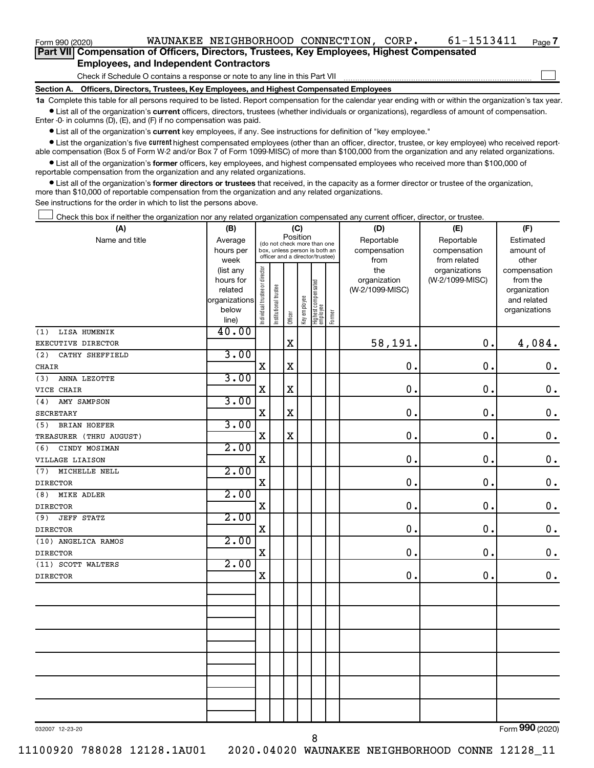| Form 990 (2020)                                                                                   |  | WAUNAKEE NEIGHBORHOOD CONNECTION, CORP. |  |  | 61-1513411 | Page 7 |  |  |  |  |  |  |
|---------------------------------------------------------------------------------------------------|--|-----------------------------------------|--|--|------------|--------|--|--|--|--|--|--|
| <b>Part VII</b> Compensation of Officers, Directors, Trustees, Key Employees, Highest Compensated |  |                                         |  |  |            |        |  |  |  |  |  |  |
| <b>Employees, and Independent Contractors</b>                                                     |  |                                         |  |  |            |        |  |  |  |  |  |  |
| Check if Schedule O contains a response or note to any line in this Part VII                      |  |                                         |  |  |            |        |  |  |  |  |  |  |

**Section A. Officers, Directors, Trustees, Key Employees, and Highest Compensated Employees**

**1a**  Complete this table for all persons required to be listed. Report compensation for the calendar year ending with or within the organization's tax year.  $\bullet$  List all of the organization's current officers, directors, trustees (whether individuals or organizations), regardless of amount of compensation.

Enter -0- in columns (D), (E), and (F) if no compensation was paid.

**•** List all of the organization's current key employees, if any. See instructions for definition of "key employee."

• List the organization's five *current* highest compensated employees (other than an officer, director, trustee, or key employee) who received reportable compensation (Box 5 of Form W-2 and/or Box 7 of Form 1099-MISC) of more than \$100,000 from the organization and any related organizations.

 $\bullet$  List all of the organization's former officers, key employees, and highest compensated employees who received more than \$100,000 of reportable compensation from the organization and any related organizations.

**•** List all of the organization's former directors or trustees that received, in the capacity as a former director or trustee of the organization, more than \$10,000 of reportable compensation from the organization and any related organizations.

See instructions for the order in which to list the persons above.

Check this box if neither the organization nor any related organization compensated any current officer, director, or trustee.  $\Box$ 

| (A)                        | (B)                    | (C)                           |                                                                  |             |              |                                 |        | (D)             | (E)                              | (F)                      |
|----------------------------|------------------------|-------------------------------|------------------------------------------------------------------|-------------|--------------|---------------------------------|--------|-----------------|----------------------------------|--------------------------|
| Name and title             | Average                |                               | (do not check more than one                                      | Position    |              |                                 |        | Reportable      | Reportable                       | Estimated                |
|                            | hours per              |                               | box, unless person is both an<br>officer and a director/trustee) |             |              |                                 |        | compensation    | compensation                     | amount of                |
|                            | week                   |                               |                                                                  |             |              |                                 |        | from<br>the     | from related                     | other                    |
|                            | (list any<br>hours for |                               |                                                                  |             |              |                                 |        | organization    | organizations<br>(W-2/1099-MISC) | compensation<br>from the |
|                            | related                |                               |                                                                  |             |              |                                 |        | (W-2/1099-MISC) |                                  | organization             |
|                            | organizations          |                               |                                                                  |             |              |                                 |        |                 |                                  | and related              |
|                            | below                  | ndividual trustee or director | Institutional trustee                                            |             | Key employee | Highest compensated<br>employee |        |                 |                                  | organizations            |
|                            | line)                  |                               |                                                                  | Officer     |              |                                 | Former |                 |                                  |                          |
| LISA HUMENIK<br>(1)        | 40.00                  |                               |                                                                  |             |              |                                 |        |                 |                                  |                          |
| EXECUTIVE DIRECTOR         |                        |                               |                                                                  | $\mathbf X$ |              |                                 |        | 58,191.         | 0.                               | 4,084.                   |
| (2)<br>CATHY SHEFFIELD     | 3.00                   |                               |                                                                  |             |              |                                 |        |                 |                                  |                          |
| CHAIR                      |                        | X                             |                                                                  | $\mathbf X$ |              |                                 |        | $\mathbf 0$     | $\mathbf 0$ .                    | $\mathbf 0$ .            |
| ANNA LEZOTTE<br>(3)        | 3.00                   |                               |                                                                  |             |              |                                 |        |                 |                                  |                          |
| VICE CHAIR                 |                        | $\mathbf X$                   |                                                                  | $\mathbf X$ |              |                                 |        | $\mathbf 0$     | 0.                               | $\mathbf 0$ .            |
| AMY SAMPSON<br>(4)         | 3.00                   |                               |                                                                  |             |              |                                 |        |                 |                                  |                          |
| <b>SECRETARY</b>           |                        | $\mathbf X$                   |                                                                  | $\mathbf X$ |              |                                 |        | 0.              | $\mathbf 0$ .                    | $\mathbf 0$ .            |
| <b>BRIAN HOEFER</b><br>(5) | 3.00                   |                               |                                                                  |             |              |                                 |        |                 |                                  |                          |
| TREASURER (THRU AUGUST)    |                        | X                             |                                                                  | $\mathbf X$ |              |                                 |        | $\mathbf 0$     | $\mathbf 0$ .                    | $\mathbf 0$ .            |
| CINDY MOSIMAN<br>(6)       | 2.00                   |                               |                                                                  |             |              |                                 |        |                 |                                  |                          |
| VILLAGE LIAISON            |                        | $\mathbf X$                   |                                                                  |             |              |                                 |        | $\mathbf 0$     | $\mathbf 0$ .                    | $\mathbf 0$ .            |
| MICHELLE NELL<br>(7)       | 2.00                   |                               |                                                                  |             |              |                                 |        |                 |                                  |                          |
| <b>DIRECTOR</b>            |                        | $\mathbf X$                   |                                                                  |             |              |                                 |        | 0.              | 0.                               | $\mathbf 0$ .            |
| (8)<br><b>MIKE ADLER</b>   | 2.00                   |                               |                                                                  |             |              |                                 |        |                 |                                  |                          |
| <b>DIRECTOR</b>            |                        | $\mathbf X$                   |                                                                  |             |              |                                 |        | 0.              | $\mathbf 0$ .                    | $\mathbf 0$ .            |
| (9)<br><b>JEFF STATZ</b>   | 2.00                   |                               |                                                                  |             |              |                                 |        |                 |                                  |                          |
| <b>DIRECTOR</b>            |                        | X                             |                                                                  |             |              |                                 |        | $\mathbf 0$ .   | 0.                               | $\mathbf 0$ .            |
| (10) ANGELICA RAMOS        | 2.00                   |                               |                                                                  |             |              |                                 |        |                 |                                  |                          |
| <b>DIRECTOR</b>            |                        | $\mathbf X$                   |                                                                  |             |              |                                 |        | $\mathbf 0$ .   | 0.                               | $\mathbf 0$ .            |
| (11) SCOTT WALTERS         | 2.00                   |                               |                                                                  |             |              |                                 |        |                 |                                  |                          |
| <b>DIRECTOR</b>            |                        | X                             |                                                                  |             |              |                                 |        | 0.              | 0.                               | $0$ .                    |
|                            |                        |                               |                                                                  |             |              |                                 |        |                 |                                  |                          |
|                            |                        |                               |                                                                  |             |              |                                 |        |                 |                                  |                          |
|                            |                        |                               |                                                                  |             |              |                                 |        |                 |                                  |                          |
|                            |                        |                               |                                                                  |             |              |                                 |        |                 |                                  |                          |
|                            |                        |                               |                                                                  |             |              |                                 |        |                 |                                  |                          |
|                            |                        |                               |                                                                  |             |              |                                 |        |                 |                                  |                          |
|                            |                        |                               |                                                                  |             |              |                                 |        |                 |                                  |                          |
|                            |                        |                               |                                                                  |             |              |                                 |        |                 |                                  |                          |
|                            |                        |                               |                                                                  |             |              |                                 |        |                 |                                  |                          |
|                            |                        |                               |                                                                  |             |              |                                 |        |                 |                                  |                          |
|                            |                        |                               |                                                                  |             |              |                                 |        |                 |                                  |                          |
|                            |                        |                               |                                                                  |             |              |                                 |        |                 |                                  |                          |
|                            |                        |                               |                                                                  |             |              |                                 |        |                 |                                  | $\overline{\phantom{a}}$ |

032007 12-23-20

8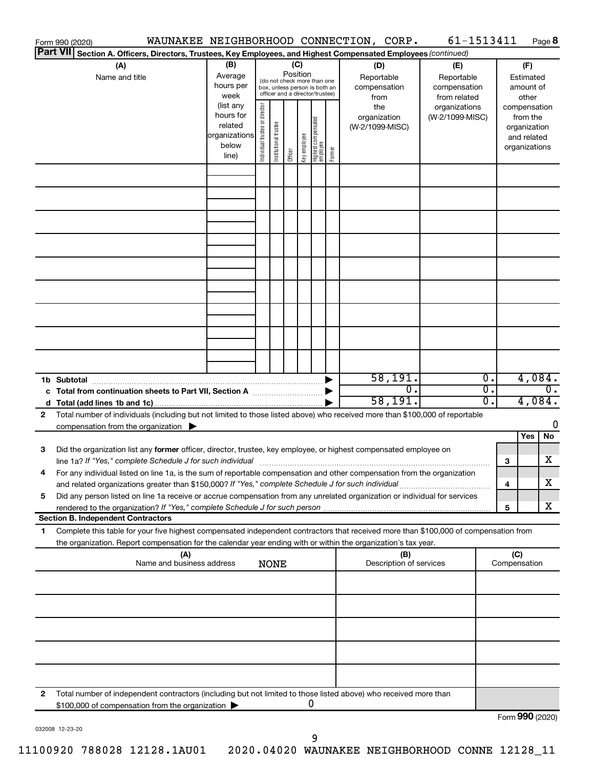|    | Form 990 (2020)                                                                                                                                                                                                                                                                                                                                               |                                                                      |                                                                                                             |                       |         |              |                                   |        | WAUNAKEE NEIGHBORHOOD CONNECTION, CORP.   | 61-1513411                                        |                                      |     |                                                                          | Page 8           |
|----|---------------------------------------------------------------------------------------------------------------------------------------------------------------------------------------------------------------------------------------------------------------------------------------------------------------------------------------------------------------|----------------------------------------------------------------------|-------------------------------------------------------------------------------------------------------------|-----------------------|---------|--------------|-----------------------------------|--------|-------------------------------------------|---------------------------------------------------|--------------------------------------|-----|--------------------------------------------------------------------------|------------------|
|    | <b>Part VII</b><br>Section A. Officers, Directors, Trustees, Key Employees, and Highest Compensated Employees (continued)                                                                                                                                                                                                                                     |                                                                      |                                                                                                             |                       |         |              |                                   |        |                                           |                                                   |                                      |     |                                                                          |                  |
|    | (A)<br>Name and title                                                                                                                                                                                                                                                                                                                                         | (B)<br>Average<br>hours per<br>week                                  | Position<br>(do not check more than one<br>box, unless person is both an<br>officer and a director/trustee) |                       |         | (C)          |                                   |        | (D)<br>Reportable<br>compensation<br>from | (E)<br>Reportable<br>compensation<br>from related |                                      |     | (F)<br>Estimated<br>amount of<br>other                                   |                  |
|    |                                                                                                                                                                                                                                                                                                                                                               | (list any<br>hours for<br>related<br>organizations<br>below<br>line) | Individual trustee or director                                                                              | Institutional trustee | Officer | Key employee | Highest compensated<br>  employee | Former | the<br>organization<br>(W-2/1099-MISC)    | organizations<br>(W-2/1099-MISC)                  |                                      |     | compensation<br>from the<br>organization<br>and related<br>organizations |                  |
|    |                                                                                                                                                                                                                                                                                                                                                               |                                                                      |                                                                                                             |                       |         |              |                                   |        |                                           |                                                   |                                      |     |                                                                          |                  |
|    |                                                                                                                                                                                                                                                                                                                                                               |                                                                      |                                                                                                             |                       |         |              |                                   |        |                                           |                                                   |                                      |     |                                                                          |                  |
|    |                                                                                                                                                                                                                                                                                                                                                               |                                                                      |                                                                                                             |                       |         |              |                                   |        |                                           |                                                   |                                      |     |                                                                          |                  |
|    |                                                                                                                                                                                                                                                                                                                                                               |                                                                      |                                                                                                             |                       |         |              |                                   |        |                                           |                                                   |                                      |     |                                                                          |                  |
|    |                                                                                                                                                                                                                                                                                                                                                               |                                                                      |                                                                                                             |                       |         |              |                                   |        |                                           |                                                   |                                      |     |                                                                          |                  |
|    |                                                                                                                                                                                                                                                                                                                                                               |                                                                      |                                                                                                             |                       |         |              |                                   |        |                                           |                                                   |                                      |     |                                                                          |                  |
|    |                                                                                                                                                                                                                                                                                                                                                               |                                                                      |                                                                                                             |                       |         |              |                                   |        | 58,191.                                   |                                                   | $\overline{0}$ .                     |     | 4,084.                                                                   |                  |
|    |                                                                                                                                                                                                                                                                                                                                                               |                                                                      |                                                                                                             |                       |         |              |                                   |        | σ.<br>58,191.                             |                                                   | $\overline{0}$ .<br>$\overline{0}$ . |     | 4,084.                                                                   | $\overline{0}$ . |
| 2  | Total number of individuals (including but not limited to those listed above) who received more than \$100,000 of reportable<br>compensation from the organization $\blacktriangleright$                                                                                                                                                                      |                                                                      |                                                                                                             |                       |         |              |                                   |        |                                           |                                                   |                                      |     | Yes                                                                      | 0<br>No          |
| 3  | Did the organization list any former officer, director, trustee, key employee, or highest compensated employee on<br>line 1a? If "Yes," complete Schedule J for such individual [11] manufacture manufacture in the set of the set o                                                                                                                          |                                                                      |                                                                                                             |                       |         |              |                                   |        |                                           |                                                   |                                      | 3   |                                                                          | х                |
| 5  | For any individual listed on line 1a, is the sum of reportable compensation and other compensation from the organization<br>and related organizations greater than \$150,000? If "Yes," complete Schedule J for such individual<br>Did any person listed on line 1a receive or accrue compensation from any unrelated organization or individual for services |                                                                      |                                                                                                             |                       |         |              |                                   |        |                                           |                                                   |                                      | 4   |                                                                          | x                |
|    | rendered to the organization? If "Yes," complete Schedule J for such person manufacture content content content<br><b>Section B. Independent Contractors</b>                                                                                                                                                                                                  |                                                                      |                                                                                                             |                       |         |              |                                   |        |                                           |                                                   |                                      | 5   |                                                                          | x                |
| 1. | Complete this table for your five highest compensated independent contractors that received more than \$100,000 of compensation from                                                                                                                                                                                                                          |                                                                      |                                                                                                             |                       |         |              |                                   |        |                                           |                                                   |                                      |     |                                                                          |                  |
|    | the organization. Report compensation for the calendar year ending with or within the organization's tax year.<br>(A)                                                                                                                                                                                                                                         |                                                                      |                                                                                                             |                       |         |              |                                   |        | (B)                                       |                                                   |                                      | (C) |                                                                          |                  |
|    | Name and business address                                                                                                                                                                                                                                                                                                                                     |                                                                      |                                                                                                             | <b>NONE</b>           |         |              |                                   |        | Description of services                   |                                                   |                                      |     | Compensation                                                             |                  |
|    |                                                                                                                                                                                                                                                                                                                                                               |                                                                      |                                                                                                             |                       |         |              |                                   |        |                                           |                                                   |                                      |     |                                                                          |                  |
|    |                                                                                                                                                                                                                                                                                                                                                               |                                                                      |                                                                                                             |                       |         |              |                                   |        |                                           |                                                   |                                      |     |                                                                          |                  |
|    |                                                                                                                                                                                                                                                                                                                                                               |                                                                      |                                                                                                             |                       |         |              |                                   |        |                                           |                                                   |                                      |     |                                                                          |                  |
| 2  | Total number of independent contractors (including but not limited to those listed above) who received more than<br>\$100,000 of compensation from the organization                                                                                                                                                                                           |                                                                      |                                                                                                             |                       |         |              | 0                                 |        |                                           |                                                   |                                      |     |                                                                          |                  |
|    |                                                                                                                                                                                                                                                                                                                                                               |                                                                      |                                                                                                             |                       |         |              |                                   |        |                                           |                                                   |                                      |     | Form 990 (2020)                                                          |                  |

032008 12-23-20

9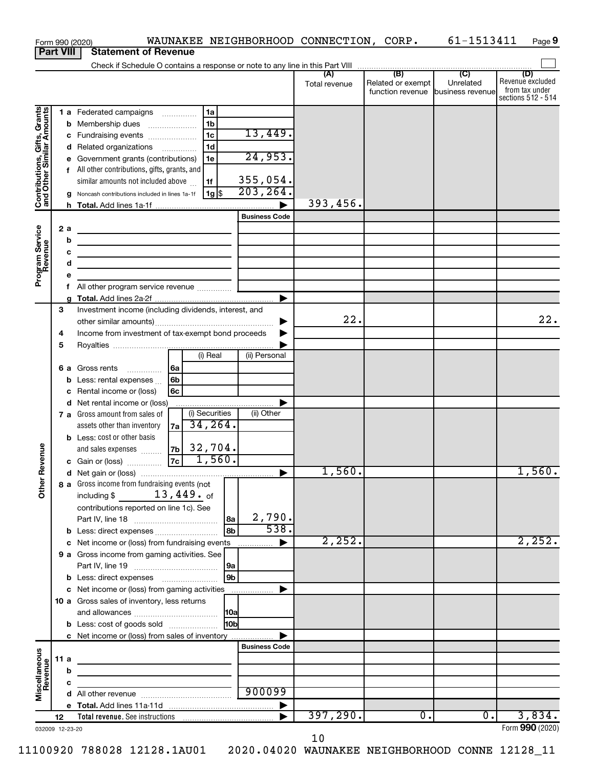|                                                           |                                                 |   | WAUNAKEE NEIGHBORHOOD CONNECTION, CORP.<br>Form 990 (2020)                            |                             |               |                   | 61-1513411       | Page 9                               |
|-----------------------------------------------------------|-------------------------------------------------|---|---------------------------------------------------------------------------------------|-----------------------------|---------------|-------------------|------------------|--------------------------------------|
|                                                           | <b>Part VIII</b><br><b>Statement of Revenue</b> |   |                                                                                       |                             |               |                   |                  |                                      |
|                                                           |                                                 |   |                                                                                       |                             |               |                   |                  |                                      |
|                                                           |                                                 |   |                                                                                       |                             | Total revenue | Related or exempt | Unrelated        | (D)<br>Revenue excluded              |
|                                                           |                                                 |   |                                                                                       |                             |               | function revenue  | business revenue | from tax under<br>sections 512 - 514 |
|                                                           |                                                 |   | 1a                                                                                    |                             |               |                   |                  |                                      |
| Contributions, Gifts, Grants<br>and Other Similar Amounts |                                                 |   | 1 a Federated campaigns<br>1b<br><b>b</b> Membership dues                             |                             |               |                   |                  |                                      |
|                                                           |                                                 |   | 1 <sub>c</sub><br>c Fundraising events                                                | 13,449.                     |               |                   |                  |                                      |
|                                                           |                                                 |   | 1 <sub>d</sub><br>d Related organizations                                             |                             |               |                   |                  |                                      |
|                                                           |                                                 |   | e Government grants (contributions)<br>1e                                             | 24,953.                     |               |                   |                  |                                      |
|                                                           |                                                 |   | f All other contributions, gifts, grants, and                                         |                             |               |                   |                  |                                      |
|                                                           |                                                 |   | similar amounts not included above<br>1f                                              |                             |               |                   |                  |                                      |
|                                                           |                                                 |   | 1g <br>g Noncash contributions included in lines 1a-1f                                | $\frac{355,054.}{203,264.}$ |               |                   |                  |                                      |
|                                                           |                                                 |   |                                                                                       |                             | 393,456.      |                   |                  |                                      |
|                                                           |                                                 |   |                                                                                       | <b>Business Code</b>        |               |                   |                  |                                      |
|                                                           | 2a                                              |   |                                                                                       |                             |               |                   |                  |                                      |
|                                                           |                                                 | b | <u> 1989 - Johann Barn, fransk politik (d. 1989)</u>                                  |                             |               |                   |                  |                                      |
|                                                           |                                                 | c | <u> 1989 - Johann Barn, mars et al. (b. 1989)</u>                                     |                             |               |                   |                  |                                      |
|                                                           |                                                 | d | the control of the control of the control of the control of the control of            |                             |               |                   |                  |                                      |
| Program Service<br>Revenue                                |                                                 | е |                                                                                       |                             |               |                   |                  |                                      |
|                                                           |                                                 | f | All other program service revenue  [                                                  |                             |               |                   |                  |                                      |
|                                                           |                                                 |   |                                                                                       |                             |               |                   |                  |                                      |
|                                                           | 3                                               |   | Investment income (including dividends, interest, and                                 |                             |               |                   |                  |                                      |
|                                                           |                                                 |   |                                                                                       | ▶                           | 22.           |                   |                  | 22.                                  |
|                                                           | 4                                               |   | Income from investment of tax-exempt bond proceeds                                    |                             |               |                   |                  |                                      |
|                                                           | 5                                               |   |                                                                                       |                             |               |                   |                  |                                      |
|                                                           |                                                 |   | (i) Real                                                                              | (ii) Personal               |               |                   |                  |                                      |
|                                                           |                                                 |   | 6 a Gross rents<br> 6a                                                                |                             |               |                   |                  |                                      |
|                                                           |                                                 |   | <b>b</b> Less: rental expenses<br>6b                                                  |                             |               |                   |                  |                                      |
|                                                           |                                                 |   | c Rental income or (loss)<br>6с                                                       |                             |               |                   |                  |                                      |
|                                                           |                                                 |   | d Net rental income or (loss)<br>(i) Securities                                       |                             |               |                   |                  |                                      |
|                                                           |                                                 |   | 7 a Gross amount from sales of<br>34, 264.                                            | (ii) Other                  |               |                   |                  |                                      |
|                                                           |                                                 |   | assets other than inventory<br>7a                                                     |                             |               |                   |                  |                                      |
|                                                           |                                                 |   | <b>b</b> Less: cost or other basis<br>32,704.<br>7 <sub>b</sub><br>and sales expenses |                             |               |                   |                  |                                      |
| evenue                                                    |                                                 |   | 1,560.<br>$\overline{7c}$<br>c Gain or (loss)                                         |                             |               |                   |                  |                                      |
|                                                           |                                                 |   |                                                                                       |                             | 1,560.        |                   |                  | I, JOU.                              |
| Other <sub>R</sub>                                        |                                                 |   | 8 a Gross income from fundraising events (not                                         |                             |               |                   |                  |                                      |
|                                                           |                                                 |   | $13$ , $449$ . of<br>including \$                                                     |                             |               |                   |                  |                                      |
|                                                           |                                                 |   | contributions reported on line 1c). See                                               |                             |               |                   |                  |                                      |
|                                                           |                                                 |   | 8a                                                                                    | 2,790.                      |               |                   |                  |                                      |
|                                                           |                                                 |   | 8b                                                                                    | 538.                        |               |                   |                  |                                      |
|                                                           |                                                 |   | c Net income or (loss) from fundraising events                                        | ▶                           | 2,252.        |                   |                  | 2, 252.                              |
|                                                           |                                                 |   | 9 a Gross income from gaming activities. See                                          |                             |               |                   |                  |                                      |
|                                                           |                                                 |   | 9a                                                                                    |                             |               |                   |                  |                                      |
|                                                           |                                                 |   | 9b                                                                                    |                             |               |                   |                  |                                      |
|                                                           |                                                 |   | c Net income or (loss) from gaming activities                                         | ▶                           |               |                   |                  |                                      |
|                                                           |                                                 |   | 10 a Gross sales of inventory, less returns                                           |                             |               |                   |                  |                                      |
|                                                           |                                                 |   |                                                                                       |                             |               |                   |                  |                                      |
|                                                           |                                                 |   | 10 <sub>b</sub><br><b>b</b> Less: cost of goods sold                                  |                             |               |                   |                  |                                      |
|                                                           |                                                 |   | c Net income or (loss) from sales of inventory                                        |                             |               |                   |                  |                                      |
|                                                           |                                                 |   |                                                                                       | <b>Business Code</b>        |               |                   |                  |                                      |
| Miscellaneous<br>Revenue                                  | 11 a                                            |   |                                                                                       |                             |               |                   |                  |                                      |
|                                                           |                                                 | b |                                                                                       |                             |               |                   |                  |                                      |
|                                                           |                                                 | c |                                                                                       | 900099                      |               |                   |                  |                                      |
|                                                           |                                                 |   |                                                                                       |                             |               |                   |                  |                                      |
|                                                           |                                                 |   |                                                                                       |                             | 397, 290.     | $\overline{0}$ .  | $\overline{0}$ . | 3,834.                               |
|                                                           | 12                                              |   |                                                                                       |                             |               |                   |                  | Form 990 (2020)                      |
| 032009 12-23-20                                           |                                                 |   |                                                                                       |                             |               |                   |                  |                                      |

10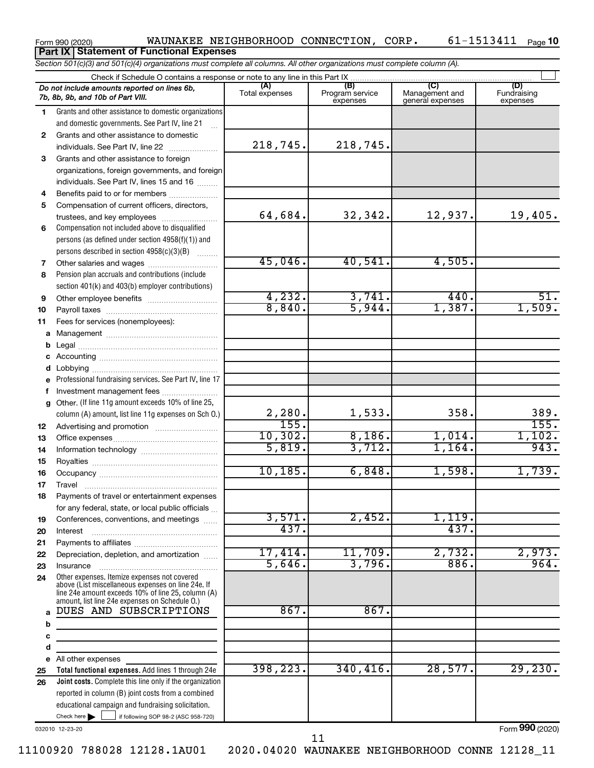### Form 990 (2020) Page WAUNAKEE NEIGHBORHOOD CONNECTION, CORP. 61-1513411 61-1513411 Page 10 **Part IX Statement of Functional Expenses**

*Section 501(c)(3) and 501(c)(4) organizations must complete all columns. All other organizations must complete column (A).*

|              | Do not include amounts reported on lines 6b,<br>7b, 8b, 9b, and 10b of Part VIII.                                                                                                                          | (A)<br>Total expenses | (B)<br>Program service<br>expenses | Management and<br>general expenses | (D)<br>Fundraising<br>expenses |  |  |  |  |  |  |
|--------------|------------------------------------------------------------------------------------------------------------------------------------------------------------------------------------------------------------|-----------------------|------------------------------------|------------------------------------|--------------------------------|--|--|--|--|--|--|
| 1.           | Grants and other assistance to domestic organizations                                                                                                                                                      |                       |                                    |                                    |                                |  |  |  |  |  |  |
|              | and domestic governments. See Part IV, line 21                                                                                                                                                             |                       |                                    |                                    |                                |  |  |  |  |  |  |
| $\mathbf{2}$ | Grants and other assistance to domestic                                                                                                                                                                    |                       |                                    |                                    |                                |  |  |  |  |  |  |
|              | individuals. See Part IV, line 22                                                                                                                                                                          | 218,745.              | 218,745.                           |                                    |                                |  |  |  |  |  |  |
| 3            | Grants and other assistance to foreign                                                                                                                                                                     |                       |                                    |                                    |                                |  |  |  |  |  |  |
|              | organizations, foreign governments, and foreign                                                                                                                                                            |                       |                                    |                                    |                                |  |  |  |  |  |  |
|              | individuals. See Part IV, lines 15 and 16                                                                                                                                                                  |                       |                                    |                                    |                                |  |  |  |  |  |  |
| 4            | Benefits paid to or for members                                                                                                                                                                            |                       |                                    |                                    |                                |  |  |  |  |  |  |
| 5            | Compensation of current officers, directors,                                                                                                                                                               |                       |                                    |                                    |                                |  |  |  |  |  |  |
|              | trustees, and key employees                                                                                                                                                                                | 64,684.               | 32,342.                            | 12,937.                            | 19,405.                        |  |  |  |  |  |  |
|              | Compensation not included above to disqualified                                                                                                                                                            |                       |                                    |                                    |                                |  |  |  |  |  |  |
| 6            |                                                                                                                                                                                                            |                       |                                    |                                    |                                |  |  |  |  |  |  |
|              | persons (as defined under section 4958(f)(1)) and                                                                                                                                                          |                       |                                    |                                    |                                |  |  |  |  |  |  |
|              | persons described in section 4958(c)(3)(B)                                                                                                                                                                 | 45,046.               | 40,541.                            | 4,505.                             |                                |  |  |  |  |  |  |
| 7            | Other salaries and wages                                                                                                                                                                                   |                       |                                    |                                    |                                |  |  |  |  |  |  |
| 8            | Pension plan accruals and contributions (include                                                                                                                                                           |                       |                                    |                                    |                                |  |  |  |  |  |  |
|              | section 401(k) and 403(b) employer contributions)                                                                                                                                                          | 4,232.                |                                    | 440.                               | 51.                            |  |  |  |  |  |  |
| 9            |                                                                                                                                                                                                            | 8,840.                | 3,741.<br>5,944.                   | 1,387.                             | 1,509.                         |  |  |  |  |  |  |
| 10           |                                                                                                                                                                                                            |                       |                                    |                                    |                                |  |  |  |  |  |  |
| 11           | Fees for services (nonemployees):                                                                                                                                                                          |                       |                                    |                                    |                                |  |  |  |  |  |  |
| a            |                                                                                                                                                                                                            |                       |                                    |                                    |                                |  |  |  |  |  |  |
| b            |                                                                                                                                                                                                            |                       |                                    |                                    |                                |  |  |  |  |  |  |
| c            |                                                                                                                                                                                                            |                       |                                    |                                    |                                |  |  |  |  |  |  |
| d            |                                                                                                                                                                                                            |                       |                                    |                                    |                                |  |  |  |  |  |  |
| e            | Professional fundraising services. See Part IV, line 17                                                                                                                                                    |                       |                                    |                                    |                                |  |  |  |  |  |  |
| f            | Investment management fees                                                                                                                                                                                 |                       |                                    |                                    |                                |  |  |  |  |  |  |
| q            | Other. (If line 11g amount exceeds 10% of line 25,                                                                                                                                                         |                       |                                    |                                    |                                |  |  |  |  |  |  |
|              | column (A) amount, list line 11g expenses on Sch O.)                                                                                                                                                       | $\frac{2,280}{155}$   | 1,533.                             | 358.                               | 389.                           |  |  |  |  |  |  |
| 12           |                                                                                                                                                                                                            |                       |                                    |                                    | 155.                           |  |  |  |  |  |  |
| 13           |                                                                                                                                                                                                            | 10,302.               | 8,186.                             | 1,014.                             | 1,102.                         |  |  |  |  |  |  |
| 14           |                                                                                                                                                                                                            | 5,819.                | 3,712.                             | 1,164.                             | 943.                           |  |  |  |  |  |  |
| 15           |                                                                                                                                                                                                            |                       |                                    |                                    |                                |  |  |  |  |  |  |
| 16           |                                                                                                                                                                                                            | 10, 185.              | 6,848.                             | 1,598.                             | 1,739.                         |  |  |  |  |  |  |
| 17           |                                                                                                                                                                                                            |                       |                                    |                                    |                                |  |  |  |  |  |  |
| 18           | Payments of travel or entertainment expenses                                                                                                                                                               |                       |                                    |                                    |                                |  |  |  |  |  |  |
|              | for any federal, state, or local public officials                                                                                                                                                          |                       |                                    |                                    |                                |  |  |  |  |  |  |
| 19           | Conferences, conventions, and meetings                                                                                                                                                                     | 3,571.                | 2,452.                             | 1,119.                             |                                |  |  |  |  |  |  |
| 20           | Interest                                                                                                                                                                                                   | 437.                  |                                    | 437.                               |                                |  |  |  |  |  |  |
| 21           |                                                                                                                                                                                                            |                       |                                    |                                    |                                |  |  |  |  |  |  |
| 22           | Depreciation, depletion, and amortization                                                                                                                                                                  | 17,414.               | 11,709.                            | 2,732.                             | 2,973.                         |  |  |  |  |  |  |
| 23           | Insurance                                                                                                                                                                                                  | 5,646.                | 3,796.                             | 886.                               | 964.                           |  |  |  |  |  |  |
| 24           | Other expenses. Itemize expenses not covered<br>above (List miscellaneous expenses on line 24e. If<br>line 24e amount exceeds 10% of line 25, column (A)<br>amount, list line 24e expenses on Schedule O.) |                       |                                    |                                    |                                |  |  |  |  |  |  |
| a            | DUES AND SUBSCRIPTIONS                                                                                                                                                                                     | 867.                  | 867.                               |                                    |                                |  |  |  |  |  |  |
| b            |                                                                                                                                                                                                            |                       |                                    |                                    |                                |  |  |  |  |  |  |
| c            |                                                                                                                                                                                                            |                       |                                    |                                    |                                |  |  |  |  |  |  |
| d            |                                                                                                                                                                                                            |                       |                                    |                                    |                                |  |  |  |  |  |  |
| е            | All other expenses                                                                                                                                                                                         |                       |                                    |                                    |                                |  |  |  |  |  |  |
| 25           | Total functional expenses. Add lines 1 through 24e                                                                                                                                                         | 398, 223.             | 340, 416.                          | 28,577.                            | 29, 230.                       |  |  |  |  |  |  |
| 26           | <b>Joint costs.</b> Complete this line only if the organization                                                                                                                                            |                       |                                    |                                    |                                |  |  |  |  |  |  |
|              | reported in column (B) joint costs from a combined                                                                                                                                                         |                       |                                    |                                    |                                |  |  |  |  |  |  |
|              | educational campaign and fundraising solicitation.                                                                                                                                                         |                       |                                    |                                    |                                |  |  |  |  |  |  |
|              | Check here<br>if following SOP 98-2 (ASC 958-720)                                                                                                                                                          |                       |                                    |                                    |                                |  |  |  |  |  |  |

032010 12-23-20

Form (2020) **990**

11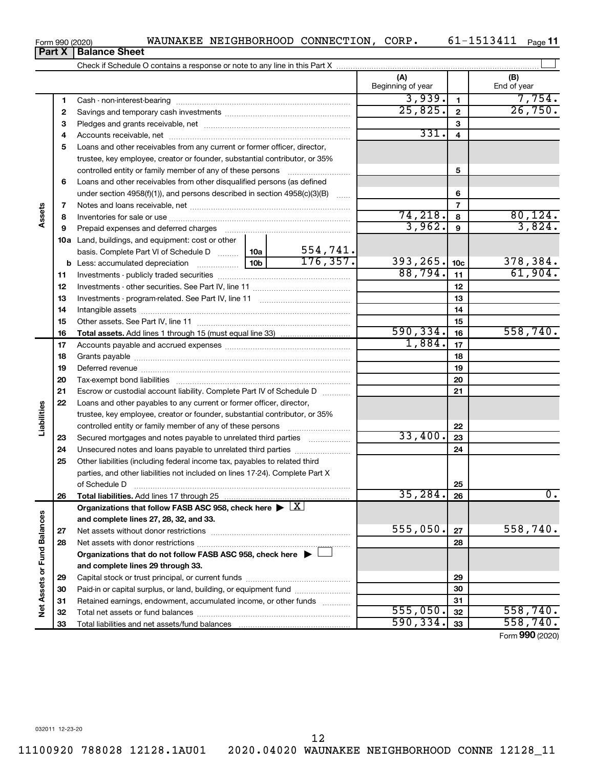11100920 788028 12128.1AU01 2020.04020 WAUNAKEE NEIGHBORHOOD CONNE 12128\_11

### Form 990 (2020) Page WAUNAKEE NEIGHBORHOOD CONNECTION, CORP. 61-1513411

**Part X Balance Sheet**

|                             |    |                                                                                                        |                 |              | (A)<br>Beginning of year |                 | (B)<br>End of year |
|-----------------------------|----|--------------------------------------------------------------------------------------------------------|-----------------|--------------|--------------------------|-----------------|--------------------|
|                             | 1  |                                                                                                        |                 |              | 3,939.                   | $\blacksquare$  | 7,754.             |
|                             | 2  |                                                                                                        | 25,825.         | $\mathbf{2}$ | 26,750.                  |                 |                    |
|                             | з  |                                                                                                        |                 | 3            |                          |                 |                    |
|                             | 4  |                                                                                                        |                 | 331.         | $\overline{\mathbf{4}}$  |                 |                    |
|                             | 5  | Loans and other receivables from any current or former officer, director,                              |                 |              |                          |                 |                    |
|                             |    | trustee, key employee, creator or founder, substantial contributor, or 35%                             |                 |              |                          |                 |                    |
|                             |    | controlled entity or family member of any of these persons                                             |                 |              |                          | 5               |                    |
|                             | 6  | Loans and other receivables from other disqualified persons (as defined                                |                 |              |                          |                 |                    |
|                             |    | under section $4958(f)(1)$ , and persons described in section $4958(c)(3)(B)$                          |                 |              |                          | 6               |                    |
|                             | 7  |                                                                                                        |                 |              |                          | $\overline{7}$  |                    |
| Assets                      | 8  |                                                                                                        |                 |              | 74,218.                  | 8               | 80, 124.           |
|                             | 9  | Prepaid expenses and deferred charges                                                                  |                 |              | 3,962.                   | $\mathbf{9}$    | 3,824.             |
|                             |    | 10a Land, buildings, and equipment: cost or other                                                      |                 |              |                          |                 |                    |
|                             |    | basis. Complete Part VI of Schedule D  10a                                                             |                 | 554,741.     |                          |                 |                    |
|                             |    | <b>b</b> Less: accumulated depreciation<br>. 1                                                         | 10 <sub>b</sub> | 176, 357.    | 393,265.                 | 10 <sub>c</sub> | 378,384.           |
|                             | 11 |                                                                                                        | 88,794.         | 11           | 61,904.                  |                 |                    |
|                             | 12 |                                                                                                        |                 |              |                          | 12              |                    |
|                             | 13 |                                                                                                        |                 | 13           |                          |                 |                    |
|                             | 14 |                                                                                                        |                 | 14           |                          |                 |                    |
|                             | 15 |                                                                                                        |                 | 15           |                          |                 |                    |
|                             | 16 |                                                                                                        |                 |              | 590, 334.                | 16              | 558,740.           |
|                             | 17 |                                                                                                        |                 |              | 1,884.                   | 17              |                    |
|                             | 18 |                                                                                                        |                 | 18           |                          |                 |                    |
|                             | 19 |                                                                                                        |                 | 19           |                          |                 |                    |
|                             | 20 |                                                                                                        |                 |              |                          | 20              |                    |
|                             | 21 | Escrow or custodial account liability. Complete Part IV of Schedule D                                  |                 |              |                          | 21              |                    |
|                             | 22 | Loans and other payables to any current or former officer, director,                                   |                 |              |                          |                 |                    |
| Liabilities                 |    | trustee, key employee, creator or founder, substantial contributor, or 35%                             |                 |              |                          |                 |                    |
|                             |    | controlled entity or family member of any of these persons                                             |                 |              |                          | 22              |                    |
|                             | 23 | Secured mortgages and notes payable to unrelated third parties                                         |                 |              | 33,400.                  | 23              |                    |
|                             | 24 |                                                                                                        |                 |              |                          | 24              |                    |
|                             | 25 | Other liabilities (including federal income tax, payables to related third                             |                 |              |                          |                 |                    |
|                             |    | parties, and other liabilities not included on lines 17-24). Complete Part X                           |                 |              |                          |                 |                    |
|                             |    | of Schedule D                                                                                          |                 |              |                          | 25              |                    |
|                             | 26 | Total liabilities. Add lines 17 through 25                                                             |                 |              | $35,284$ .               | 26              | $0 \cdot$          |
|                             |    | Organizations that follow FASB ASC 958, check here $\blacktriangleright \lfloor \underline{X} \rfloor$ |                 |              |                          |                 |                    |
|                             |    | and complete lines 27, 28, 32, and 33.                                                                 |                 |              |                          |                 |                    |
|                             | 27 |                                                                                                        |                 |              | 555,050.                 | 27              | 558,740.           |
|                             | 28 |                                                                                                        |                 |              |                          | 28              |                    |
|                             |    | Organizations that do not follow FASB ASC 958, check here $\blacktriangleright$                        |                 |              |                          |                 |                    |
|                             |    | and complete lines 29 through 33.                                                                      |                 |              |                          |                 |                    |
|                             | 29 |                                                                                                        |                 |              |                          | 29              |                    |
|                             | 30 | Paid-in or capital surplus, or land, building, or equipment fund                                       |                 |              |                          | 30              |                    |
| Net Assets or Fund Balances | 31 | Retained earnings, endowment, accumulated income, or other funds                                       |                 |              |                          | 31              |                    |
|                             | 32 |                                                                                                        |                 |              | 555,050.                 | 32              | 558,740.           |
|                             | 33 |                                                                                                        |                 |              | 590, 334.                | 33              | 558,740.           |

Form (2020) **990**

12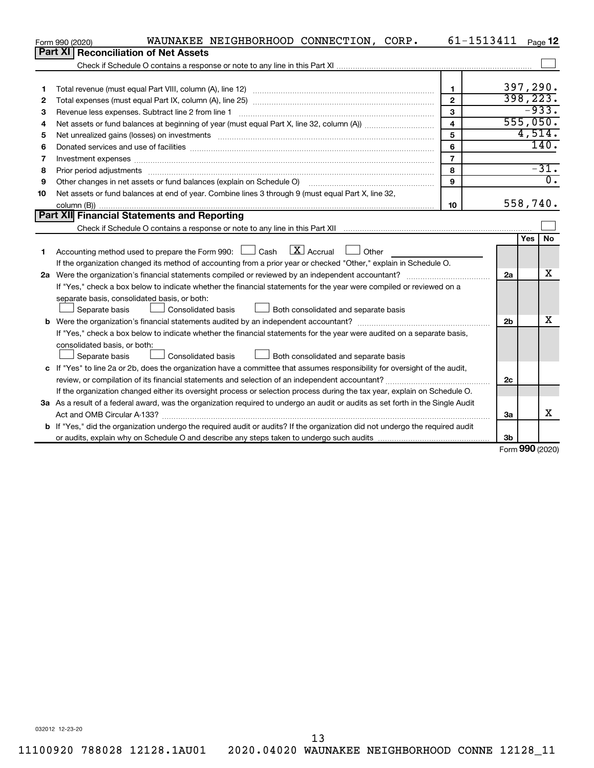|    | WAUNAKEE NEIGHBORHOOD CONNECTION, CORP.<br>Form 990 (2020)                                                                      | 61-1513411     |                |            | Page 12          |  |  |
|----|---------------------------------------------------------------------------------------------------------------------------------|----------------|----------------|------------|------------------|--|--|
|    | Part XI   Reconciliation of Net Assets                                                                                          |                |                |            |                  |  |  |
|    |                                                                                                                                 |                |                |            |                  |  |  |
|    |                                                                                                                                 |                |                |            |                  |  |  |
| 1  |                                                                                                                                 | $\blacksquare$ | 397, 290.      |            |                  |  |  |
| 2  |                                                                                                                                 | $\overline{2}$ | 398, 223.      |            |                  |  |  |
| З  | Revenue less expenses. Subtract line 2 from line 1                                                                              | $\mathbf{3}$   | 555,050.       | $-933.$    |                  |  |  |
| 4  | $\overline{\mathbf{4}}$                                                                                                         |                |                |            |                  |  |  |
| 5  |                                                                                                                                 | 5              |                | 4,514.     |                  |  |  |
| 6  |                                                                                                                                 | 6              |                |            | 140.             |  |  |
| 7  | Investment expenses www.communication.com/www.communication.com/www.communication.com/www.com                                   | $\overline{7}$ |                |            |                  |  |  |
| 8  | Prior period adjustments www.communication.communication.com/news/communication.com/news/communication.com/new                  | 8              |                |            | $-31.$           |  |  |
| 9  |                                                                                                                                 | 9              |                |            | $\overline{0}$ . |  |  |
| 10 | Net assets or fund balances at end of year. Combine lines 3 through 9 (must equal Part X, line 32,                              |                |                |            |                  |  |  |
|    |                                                                                                                                 | 10             |                | 558,740.   |                  |  |  |
|    | <b>Part XII</b> Financial Statements and Reporting                                                                              |                |                |            |                  |  |  |
|    |                                                                                                                                 |                |                |            |                  |  |  |
|    |                                                                                                                                 |                |                | <b>Yes</b> | <b>No</b>        |  |  |
| 1  | Accounting method used to prepare the Form 990: $\Box$ Cash $\Box$ Accrual $\Box$ Other                                         |                |                |            |                  |  |  |
|    | If the organization changed its method of accounting from a prior year or checked "Other," explain in Schedule O.               |                |                |            |                  |  |  |
|    | 2a Were the organization's financial statements compiled or reviewed by an independent accountant?                              |                | 2a             |            | x                |  |  |
|    | If "Yes," check a box below to indicate whether the financial statements for the year were compiled or reviewed on a            |                |                |            |                  |  |  |
|    | separate basis, consolidated basis, or both:                                                                                    |                |                |            |                  |  |  |
|    | Both consolidated and separate basis<br>Separate basis<br>Consolidated basis                                                    |                |                |            |                  |  |  |
|    |                                                                                                                                 |                | 2 <sub>b</sub> |            | х                |  |  |
|    | If "Yes," check a box below to indicate whether the financial statements for the year were audited on a separate basis,         |                |                |            |                  |  |  |
|    | consolidated basis, or both:                                                                                                    |                |                |            |                  |  |  |
|    | Separate basis<br>Consolidated basis<br>Both consolidated and separate basis                                                    |                |                |            |                  |  |  |
|    | c If "Yes" to line 2a or 2b, does the organization have a committee that assumes responsibility for oversight of the audit,     |                |                |            |                  |  |  |
|    | review, or compilation of its financial statements and selection of an independent accountant?                                  |                | 2c             |            |                  |  |  |
|    | If the organization changed either its oversight process or selection process during the tax year, explain on Schedule O.       |                |                |            |                  |  |  |
|    | 3a As a result of a federal award, was the organization required to undergo an audit or audits as set forth in the Single Audit |                |                |            |                  |  |  |
|    |                                                                                                                                 |                | За             |            | X                |  |  |
|    | b If "Yes," did the organization undergo the required audit or audits? If the organization did not undergo the required audit   |                |                |            |                  |  |  |
|    |                                                                                                                                 |                | 3 <sub>b</sub> |            |                  |  |  |

Form (2020) **990**

032012 12-23-20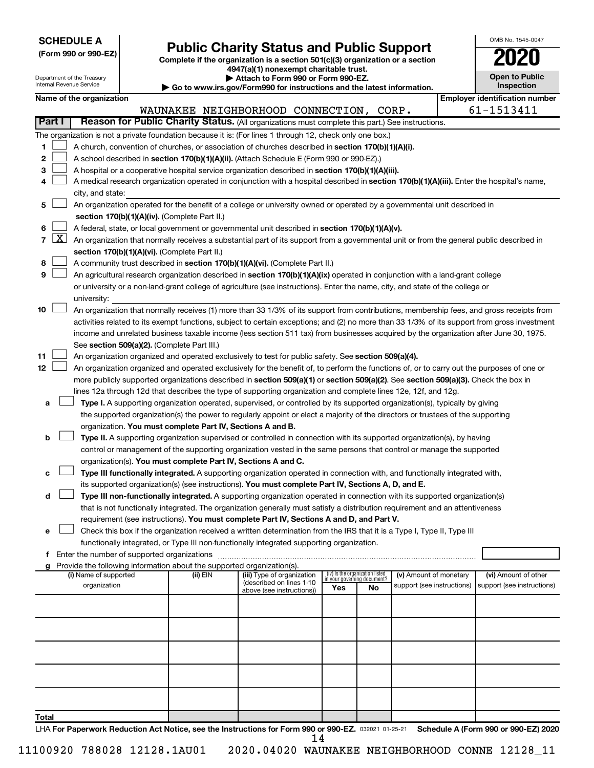| <b>SCHEDULE A</b> |  |
|-------------------|--|
|-------------------|--|

Department of the Treasury Internal Revenue Service

Form 990 or 990-EZ) **Public Charity Status and Public Support**<br>
Complete if the organization is a section 501(c)(3) organization or a section<br> **2020 4947(a)(1) nonexempt charitable trust.**

**| Attach to Form 990 or Form 990-EZ.** 

**| Go to www.irs.gov/Form990 for instructions and the latest information.**

| OMB No 1545-0047                    |
|-------------------------------------|
| 2020                                |
| <b>Open to Public</b><br>Inspection |

|               |                  |                                                                                                                                              |          | $\sim$ GO to www.ii s.gov/r ormsso for msu actions and the latest imormation. |     |                                                                |                            |  |                                       |  |
|---------------|------------------|----------------------------------------------------------------------------------------------------------------------------------------------|----------|-------------------------------------------------------------------------------|-----|----------------------------------------------------------------|----------------------------|--|---------------------------------------|--|
|               |                  | Name of the organization                                                                                                                     |          |                                                                               |     |                                                                |                            |  | <b>Employer identification number</b> |  |
| <b>Part I</b> |                  | Reason for Public Charity Status. (All organizations must complete this part.) See instructions.                                             |          | WAUNAKEE NEIGHBORHOOD CONNECTION, CORP.                                       |     |                                                                |                            |  | 61-1513411                            |  |
|               |                  |                                                                                                                                              |          |                                                                               |     |                                                                |                            |  |                                       |  |
|               |                  | The organization is not a private foundation because it is: (For lines 1 through 12, check only one box.)                                    |          |                                                                               |     |                                                                |                            |  |                                       |  |
| 1             |                  | A church, convention of churches, or association of churches described in section 170(b)(1)(A)(i).                                           |          |                                                                               |     |                                                                |                            |  |                                       |  |
| 2             |                  | A school described in section 170(b)(1)(A)(ii). (Attach Schedule E (Form 990 or 990-EZ).)                                                    |          |                                                                               |     |                                                                |                            |  |                                       |  |
| 3             |                  | A hospital or a cooperative hospital service organization described in section 170(b)(1)(A)(iii).                                            |          |                                                                               |     |                                                                |                            |  |                                       |  |
| 4             |                  | A medical research organization operated in conjunction with a hospital described in section 170(b)(1)(A)(iii). Enter the hospital's name,   |          |                                                                               |     |                                                                |                            |  |                                       |  |
|               | city, and state: |                                                                                                                                              |          |                                                                               |     |                                                                |                            |  |                                       |  |
| 5             |                  | An organization operated for the benefit of a college or university owned or operated by a governmental unit described in                    |          |                                                                               |     |                                                                |                            |  |                                       |  |
|               |                  | section 170(b)(1)(A)(iv). (Complete Part II.)                                                                                                |          |                                                                               |     |                                                                |                            |  |                                       |  |
| 6             |                  | A federal, state, or local government or governmental unit described in section 170(b)(1)(A)(v).                                             |          |                                                                               |     |                                                                |                            |  |                                       |  |
|               | $\mathbf{X}$     | An organization that normally receives a substantial part of its support from a governmental unit or from the general public described in    |          |                                                                               |     |                                                                |                            |  |                                       |  |
|               |                  | section 170(b)(1)(A)(vi). (Complete Part II.)                                                                                                |          |                                                                               |     |                                                                |                            |  |                                       |  |
| 8             |                  | A community trust described in section 170(b)(1)(A)(vi). (Complete Part II.)                                                                 |          |                                                                               |     |                                                                |                            |  |                                       |  |
| 9             |                  | An agricultural research organization described in section 170(b)(1)(A)(ix) operated in conjunction with a land-grant college                |          |                                                                               |     |                                                                |                            |  |                                       |  |
|               |                  | or university or a non-land-grant college of agriculture (see instructions). Enter the name, city, and state of the college or               |          |                                                                               |     |                                                                |                            |  |                                       |  |
|               |                  | university:                                                                                                                                  |          |                                                                               |     |                                                                |                            |  |                                       |  |
| 10            |                  | An organization that normally receives (1) more than 33 1/3% of its support from contributions, membership fees, and gross receipts from     |          |                                                                               |     |                                                                |                            |  |                                       |  |
|               |                  | activities related to its exempt functions, subject to certain exceptions; and (2) no more than 33 1/3% of its support from gross investment |          |                                                                               |     |                                                                |                            |  |                                       |  |
|               |                  | income and unrelated business taxable income (less section 511 tax) from businesses acquired by the organization after June 30, 1975.        |          |                                                                               |     |                                                                |                            |  |                                       |  |
|               |                  | See section 509(a)(2). (Complete Part III.)                                                                                                  |          |                                                                               |     |                                                                |                            |  |                                       |  |
| 11            |                  | An organization organized and operated exclusively to test for public safety. See section 509(a)(4).                                         |          |                                                                               |     |                                                                |                            |  |                                       |  |
| 12            |                  | An organization organized and operated exclusively for the benefit of, to perform the functions of, or to carry out the purposes of one or   |          |                                                                               |     |                                                                |                            |  |                                       |  |
|               |                  | more publicly supported organizations described in section 509(a)(1) or section 509(a)(2). See section 509(a)(3). Check the box in           |          |                                                                               |     |                                                                |                            |  |                                       |  |
|               |                  | lines 12a through 12d that describes the type of supporting organization and complete lines 12e, 12f, and 12g.                               |          |                                                                               |     |                                                                |                            |  |                                       |  |
| а             |                  | Type I. A supporting organization operated, supervised, or controlled by its supported organization(s), typically by giving                  |          |                                                                               |     |                                                                |                            |  |                                       |  |
|               |                  | the supported organization(s) the power to regularly appoint or elect a majority of the directors or trustees of the supporting              |          |                                                                               |     |                                                                |                            |  |                                       |  |
|               |                  | organization. You must complete Part IV, Sections A and B.                                                                                   |          |                                                                               |     |                                                                |                            |  |                                       |  |
| b             |                  | Type II. A supporting organization supervised or controlled in connection with its supported organization(s), by having                      |          |                                                                               |     |                                                                |                            |  |                                       |  |
|               |                  | control or management of the supporting organization vested in the same persons that control or manage the supported                         |          |                                                                               |     |                                                                |                            |  |                                       |  |
|               |                  | organization(s). You must complete Part IV, Sections A and C.                                                                                |          |                                                                               |     |                                                                |                            |  |                                       |  |
| с             |                  | Type III functionally integrated. A supporting organization operated in connection with, and functionally integrated with,                   |          |                                                                               |     |                                                                |                            |  |                                       |  |
|               |                  | its supported organization(s) (see instructions). You must complete Part IV, Sections A, D, and E.                                           |          |                                                                               |     |                                                                |                            |  |                                       |  |
| d             |                  | Type III non-functionally integrated. A supporting organization operated in connection with its supported organization(s)                    |          |                                                                               |     |                                                                |                            |  |                                       |  |
|               |                  | that is not functionally integrated. The organization generally must satisfy a distribution requirement and an attentiveness                 |          |                                                                               |     |                                                                |                            |  |                                       |  |
|               |                  | requirement (see instructions). You must complete Part IV, Sections A and D, and Part V.                                                     |          |                                                                               |     |                                                                |                            |  |                                       |  |
| е             |                  | Check this box if the organization received a written determination from the IRS that it is a Type I, Type II, Type III                      |          |                                                                               |     |                                                                |                            |  |                                       |  |
|               |                  | functionally integrated, or Type III non-functionally integrated supporting organization.                                                    |          |                                                                               |     |                                                                |                            |  |                                       |  |
| f             |                  | Enter the number of supported organizations                                                                                                  |          |                                                                               |     |                                                                |                            |  |                                       |  |
|               |                  | Provide the following information about the supported organization(s).                                                                       |          |                                                                               |     |                                                                |                            |  |                                       |  |
|               |                  | (i) Name of supported                                                                                                                        | (ii) EIN | (iii) Type of organization<br>(described on lines 1-10                        |     | (iv) Is the organization listed<br>in your governing document? | (v) Amount of monetary     |  | (vi) Amount of other                  |  |
|               |                  | organization                                                                                                                                 |          | above (see instructions))                                                     | Yes | No                                                             | support (see instructions) |  | support (see instructions)            |  |
|               |                  |                                                                                                                                              |          |                                                                               |     |                                                                |                            |  |                                       |  |
|               |                  |                                                                                                                                              |          |                                                                               |     |                                                                |                            |  |                                       |  |
|               |                  |                                                                                                                                              |          |                                                                               |     |                                                                |                            |  |                                       |  |
|               |                  |                                                                                                                                              |          |                                                                               |     |                                                                |                            |  |                                       |  |
|               |                  |                                                                                                                                              |          |                                                                               |     |                                                                |                            |  |                                       |  |
|               |                  |                                                                                                                                              |          |                                                                               |     |                                                                |                            |  |                                       |  |
|               |                  |                                                                                                                                              |          |                                                                               |     |                                                                |                            |  |                                       |  |
|               |                  |                                                                                                                                              |          |                                                                               |     |                                                                |                            |  |                                       |  |
|               |                  |                                                                                                                                              |          |                                                                               |     |                                                                |                            |  |                                       |  |
|               |                  |                                                                                                                                              |          |                                                                               |     |                                                                |                            |  |                                       |  |
| Total         |                  |                                                                                                                                              |          |                                                                               |     |                                                                |                            |  |                                       |  |

LHA For Paperwork Reduction Act Notice, see the Instructions for Form 990 or 990-EZ. 032021 01-25-21 Schedule A (Form 990 or 990-EZ) 2020 14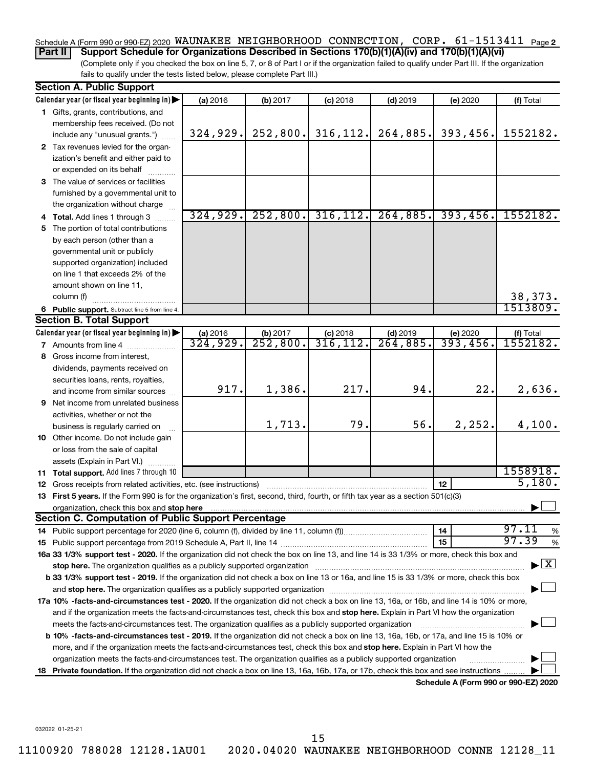### Schedule A (Form 990 or 990-EZ) 2020 WAUNAKEE NEIGHBORHOOD CONNECTION, CORP 。  $61$ -1513411 <sub>Page 2</sub>

**Part II Support Schedule for Organizations Described in Sections 170(b)(1)(A)(iv) and 170(b)(1)(A)(vi)**

(Complete only if you checked the box on line 5, 7, or 8 of Part I or if the organization failed to qualify under Part III. If the organization fails to qualify under the tests listed below, please complete Part III.)

|    | <b>Section A. Public Support</b>                                                                                                                                                                                               |                      |                                    |                         |                        |                                      |                                    |
|----|--------------------------------------------------------------------------------------------------------------------------------------------------------------------------------------------------------------------------------|----------------------|------------------------------------|-------------------------|------------------------|--------------------------------------|------------------------------------|
|    | Calendar year (or fiscal year beginning in)                                                                                                                                                                                    | (a) 2016             | (b) 2017                           | $(c)$ 2018              | $(d)$ 2019             | (e) 2020                             | (f) Total                          |
|    | 1 Gifts, grants, contributions, and                                                                                                                                                                                            |                      |                                    |                         |                        |                                      |                                    |
|    | membership fees received. (Do not                                                                                                                                                                                              |                      |                                    |                         |                        |                                      |                                    |
|    | include any "unusual grants.")                                                                                                                                                                                                 | 324, 929.            | 252,800.                           | 316, 112.               | 264,885.               | 393,456.                             | 1552182.                           |
|    | 2 Tax revenues levied for the organ-                                                                                                                                                                                           |                      |                                    |                         |                        |                                      |                                    |
|    | ization's benefit and either paid to                                                                                                                                                                                           |                      |                                    |                         |                        |                                      |                                    |
|    | or expended on its behalf                                                                                                                                                                                                      |                      |                                    |                         |                        |                                      |                                    |
|    | 3 The value of services or facilities                                                                                                                                                                                          |                      |                                    |                         |                        |                                      |                                    |
|    | furnished by a governmental unit to                                                                                                                                                                                            |                      |                                    |                         |                        |                                      |                                    |
|    | the organization without charge                                                                                                                                                                                                |                      |                                    |                         |                        |                                      |                                    |
|    | 4 Total. Add lines 1 through 3                                                                                                                                                                                                 | 324,929.             | 252,800.                           | 316, 112.               | 264,885.               | 393,456.                             | 1552182.                           |
|    | 5 The portion of total contributions                                                                                                                                                                                           |                      |                                    |                         |                        |                                      |                                    |
|    | by each person (other than a                                                                                                                                                                                                   |                      |                                    |                         |                        |                                      |                                    |
|    | governmental unit or publicly                                                                                                                                                                                                  |                      |                                    |                         |                        |                                      |                                    |
|    | supported organization) included                                                                                                                                                                                               |                      |                                    |                         |                        |                                      |                                    |
|    | on line 1 that exceeds 2% of the                                                                                                                                                                                               |                      |                                    |                         |                        |                                      |                                    |
|    | amount shown on line 11,                                                                                                                                                                                                       |                      |                                    |                         |                        |                                      |                                    |
|    | column (f)                                                                                                                                                                                                                     |                      |                                    |                         |                        |                                      | 38,373.<br>1513809.                |
|    | 6 Public support. Subtract line 5 from line 4.<br><b>Section B. Total Support</b>                                                                                                                                              |                      |                                    |                         |                        |                                      |                                    |
|    |                                                                                                                                                                                                                                |                      |                                    |                         |                        |                                      |                                    |
|    | Calendar year (or fiscal year beginning in)                                                                                                                                                                                    | (a) 2016<br>324,929. | (b) 2017<br>$\overline{252,800}$ . | $(c)$ 2018<br>316, 112. | $(d)$ 2019<br>264,885. | (e) 2020<br>393,456.                 | (f) Total<br><del>1552182.</del>   |
|    | 7 Amounts from line 4<br>8 Gross income from interest,                                                                                                                                                                         |                      |                                    |                         |                        |                                      |                                    |
|    |                                                                                                                                                                                                                                |                      |                                    |                         |                        |                                      |                                    |
|    | dividends, payments received on                                                                                                                                                                                                |                      |                                    |                         |                        |                                      |                                    |
|    | securities loans, rents, royalties,<br>and income from similar sources                                                                                                                                                         | 917.                 | 1,386.                             | 217.                    | 94.                    | 22.                                  | 2,636.                             |
|    | <b>9</b> Net income from unrelated business                                                                                                                                                                                    |                      |                                    |                         |                        |                                      |                                    |
|    | activities, whether or not the                                                                                                                                                                                                 |                      |                                    |                         |                        |                                      |                                    |
|    | business is regularly carried on                                                                                                                                                                                               |                      | 1,713.                             | 79.                     | 56.                    | 2, 252.                              | 4,100.                             |
|    | 10 Other income. Do not include gain                                                                                                                                                                                           |                      |                                    |                         |                        |                                      |                                    |
|    | or loss from the sale of capital                                                                                                                                                                                               |                      |                                    |                         |                        |                                      |                                    |
|    | assets (Explain in Part VI.)                                                                                                                                                                                                   |                      |                                    |                         |                        |                                      |                                    |
|    | 11 Total support. Add lines 7 through 10                                                                                                                                                                                       |                      |                                    |                         |                        |                                      | 1558918.                           |
|    | <b>12</b> Gross receipts from related activities, etc. (see instructions)                                                                                                                                                      |                      |                                    |                         |                        | 12                                   | 5,180.                             |
|    | 13 First 5 years. If the Form 990 is for the organization's first, second, third, fourth, or fifth tax year as a section 501(c)(3)                                                                                             |                      |                                    |                         |                        |                                      |                                    |
|    |                                                                                                                                                                                                                                |                      |                                    |                         |                        |                                      |                                    |
|    | <b>Section C. Computation of Public Support Percentage</b>                                                                                                                                                                     |                      |                                    |                         |                        |                                      |                                    |
|    |                                                                                                                                                                                                                                |                      |                                    |                         |                        | 14                                   | 97.11<br>%                         |
|    |                                                                                                                                                                                                                                |                      |                                    |                         |                        | 15                                   | 97.39<br>%                         |
|    | 16a 33 1/3% support test - 2020. If the organization did not check the box on line 13, and line 14 is 33 1/3% or more, check this box and                                                                                      |                      |                                    |                         |                        |                                      |                                    |
|    | stop here. The organization qualifies as a publicly supported organization manufaction manufacture or the organization manufacture or the organization manufacture or the organization manufacture or the state of the state o |                      |                                    |                         |                        |                                      | $\blacktriangleright$ $\mathbf{X}$ |
|    | b 33 1/3% support test - 2019. If the organization did not check a box on line 13 or 16a, and line 15 is 33 1/3% or more, check this box                                                                                       |                      |                                    |                         |                        |                                      |                                    |
|    |                                                                                                                                                                                                                                |                      |                                    |                         |                        |                                      |                                    |
|    | 17a 10% -facts-and-circumstances test - 2020. If the organization did not check a box on line 13, 16a, or 16b, and line 14 is 10% or more,                                                                                     |                      |                                    |                         |                        |                                      |                                    |
|    | and if the organization meets the facts-and-circumstances test, check this box and stop here. Explain in Part VI how the organization                                                                                          |                      |                                    |                         |                        |                                      |                                    |
|    | meets the facts-and-circumstances test. The organization qualifies as a publicly supported organization                                                                                                                        |                      |                                    |                         |                        |                                      |                                    |
|    | <b>b 10%</b> -facts-and-circumstances test - 2019. If the organization did not check a box on line 13, 16a, 16b, or 17a, and line 15 is 10% or                                                                                 |                      |                                    |                         |                        |                                      |                                    |
|    | more, and if the organization meets the facts-and-circumstances test, check this box and <b>stop here.</b> Explain in Part VI how the                                                                                          |                      |                                    |                         |                        |                                      |                                    |
|    | organization meets the facts-and-circumstances test. The organization qualifies as a publicly supported organization                                                                                                           |                      |                                    |                         |                        |                                      |                                    |
| 18 | Private foundation. If the organization did not check a box on line 13, 16a, 16b, 17a, or 17b, check this box and see instructions.                                                                                            |                      |                                    |                         |                        |                                      |                                    |
|    |                                                                                                                                                                                                                                |                      |                                    |                         |                        | Schedule A (Form 990 or 990-EZ) 2020 |                                    |

032022 01-25-21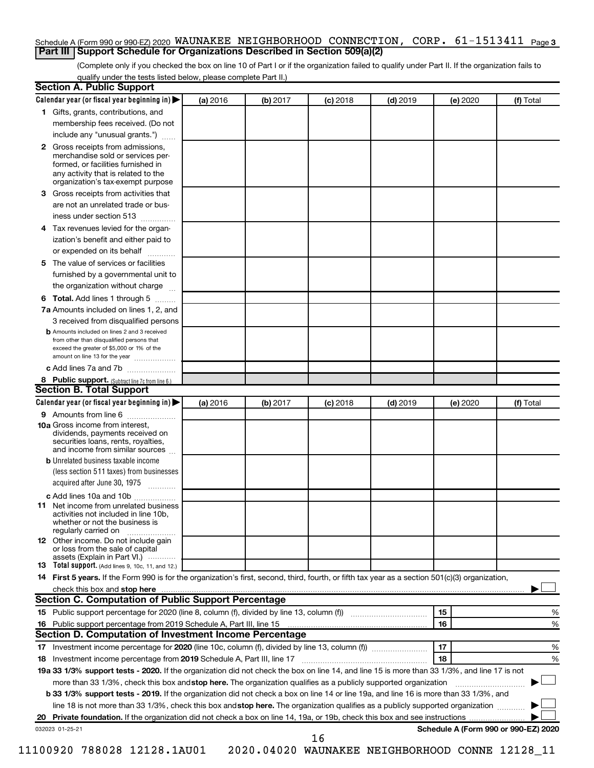### Schedule A (Form 990 or 990-EZ) 2020 <code>WAUNAKEE NEIGHBORHOOD CONNECTION</code> ,  $\,$  <code>CORP</code> .  $\,$  61-1513411 <code>Page 3</code> **Part III Support Schedule for Organizations Described in Section 509(a)(2)**

(Complete only if you checked the box on line 10 of Part I or if the organization failed to qualify under Part II. If the organization fails to qualify under the tests listed below, please complete Part II.)

| <b>Section A. Public Support</b>                                                                                                                                                 |          |          |            |            |          |                                      |
|----------------------------------------------------------------------------------------------------------------------------------------------------------------------------------|----------|----------|------------|------------|----------|--------------------------------------|
| Calendar year (or fiscal year beginning in)                                                                                                                                      | (a) 2016 | (b) 2017 | $(c)$ 2018 | $(d)$ 2019 | (e) 2020 | (f) Total                            |
| 1 Gifts, grants, contributions, and                                                                                                                                              |          |          |            |            |          |                                      |
| membership fees received. (Do not                                                                                                                                                |          |          |            |            |          |                                      |
| include any "unusual grants.")                                                                                                                                                   |          |          |            |            |          |                                      |
| 2 Gross receipts from admissions,<br>merchandise sold or services per-<br>formed, or facilities furnished in<br>any activity that is related to the                              |          |          |            |            |          |                                      |
| organization's tax-exempt purpose                                                                                                                                                |          |          |            |            |          |                                      |
| <b>3</b> Gross receipts from activities that                                                                                                                                     |          |          |            |            |          |                                      |
| are not an unrelated trade or bus-                                                                                                                                               |          |          |            |            |          |                                      |
| iness under section 513                                                                                                                                                          |          |          |            |            |          |                                      |
| 4 Tax revenues levied for the organ-<br>ization's benefit and either paid to                                                                                                     |          |          |            |            |          |                                      |
| or expended on its behalf                                                                                                                                                        |          |          |            |            |          |                                      |
| 5 The value of services or facilities                                                                                                                                            |          |          |            |            |          |                                      |
| furnished by a governmental unit to                                                                                                                                              |          |          |            |            |          |                                      |
| the organization without charge                                                                                                                                                  |          |          |            |            |          |                                      |
| <b>6 Total.</b> Add lines 1 through 5                                                                                                                                            |          |          |            |            |          |                                      |
| 7a Amounts included on lines 1, 2, and                                                                                                                                           |          |          |            |            |          |                                      |
| 3 received from disqualified persons                                                                                                                                             |          |          |            |            |          |                                      |
| <b>b</b> Amounts included on lines 2 and 3 received<br>from other than disqualified persons that<br>exceed the greater of \$5,000 or 1% of the<br>amount on line 13 for the year |          |          |            |            |          |                                      |
| c Add lines 7a and 7b                                                                                                                                                            |          |          |            |            |          |                                      |
| 8 Public support. (Subtract line 7c from line 6.)                                                                                                                                |          |          |            |            |          |                                      |
| <b>Section B. Total Support</b>                                                                                                                                                  |          |          |            |            |          |                                      |
| Calendar year (or fiscal year beginning in)                                                                                                                                      | (a) 2016 | (b) 2017 | $(c)$ 2018 | $(d)$ 2019 | (e) 2020 | (f) Total                            |
| <b>9</b> Amounts from line 6                                                                                                                                                     |          |          |            |            |          |                                      |
| <b>10a</b> Gross income from interest,<br>dividends, payments received on<br>securities loans, rents, royalties,<br>and income from similar sources                              |          |          |            |            |          |                                      |
| <b>b</b> Unrelated business taxable income                                                                                                                                       |          |          |            |            |          |                                      |
| (less section 511 taxes) from businesses<br>acquired after June 30, 1975                                                                                                         |          |          |            |            |          |                                      |
| c Add lines 10a and 10b                                                                                                                                                          |          |          |            |            |          |                                      |
| <b>11</b> Net income from unrelated business<br>activities not included in line 10b.<br>whether or not the business is<br>regularly carried on                                   |          |          |            |            |          |                                      |
| <b>12</b> Other income. Do not include gain<br>or loss from the sale of capital<br>assets (Explain in Part VI.)                                                                  |          |          |            |            |          |                                      |
| <b>13</b> Total support. (Add lines 9, 10c, 11, and 12.)                                                                                                                         |          |          |            |            |          |                                      |
| 14 First 5 years. If the Form 990 is for the organization's first, second, third, fourth, or fifth tax year as a section 501(c)(3) organization,                                 |          |          |            |            |          |                                      |
| check this box and stop here                                                                                                                                                     |          |          |            |            |          |                                      |
| <b>Section C. Computation of Public Support Percentage</b>                                                                                                                       |          |          |            |            |          |                                      |
| 15 Public support percentage for 2020 (line 8, column (f), divided by line 13, column (f) <i></i>                                                                                |          |          |            |            | 15       | ℅                                    |
| 16 Public support percentage from 2019 Schedule A, Part III, line 15                                                                                                             |          |          |            |            | 16       | %                                    |
| Section D. Computation of Investment Income Percentage                                                                                                                           |          |          |            |            |          |                                      |
|                                                                                                                                                                                  |          |          |            |            | 17       | %                                    |
| 18 Investment income percentage from 2019 Schedule A, Part III, line 17                                                                                                          |          |          |            |            | 18       | %                                    |
| 19a 33 1/3% support tests - 2020. If the organization did not check the box on line 14, and line 15 is more than 33 1/3%, and line 17 is not                                     |          |          |            |            |          |                                      |
| more than 33 1/3%, check this box and stop here. The organization qualifies as a publicly supported organization                                                                 |          |          |            |            |          |                                      |
| b 33 1/3% support tests - 2019. If the organization did not check a box on line 14 or line 19a, and line 16 is more than 33 1/3%, and                                            |          |          |            |            |          |                                      |
| line 18 is not more than 33 1/3%, check this box and stop here. The organization qualifies as a publicly supported organization                                                  |          |          |            |            |          |                                      |
|                                                                                                                                                                                  |          |          |            |            |          |                                      |
|                                                                                                                                                                                  |          |          |            |            |          | Schedule A (Form 990 or 990-EZ) 2020 |
| 032023 01-25-21                                                                                                                                                                  |          |          | 16         |            |          |                                      |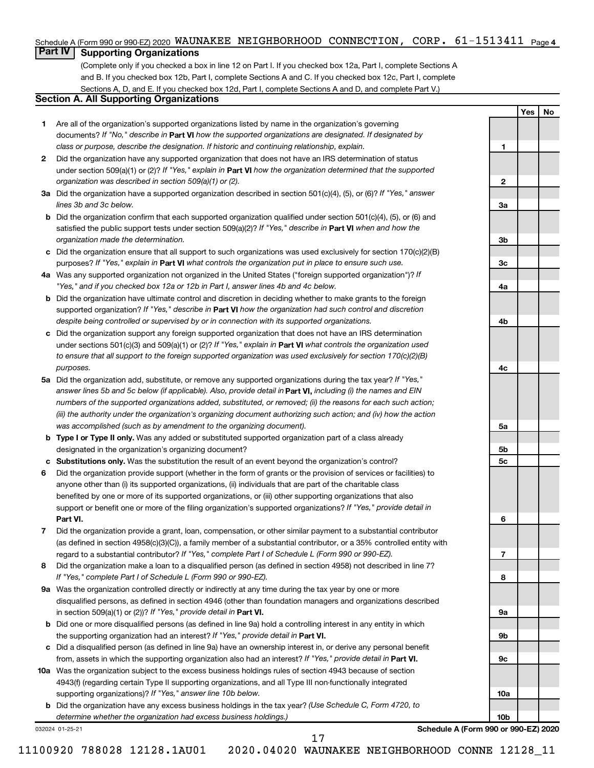### Schedule A (Form 990 or 990-EZ) 2020 WAUNAKEE NEIGHBORHOOD CONNECTION, CORP 。  $61$ -1513411 <sub>Page 4</sub>

### **Part IV Supporting Organizations**

(Complete only if you checked a box in line 12 on Part I. If you checked box 12a, Part I, complete Sections A and B. If you checked box 12b, Part I, complete Sections A and C. If you checked box 12c, Part I, complete Sections A, D, and E. If you checked box 12d, Part I, complete Sections A and D, and complete Part V.)

### **Section A. All Supporting Organizations**

- **1** Are all of the organization's supported organizations listed by name in the organization's governing documents? If "No," describe in Part VI how the supported organizations are designated. If designated by *class or purpose, describe the designation. If historic and continuing relationship, explain.*
- **2** Did the organization have any supported organization that does not have an IRS determination of status under section 509(a)(1) or (2)? If "Yes," explain in Part **VI** how the organization determined that the supported *organization was described in section 509(a)(1) or (2).*
- **3a** Did the organization have a supported organization described in section 501(c)(4), (5), or (6)? If "Yes," answer *lines 3b and 3c below.*
- **b** Did the organization confirm that each supported organization qualified under section 501(c)(4), (5), or (6) and satisfied the public support tests under section 509(a)(2)? If "Yes," describe in Part VI when and how the *organization made the determination.*
- **c** Did the organization ensure that all support to such organizations was used exclusively for section 170(c)(2)(B) purposes? If "Yes," explain in Part VI what controls the organization put in place to ensure such use.
- **4 a** *If* Was any supported organization not organized in the United States ("foreign supported organization")? *"Yes," and if you checked box 12a or 12b in Part I, answer lines 4b and 4c below.*
- **b** Did the organization have ultimate control and discretion in deciding whether to make grants to the foreign supported organization? If "Yes," describe in Part VI how the organization had such control and discretion *despite being controlled or supervised by or in connection with its supported organizations.*
- **c** Did the organization support any foreign supported organization that does not have an IRS determination under sections 501(c)(3) and 509(a)(1) or (2)? If "Yes," explain in Part VI what controls the organization used *to ensure that all support to the foreign supported organization was used exclusively for section 170(c)(2)(B) purposes.*
- **5a** Did the organization add, substitute, or remove any supported organizations during the tax year? If "Yes," answer lines 5b and 5c below (if applicable). Also, provide detail in **Part VI,** including (i) the names and EIN *numbers of the supported organizations added, substituted, or removed; (ii) the reasons for each such action; (iii) the authority under the organization's organizing document authorizing such action; and (iv) how the action was accomplished (such as by amendment to the organizing document).*
- **b Type I or Type II only.** Was any added or substituted supported organization part of a class already designated in the organization's organizing document?
- **c Substitutions only.**  Was the substitution the result of an event beyond the organization's control?
- **6** Did the organization provide support (whether in the form of grants or the provision of services or facilities) to **Part VI.** support or benefit one or more of the filing organization's supported organizations? If "Yes," provide detail in anyone other than (i) its supported organizations, (ii) individuals that are part of the charitable class benefited by one or more of its supported organizations, or (iii) other supporting organizations that also
- **7** Did the organization provide a grant, loan, compensation, or other similar payment to a substantial contributor regard to a substantial contributor? If "Yes," complete Part I of Schedule L (Form 990 or 990-EZ). (as defined in section 4958(c)(3)(C)), a family member of a substantial contributor, or a 35% controlled entity with
- **8** Did the organization make a loan to a disqualified person (as defined in section 4958) not described in line 7? *If "Yes," complete Part I of Schedule L (Form 990 or 990-EZ).*
- **9 a** Was the organization controlled directly or indirectly at any time during the tax year by one or more in section 509(a)(1) or (2))? If "Yes," provide detail in **Part VI.** disqualified persons, as defined in section 4946 (other than foundation managers and organizations described
- **b** Did one or more disqualified persons (as defined in line 9a) hold a controlling interest in any entity in which the supporting organization had an interest? If "Yes," provide detail in Part VI.
- **c** Did a disqualified person (as defined in line 9a) have an ownership interest in, or derive any personal benefit from, assets in which the supporting organization also had an interest? If "Yes," provide detail in Part VI.
- **10 a** Was the organization subject to the excess business holdings rules of section 4943 because of section supporting organizations)? If "Yes," answer line 10b below. 4943(f) (regarding certain Type II supporting organizations, and all Type III non-functionally integrated
	- **b** Did the organization have any excess business holdings in the tax year? (Use Schedule C, Form 4720, to *determine whether the organization had excess business holdings.)*

032024 01-25-21

**Schedule A (Form 990 or 990-EZ) 2020**

**Yes No**

**1**

**2**

**3a**

**3b**

**3c**

**4a**

**4b**

**4c**

**5a**

**5b 5c**

**6**

**7**

**8**

**9a**

**9b**

**9c**

**10a**

**10b**

17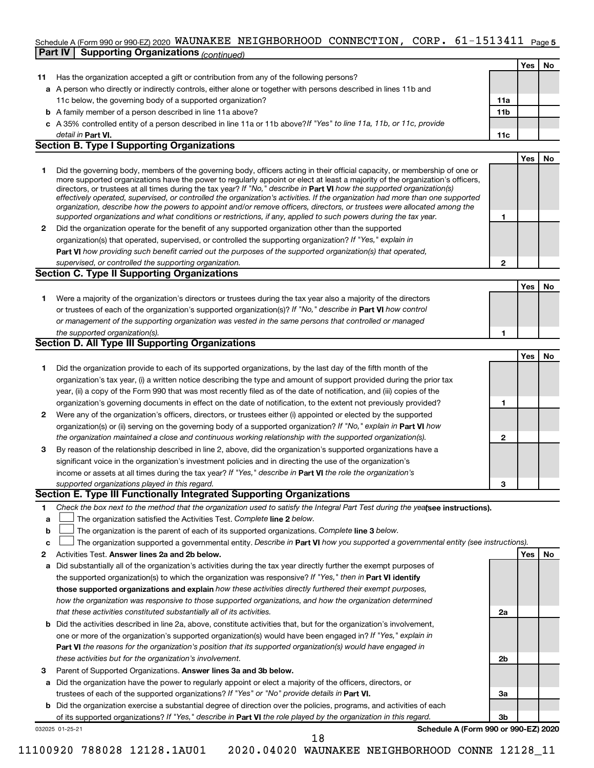# Schedule A (Form 990 or 990-EZ) 2020 <code>WAUNAKEE NEIGHBORHOOD CONNECTION</code> ,  $\,$  <code>CORP</code> .  $\,$  61-1513411 <code>Page 5</code>

|    | Part IV   Supporting Organizations (continued)                                                                                                                                                                                                                                                                                                                                                                                                                                                                                                                                                                                                                                                                                                                           |                 |     |    |
|----|--------------------------------------------------------------------------------------------------------------------------------------------------------------------------------------------------------------------------------------------------------------------------------------------------------------------------------------------------------------------------------------------------------------------------------------------------------------------------------------------------------------------------------------------------------------------------------------------------------------------------------------------------------------------------------------------------------------------------------------------------------------------------|-----------------|-----|----|
|    |                                                                                                                                                                                                                                                                                                                                                                                                                                                                                                                                                                                                                                                                                                                                                                          |                 | Yes | No |
| 11 | Has the organization accepted a gift or contribution from any of the following persons?                                                                                                                                                                                                                                                                                                                                                                                                                                                                                                                                                                                                                                                                                  |                 |     |    |
|    | a A person who directly or indirectly controls, either alone or together with persons described in lines 11b and                                                                                                                                                                                                                                                                                                                                                                                                                                                                                                                                                                                                                                                         |                 |     |    |
|    | 11c below, the governing body of a supported organization?                                                                                                                                                                                                                                                                                                                                                                                                                                                                                                                                                                                                                                                                                                               | 11a             |     |    |
|    | <b>b</b> A family member of a person described in line 11a above?                                                                                                                                                                                                                                                                                                                                                                                                                                                                                                                                                                                                                                                                                                        | 11 <sub>b</sub> |     |    |
|    | c A 35% controlled entity of a person described in line 11a or 11b above?If "Yes" to line 11a, 11b, or 11c, provide                                                                                                                                                                                                                                                                                                                                                                                                                                                                                                                                                                                                                                                      |                 |     |    |
|    | detail in Part VI.                                                                                                                                                                                                                                                                                                                                                                                                                                                                                                                                                                                                                                                                                                                                                       | 11c             |     |    |
|    | <b>Section B. Type I Supporting Organizations</b>                                                                                                                                                                                                                                                                                                                                                                                                                                                                                                                                                                                                                                                                                                                        |                 |     |    |
|    |                                                                                                                                                                                                                                                                                                                                                                                                                                                                                                                                                                                                                                                                                                                                                                          |                 | Yes | No |
| 1. | Did the governing body, members of the governing body, officers acting in their official capacity, or membership of one or<br>more supported organizations have the power to regularly appoint or elect at least a majority of the organization's officers,<br>directors, or trustees at all times during the tax year? If "No," describe in Part VI how the supported organization(s)<br>effectively operated, supervised, or controlled the organization's activities. If the organization had more than one supported<br>organization, describe how the powers to appoint and/or remove officers, directors, or trustees were allocated among the<br>supported organizations and what conditions or restrictions, if any, applied to such powers during the tax year. | 1               |     |    |
| 2  | Did the organization operate for the benefit of any supported organization other than the supported                                                                                                                                                                                                                                                                                                                                                                                                                                                                                                                                                                                                                                                                      |                 |     |    |
|    | organization(s) that operated, supervised, or controlled the supporting organization? If "Yes," explain in                                                                                                                                                                                                                                                                                                                                                                                                                                                                                                                                                                                                                                                               |                 |     |    |
|    | Part VI how providing such benefit carried out the purposes of the supported organization(s) that operated,                                                                                                                                                                                                                                                                                                                                                                                                                                                                                                                                                                                                                                                              |                 |     |    |
|    | supervised, or controlled the supporting organization.                                                                                                                                                                                                                                                                                                                                                                                                                                                                                                                                                                                                                                                                                                                   | 2               |     |    |
|    | <b>Section C. Type II Supporting Organizations</b>                                                                                                                                                                                                                                                                                                                                                                                                                                                                                                                                                                                                                                                                                                                       |                 |     |    |
|    |                                                                                                                                                                                                                                                                                                                                                                                                                                                                                                                                                                                                                                                                                                                                                                          |                 | Yes | No |
| 1. | Were a majority of the organization's directors or trustees during the tax year also a majority of the directors                                                                                                                                                                                                                                                                                                                                                                                                                                                                                                                                                                                                                                                         |                 |     |    |
|    | or trustees of each of the organization's supported organization(s)? If "No," describe in Part VI how control                                                                                                                                                                                                                                                                                                                                                                                                                                                                                                                                                                                                                                                            |                 |     |    |
|    | or management of the supporting organization was vested in the same persons that controlled or managed                                                                                                                                                                                                                                                                                                                                                                                                                                                                                                                                                                                                                                                                   |                 |     |    |
|    | the supported organization(s).                                                                                                                                                                                                                                                                                                                                                                                                                                                                                                                                                                                                                                                                                                                                           | 1               |     |    |
|    | <b>Section D. All Type III Supporting Organizations</b>                                                                                                                                                                                                                                                                                                                                                                                                                                                                                                                                                                                                                                                                                                                  |                 |     |    |
|    |                                                                                                                                                                                                                                                                                                                                                                                                                                                                                                                                                                                                                                                                                                                                                                          |                 | Yes | No |
| 1. | Did the organization provide to each of its supported organizations, by the last day of the fifth month of the                                                                                                                                                                                                                                                                                                                                                                                                                                                                                                                                                                                                                                                           |                 |     |    |
|    | organization's tax year, (i) a written notice describing the type and amount of support provided during the prior tax                                                                                                                                                                                                                                                                                                                                                                                                                                                                                                                                                                                                                                                    |                 |     |    |
|    | year, (ii) a copy of the Form 990 that was most recently filed as of the date of notification, and (iii) copies of the                                                                                                                                                                                                                                                                                                                                                                                                                                                                                                                                                                                                                                                   |                 |     |    |
|    | organization's governing documents in effect on the date of notification, to the extent not previously provided?                                                                                                                                                                                                                                                                                                                                                                                                                                                                                                                                                                                                                                                         | 1               |     |    |
| 2  | Were any of the organization's officers, directors, or trustees either (i) appointed or elected by the supported                                                                                                                                                                                                                                                                                                                                                                                                                                                                                                                                                                                                                                                         |                 |     |    |
|    | organization(s) or (ii) serving on the governing body of a supported organization? If "No," explain in Part VI how                                                                                                                                                                                                                                                                                                                                                                                                                                                                                                                                                                                                                                                       |                 |     |    |
|    | the organization maintained a close and continuous working relationship with the supported organization(s).                                                                                                                                                                                                                                                                                                                                                                                                                                                                                                                                                                                                                                                              | $\mathbf{2}$    |     |    |
| 3  | By reason of the relationship described in line 2, above, did the organization's supported organizations have a                                                                                                                                                                                                                                                                                                                                                                                                                                                                                                                                                                                                                                                          |                 |     |    |
|    | significant voice in the organization's investment policies and in directing the use of the organization's                                                                                                                                                                                                                                                                                                                                                                                                                                                                                                                                                                                                                                                               |                 |     |    |
|    | income or assets at all times during the tax year? If "Yes," describe in Part VI the role the organization's                                                                                                                                                                                                                                                                                                                                                                                                                                                                                                                                                                                                                                                             |                 |     |    |
|    | supported organizations played in this regard.                                                                                                                                                                                                                                                                                                                                                                                                                                                                                                                                                                                                                                                                                                                           | 3               |     |    |
|    | Section E. Type III Functionally Integrated Supporting Organizations                                                                                                                                                                                                                                                                                                                                                                                                                                                                                                                                                                                                                                                                                                     |                 |     |    |
| 1. | Check the box next to the method that the organization used to satisfy the Integral Part Test during the yealsee instructions).                                                                                                                                                                                                                                                                                                                                                                                                                                                                                                                                                                                                                                          |                 |     |    |
| a  | The organization satisfied the Activities Test. Complete line 2 below.                                                                                                                                                                                                                                                                                                                                                                                                                                                                                                                                                                                                                                                                                                   |                 |     |    |
| b  | The organization is the parent of each of its supported organizations. Complete line 3 below.                                                                                                                                                                                                                                                                                                                                                                                                                                                                                                                                                                                                                                                                            |                 |     |    |
| c  | The organization supported a governmental entity. Describe in Part VI how you supported a governmental entity (see instructions).                                                                                                                                                                                                                                                                                                                                                                                                                                                                                                                                                                                                                                        |                 |     |    |
| 2  | Activities Test. Answer lines 2a and 2b below.                                                                                                                                                                                                                                                                                                                                                                                                                                                                                                                                                                                                                                                                                                                           |                 | Yes | No |
| а  | Did substantially all of the organization's activities during the tax year directly further the exempt purposes of                                                                                                                                                                                                                                                                                                                                                                                                                                                                                                                                                                                                                                                       |                 |     |    |
|    | the supported organization(s) to which the organization was responsive? If "Yes," then in Part VI identify                                                                                                                                                                                                                                                                                                                                                                                                                                                                                                                                                                                                                                                               |                 |     |    |
|    | those supported organizations and explain how these activities directly furthered their exempt purposes,                                                                                                                                                                                                                                                                                                                                                                                                                                                                                                                                                                                                                                                                 |                 |     |    |
|    | how the organization was responsive to those supported organizations, and how the organization determined                                                                                                                                                                                                                                                                                                                                                                                                                                                                                                                                                                                                                                                                |                 |     |    |
|    | that these activities constituted substantially all of its activities.                                                                                                                                                                                                                                                                                                                                                                                                                                                                                                                                                                                                                                                                                                   | 2a              |     |    |
|    | <b>h</b> Did the activities described in line 2a, above, constitute activities that but for the organization's involvement                                                                                                                                                                                                                                                                                                                                                                                                                                                                                                                                                                                                                                               |                 |     |    |

- **b Part VI**  *the reasons for the organization's position that its supported organization(s) would have engaged in* one or more of the organization's supported organization(s) would have been engaged in? If "Yes," explain in *these activities but for the organization's involvement.* ctivities described in line 2a, above, constitute activities that, but for the organization's involvement,
- 3 Parent of Supported Organizations. Answer lines 3a and 3b below.
- **a** Did the organization have the power to regularly appoint or elect a majority of the officers, directors, or trustees of each of the supported organizations? If "Yes" or "No" provide details in Part VI.
- 032025 01-25-21 **b** Did the organization exercise a substantial degree of direction over the policies, programs, and activities of each of its supported organizations? If "Yes," describe in Part VI the role played by the organization in this regard.

**Schedule A (Form 990 or 990-EZ) 2020**

**2b**

**3a**

**3b**

18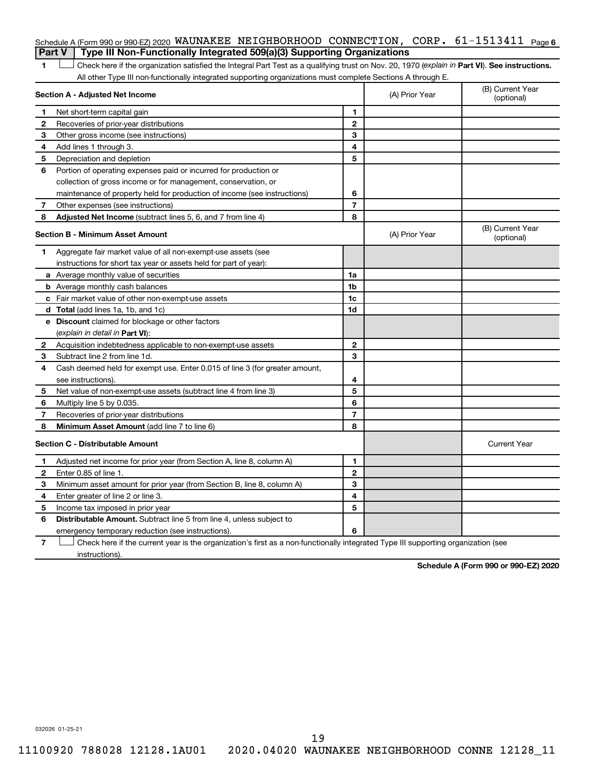|                | Type III Non-Functionally Integrated 509(a)(3) Supporting Organizations<br>Part V                                                              |                |                                |                                |
|----------------|------------------------------------------------------------------------------------------------------------------------------------------------|----------------|--------------------------------|--------------------------------|
| 1              | Check here if the organization satisfied the Integral Part Test as a qualifying trust on Nov. 20, 1970 (explain in Part VI). See instructions. |                |                                |                                |
|                | All other Type III non-functionally integrated supporting organizations must complete Sections A through E.                                    |                |                                |                                |
|                | Section A - Adjusted Net Income                                                                                                                |                | (A) Prior Year                 | (B) Current Year<br>(optional) |
| 1              | Net short-term capital gain                                                                                                                    | 1              |                                |                                |
| $\mathbf{2}$   | Recoveries of prior-year distributions                                                                                                         | $\mathbf{2}$   |                                |                                |
| 3              | Other gross income (see instructions)                                                                                                          | 3              |                                |                                |
| 4              | Add lines 1 through 3.                                                                                                                         | 4              |                                |                                |
| 5              | Depreciation and depletion                                                                                                                     | 5              |                                |                                |
| 6              | Portion of operating expenses paid or incurred for production or                                                                               |                |                                |                                |
|                | collection of gross income or for management, conservation, or                                                                                 |                |                                |                                |
|                | maintenance of property held for production of income (see instructions)                                                                       | 6              |                                |                                |
| 7              | Other expenses (see instructions)                                                                                                              | $\overline{7}$ |                                |                                |
| 8              | Adjusted Net Income (subtract lines 5, 6, and 7 from line 4)                                                                                   | 8              |                                |                                |
|                | <b>Section B - Minimum Asset Amount</b>                                                                                                        | (A) Prior Year | (B) Current Year<br>(optional) |                                |
| 1              | Aggregate fair market value of all non-exempt-use assets (see                                                                                  |                |                                |                                |
|                | instructions for short tax year or assets held for part of year):                                                                              |                |                                |                                |
|                | <b>a</b> Average monthly value of securities                                                                                                   | 1a             |                                |                                |
|                | <b>b</b> Average monthly cash balances                                                                                                         | 1b             |                                |                                |
|                | c Fair market value of other non-exempt-use assets                                                                                             | 1c             |                                |                                |
|                | <b>d</b> Total (add lines 1a, 1b, and 1c)                                                                                                      | 1d             |                                |                                |
|                | e Discount claimed for blockage or other factors                                                                                               |                |                                |                                |
|                | (explain in detail in <b>Part VI</b> ):                                                                                                        |                |                                |                                |
| $\mathbf{2}^-$ | Acquisition indebtedness applicable to non-exempt-use assets                                                                                   | $\mathbf{2}$   |                                |                                |
| 3              | Subtract line 2 from line 1d.                                                                                                                  | 3              |                                |                                |
| 4              | Cash deemed held for exempt use. Enter 0.015 of line 3 (for greater amount,                                                                    |                |                                |                                |
|                | see instructions).                                                                                                                             | 4              |                                |                                |
| 5              | Net value of non-exempt-use assets (subtract line 4 from line 3)                                                                               | 5              |                                |                                |
| 6              | Multiply line 5 by 0.035.                                                                                                                      | 6              |                                |                                |
| 7              | Recoveries of prior-year distributions                                                                                                         | $\overline{7}$ |                                |                                |
| 8              | Minimum Asset Amount (add line 7 to line 6)                                                                                                    | 8              |                                |                                |
|                | <b>Section C - Distributable Amount</b>                                                                                                        |                |                                | <b>Current Year</b>            |
| 1              | Adjusted net income for prior year (from Section A, line 8, column A)                                                                          | 1              |                                |                                |
| 2              | Enter 0.85 of line 1.                                                                                                                          | $\mathbf{2}$   |                                |                                |
| 3              | Minimum asset amount for prior year (from Section B, line 8, column A)                                                                         | 3              |                                |                                |
| 4              | Enter greater of line 2 or line 3.                                                                                                             | 4              |                                |                                |
| 5              | Income tax imposed in prior year                                                                                                               | 5              |                                |                                |

Schedule A (Form 990 or 990-EZ) 2020 <code>WAUNAKEE NEIGHBORHOOD CONNECTION</code> ,  $\,$  <code>CORP</code> .  $\,$  61-1513411  $\,$  Page 6

6 **Distributable Amount.** Subtract line 5 from line 4, unless subject to **6** emergency temporary reduction (see instructions).

**7** Check here if the current year is the organization's first as a non-functionally integrated Type III supporting organization (see † instructions).

**Schedule A (Form 990 or 990-EZ) 2020**

032026 01-25-21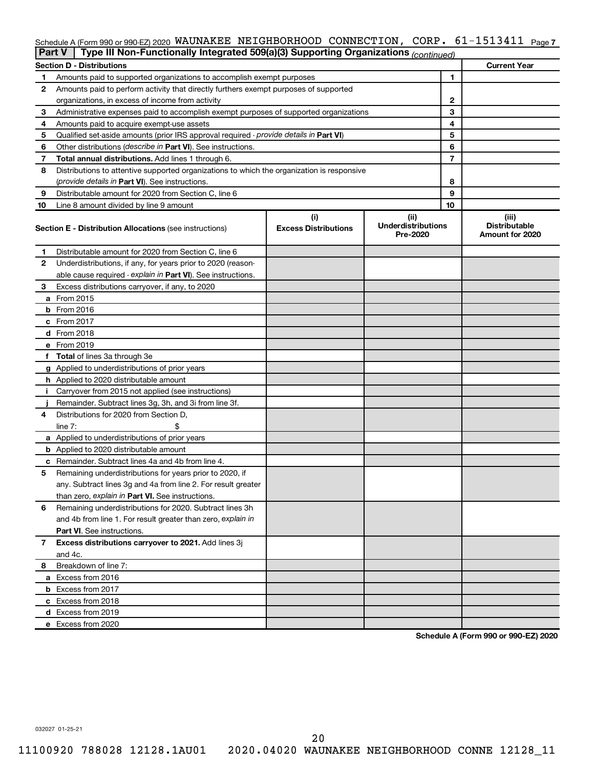### Schedule A (Form 990 or 990-EZ) 2020 <code>WAUNAKEE NEIGHBORHOOD CONNECTION</code> ,  $\,$  <code>CORP. 61–1513411  $\,$  Page 7</code>

|    | Type III Non-Functionally Integrated 509(a)(3) Supporting Organizations (continued)<br><b>Part V</b> |                             |                                       |    |                                         |  |  |  |
|----|------------------------------------------------------------------------------------------------------|-----------------------------|---------------------------------------|----|-----------------------------------------|--|--|--|
|    | <b>Section D - Distributions</b>                                                                     |                             |                                       |    | <b>Current Year</b>                     |  |  |  |
| 1  | Amounts paid to supported organizations to accomplish exempt purposes                                | 1                           |                                       |    |                                         |  |  |  |
| 2  | Amounts paid to perform activity that directly furthers exempt purposes of supported                 |                             |                                       |    |                                         |  |  |  |
|    | organizations, in excess of income from activity                                                     | 2                           |                                       |    |                                         |  |  |  |
| 3  | Administrative expenses paid to accomplish exempt purposes of supported organizations                |                             |                                       | 3  |                                         |  |  |  |
| 4  | Amounts paid to acquire exempt-use assets                                                            |                             |                                       | 4  |                                         |  |  |  |
| 5  | Qualified set-aside amounts (prior IRS approval required - provide details in Part VI)               |                             |                                       | 5  |                                         |  |  |  |
| 6  | Other distributions ( <i>describe in Part VI</i> ). See instructions.                                |                             |                                       | 6  |                                         |  |  |  |
| 7  | Total annual distributions. Add lines 1 through 6.                                                   |                             |                                       | 7  |                                         |  |  |  |
| 8  | Distributions to attentive supported organizations to which the organization is responsive           |                             |                                       |    |                                         |  |  |  |
|    | (provide details in Part VI). See instructions.                                                      |                             |                                       | 8  |                                         |  |  |  |
| 9  | Distributable amount for 2020 from Section C, line 6                                                 |                             |                                       | 9  |                                         |  |  |  |
| 10 | Line 8 amount divided by line 9 amount                                                               |                             |                                       | 10 |                                         |  |  |  |
|    |                                                                                                      | (i)                         | (ii)                                  |    | (iii)                                   |  |  |  |
|    | <b>Section E - Distribution Allocations (see instructions)</b>                                       | <b>Excess Distributions</b> | <b>Underdistributions</b><br>Pre-2020 |    | <b>Distributable</b><br>Amount for 2020 |  |  |  |
| 1  | Distributable amount for 2020 from Section C, line 6                                                 |                             |                                       |    |                                         |  |  |  |
| 2  | Underdistributions, if any, for years prior to 2020 (reason-                                         |                             |                                       |    |                                         |  |  |  |
|    | able cause required - explain in Part VI). See instructions.                                         |                             |                                       |    |                                         |  |  |  |
| 3  | Excess distributions carryover, if any, to 2020                                                      |                             |                                       |    |                                         |  |  |  |
|    | a From 2015                                                                                          |                             |                                       |    |                                         |  |  |  |
|    | $b$ From 2016                                                                                        |                             |                                       |    |                                         |  |  |  |
|    | c From 2017                                                                                          |                             |                                       |    |                                         |  |  |  |
|    | <b>d</b> From 2018                                                                                   |                             |                                       |    |                                         |  |  |  |
|    | e From 2019                                                                                          |                             |                                       |    |                                         |  |  |  |
|    | f Total of lines 3a through 3e                                                                       |                             |                                       |    |                                         |  |  |  |
|    | g Applied to underdistributions of prior years                                                       |                             |                                       |    |                                         |  |  |  |
|    | <b>h</b> Applied to 2020 distributable amount                                                        |                             |                                       |    |                                         |  |  |  |
| Ť. | Carryover from 2015 not applied (see instructions)                                                   |                             |                                       |    |                                         |  |  |  |
|    | Remainder. Subtract lines 3g, 3h, and 3i from line 3f.                                               |                             |                                       |    |                                         |  |  |  |
| 4  | Distributions for 2020 from Section D,                                                               |                             |                                       |    |                                         |  |  |  |
|    | line 7:                                                                                              |                             |                                       |    |                                         |  |  |  |
|    | a Applied to underdistributions of prior years                                                       |                             |                                       |    |                                         |  |  |  |
|    | <b>b</b> Applied to 2020 distributable amount                                                        |                             |                                       |    |                                         |  |  |  |
|    | c Remainder. Subtract lines 4a and 4b from line 4.                                                   |                             |                                       |    |                                         |  |  |  |
| 5  | Remaining underdistributions for years prior to 2020, if                                             |                             |                                       |    |                                         |  |  |  |
|    | any. Subtract lines 3g and 4a from line 2. For result greater                                        |                             |                                       |    |                                         |  |  |  |
|    | than zero, explain in Part VI. See instructions.                                                     |                             |                                       |    |                                         |  |  |  |
| 6  | Remaining underdistributions for 2020. Subtract lines 3h                                             |                             |                                       |    |                                         |  |  |  |
|    | and 4b from line 1. For result greater than zero, explain in                                         |                             |                                       |    |                                         |  |  |  |
|    | <b>Part VI.</b> See instructions.                                                                    |                             |                                       |    |                                         |  |  |  |
| 7  | Excess distributions carryover to 2021. Add lines 3j                                                 |                             |                                       |    |                                         |  |  |  |
|    | and 4c.                                                                                              |                             |                                       |    |                                         |  |  |  |
| 8  | Breakdown of line 7:                                                                                 |                             |                                       |    |                                         |  |  |  |
|    | a Excess from 2016                                                                                   |                             |                                       |    |                                         |  |  |  |
|    | <b>b</b> Excess from 2017                                                                            |                             |                                       |    |                                         |  |  |  |
|    | c Excess from 2018                                                                                   |                             |                                       |    |                                         |  |  |  |
|    |                                                                                                      |                             |                                       |    |                                         |  |  |  |
|    | d Excess from 2019<br>e Excess from 2020                                                             |                             |                                       |    |                                         |  |  |  |
|    |                                                                                                      |                             |                                       |    |                                         |  |  |  |

**Schedule A (Form 990 or 990-EZ) 2020**

032027 01-25-21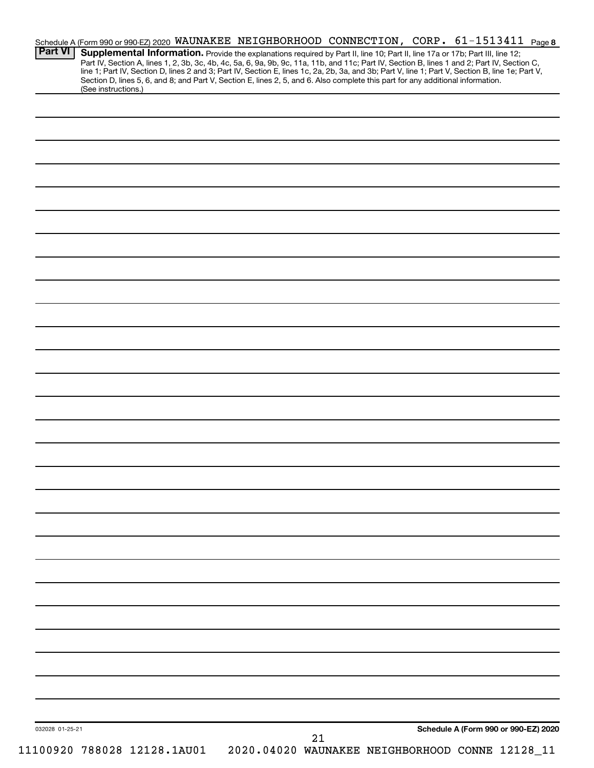| <b>Part VI</b>  | Schedule A (Form 990 or 990-EZ) 2020 WAUNAKEE NEIGHBORHOOD CONNECTION, CORP. 61-1513411 Page 8<br>Supplemental Information. Provide the explanations required by Part II, line 10; Part II, line 17a or 17b; Part III, line 12;<br>Part IV, Section A, lines 1, 2, 3b, 3c, 4b, 4c, 5a, 6, 9a, 9b, 9c, 11a, 11b, and 11c; Part IV, Section B, lines 1 and 2; Part IV, Section C,<br>line 1; Part IV, Section D, lines 2 and 3; Part IV, Section E, lines 1c, 2a, 2b,<br>Section D, lines 5, 6, and 8; and Part V, Section E, lines 2, 5, and 6. Also complete this part for any additional information.<br>(See instructions.) |                                                 |    |                                      |  |
|-----------------|-------------------------------------------------------------------------------------------------------------------------------------------------------------------------------------------------------------------------------------------------------------------------------------------------------------------------------------------------------------------------------------------------------------------------------------------------------------------------------------------------------------------------------------------------------------------------------------------------------------------------------|-------------------------------------------------|----|--------------------------------------|--|
|                 |                                                                                                                                                                                                                                                                                                                                                                                                                                                                                                                                                                                                                               |                                                 |    |                                      |  |
|                 |                                                                                                                                                                                                                                                                                                                                                                                                                                                                                                                                                                                                                               |                                                 |    |                                      |  |
|                 |                                                                                                                                                                                                                                                                                                                                                                                                                                                                                                                                                                                                                               |                                                 |    |                                      |  |
|                 |                                                                                                                                                                                                                                                                                                                                                                                                                                                                                                                                                                                                                               |                                                 |    |                                      |  |
|                 |                                                                                                                                                                                                                                                                                                                                                                                                                                                                                                                                                                                                                               |                                                 |    |                                      |  |
|                 |                                                                                                                                                                                                                                                                                                                                                                                                                                                                                                                                                                                                                               |                                                 |    |                                      |  |
|                 |                                                                                                                                                                                                                                                                                                                                                                                                                                                                                                                                                                                                                               |                                                 |    |                                      |  |
|                 |                                                                                                                                                                                                                                                                                                                                                                                                                                                                                                                                                                                                                               |                                                 |    |                                      |  |
|                 |                                                                                                                                                                                                                                                                                                                                                                                                                                                                                                                                                                                                                               |                                                 |    |                                      |  |
|                 |                                                                                                                                                                                                                                                                                                                                                                                                                                                                                                                                                                                                                               |                                                 |    |                                      |  |
|                 |                                                                                                                                                                                                                                                                                                                                                                                                                                                                                                                                                                                                                               |                                                 |    |                                      |  |
|                 |                                                                                                                                                                                                                                                                                                                                                                                                                                                                                                                                                                                                                               |                                                 |    |                                      |  |
|                 |                                                                                                                                                                                                                                                                                                                                                                                                                                                                                                                                                                                                                               |                                                 |    |                                      |  |
|                 |                                                                                                                                                                                                                                                                                                                                                                                                                                                                                                                                                                                                                               |                                                 |    |                                      |  |
|                 |                                                                                                                                                                                                                                                                                                                                                                                                                                                                                                                                                                                                                               |                                                 |    |                                      |  |
|                 |                                                                                                                                                                                                                                                                                                                                                                                                                                                                                                                                                                                                                               |                                                 |    |                                      |  |
|                 |                                                                                                                                                                                                                                                                                                                                                                                                                                                                                                                                                                                                                               |                                                 |    |                                      |  |
|                 |                                                                                                                                                                                                                                                                                                                                                                                                                                                                                                                                                                                                                               |                                                 |    |                                      |  |
|                 |                                                                                                                                                                                                                                                                                                                                                                                                                                                                                                                                                                                                                               |                                                 |    |                                      |  |
|                 |                                                                                                                                                                                                                                                                                                                                                                                                                                                                                                                                                                                                                               |                                                 |    |                                      |  |
|                 |                                                                                                                                                                                                                                                                                                                                                                                                                                                                                                                                                                                                                               |                                                 |    |                                      |  |
|                 |                                                                                                                                                                                                                                                                                                                                                                                                                                                                                                                                                                                                                               |                                                 |    |                                      |  |
|                 |                                                                                                                                                                                                                                                                                                                                                                                                                                                                                                                                                                                                                               |                                                 |    |                                      |  |
|                 |                                                                                                                                                                                                                                                                                                                                                                                                                                                                                                                                                                                                                               |                                                 |    |                                      |  |
|                 |                                                                                                                                                                                                                                                                                                                                                                                                                                                                                                                                                                                                                               |                                                 |    |                                      |  |
|                 |                                                                                                                                                                                                                                                                                                                                                                                                                                                                                                                                                                                                                               |                                                 |    |                                      |  |
| 032028 01-25-21 |                                                                                                                                                                                                                                                                                                                                                                                                                                                                                                                                                                                                                               |                                                 |    | Schedule A (Form 990 or 990-EZ) 2020 |  |
|                 | 11100920 788028 12128.1AU01                                                                                                                                                                                                                                                                                                                                                                                                                                                                                                                                                                                                   | 2020.04020 WAUNAKEE NEIGHBORHOOD CONNE 12128_11 | 21 |                                      |  |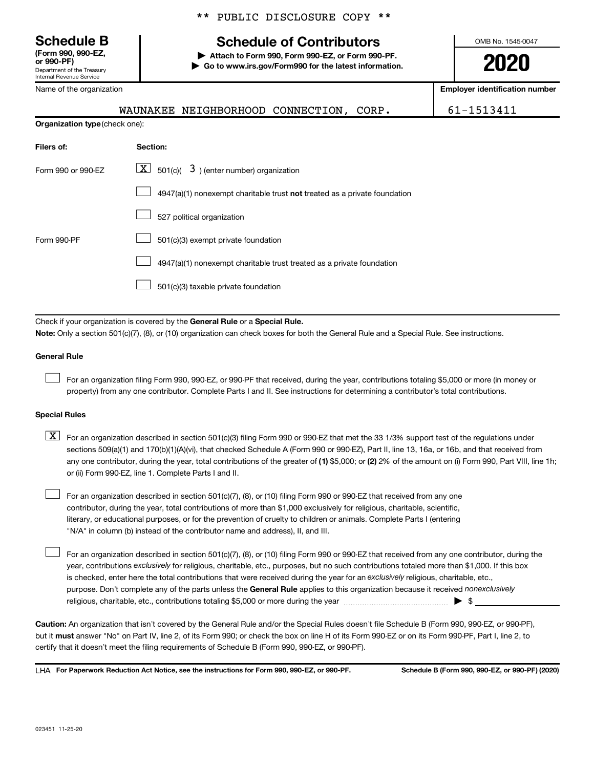# **(Form 990, 990-EZ,**

Department of the Treasury Internal Revenue Service

Name of the organization

### \*\* PUBLIC DISCLOSURE COPY \*\*

# **Schedule B Schedule of Contributors**

**or 990-PF) | Attach to Form 990, Form 990-EZ, or Form 990-PF. | Go to www.irs.gov/Form990 for the latest information.** OMB No. 1545-0047

**2020**

**Employer identification number**

|                                       | WAUNAKEE NEIGHBORHOOD CONNECTION, CORP.                                      | 61-1513411 |  |  |  |  |  |
|---------------------------------------|------------------------------------------------------------------------------|------------|--|--|--|--|--|
| <b>Organization type (check one):</b> |                                                                              |            |  |  |  |  |  |
| Filers of:                            | Section:                                                                     |            |  |  |  |  |  |
| Form 990 or 990-EZ                    | $\lfloor x \rfloor$ 501(c)( 3) (enter number) organization                   |            |  |  |  |  |  |
|                                       | $4947(a)(1)$ nonexempt charitable trust not treated as a private foundation  |            |  |  |  |  |  |
|                                       | 527 political organization                                                   |            |  |  |  |  |  |
| Form 990-PF                           | 501(c)(3) exempt private foundation                                          |            |  |  |  |  |  |
|                                       |                                                                              |            |  |  |  |  |  |
|                                       | 501(c)(3) taxable private foundation                                         |            |  |  |  |  |  |
|                                       |                                                                              |            |  |  |  |  |  |
|                                       | Check if your organization is covered by the General Rule or a Special Rule. |            |  |  |  |  |  |

**Note:**  Only a section 501(c)(7), (8), or (10) organization can check boxes for both the General Rule and a Special Rule. See instructions.

### **General Rule**

 $\Box$ 

 $\Box$ 

For an organization filing Form 990, 990-EZ, or 990-PF that received, during the year, contributions totaling \$5,000 or more (in money or property) from any one contributor. Complete Parts I and II. See instructions for determining a contributor's total contributions.

### **Special Rules**

any one contributor, during the year, total contributions of the greater of (1) \$5,000; or (2) 2% of the amount on (i) Form 990, Part VIII, line 1h;  $\boxed{\text{X}}$  For an organization described in section 501(c)(3) filing Form 990 or 990-EZ that met the 33 1/3% support test of the regulations under sections 509(a)(1) and 170(b)(1)(A)(vi), that checked Schedule A (Form 990 or 990-EZ), Part II, line 13, 16a, or 16b, and that received from or (ii) Form 990-EZ, line 1. Complete Parts I and II.

For an organization described in section 501(c)(7), (8), or (10) filing Form 990 or 990-EZ that received from any one contributor, during the year, total contributions of more than \$1,000 exclusively for religious, charitable, scientific, literary, or educational purposes, or for the prevention of cruelty to children or animals. Complete Parts I (entering "N/A" in column (b) instead of the contributor name and address), II, and III.  $\Box$ 

purpose. Don't complete any of the parts unless the General Rule applies to this organization because it received nonexclusively year, contributions exclusively for religious, charitable, etc., purposes, but no such contributions totaled more than \$1,000. If this box is checked, enter here the total contributions that were received during the year for an exclusively religious, charitable, etc., For an organization described in section 501(c)(7), (8), or (10) filing Form 990 or 990-EZ that received from any one contributor, during the religious, charitable, etc., contributions totaling \$5,000 or more during the year  $~\ldots\ldots\ldots\ldots\ldots\ldots\ldots\ldots\blacktriangleright~$ \$

**Caution:**  An organization that isn't covered by the General Rule and/or the Special Rules doesn't file Schedule B (Form 990, 990-EZ, or 990-PF),  **must** but it answer "No" on Part IV, line 2, of its Form 990; or check the box on line H of its Form 990-EZ or on its Form 990-PF, Part I, line 2, to certify that it doesn't meet the filing requirements of Schedule B (Form 990, 990-EZ, or 990-PF).

**For Paperwork Reduction Act Notice, see the instructions for Form 990, 990-EZ, or 990-PF. Schedule B (Form 990, 990-EZ, or 990-PF) (2020)** LHA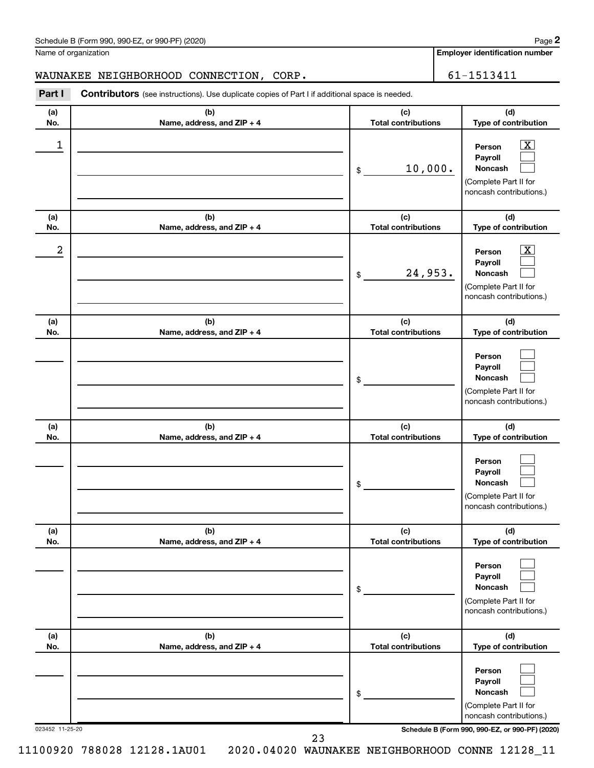| Schedule B (Form 990, 990-EZ, or 990-PF) (2020) | Page |
|-------------------------------------------------|------|
|-------------------------------------------------|------|

Name of organization

**Employer identification number**

### WAUNAKEE NEIGHBORHOOD CONNECTION, CORP. | 61-1513411

**Part I** Contributors (see instructions). Use duplicate copies of Part I if additional space is needed.

| (a) | (b)                          | (c)                        | (d)                                                                                                       |
|-----|------------------------------|----------------------------|-----------------------------------------------------------------------------------------------------------|
| No. | Name, address, and ZIP + 4   | <b>Total contributions</b> | Type of contribution                                                                                      |
| 1   |                              | 10,000.<br>\$              | $\overline{\text{X}}$<br>Person<br>Payroll<br>Noncash<br>(Complete Part II for<br>noncash contributions.) |
| (a) | (b)                          | (c)                        | (d)                                                                                                       |
| No. | Name, address, and ZIP + 4   | <b>Total contributions</b> | Type of contribution                                                                                      |
| 2   |                              | 24,953.<br>\$              | x<br>Person<br>Payroll<br>Noncash<br>(Complete Part II for<br>noncash contributions.)                     |
| (a) | (b)                          | (c)                        | (d)                                                                                                       |
| No. | Name, address, and ZIP + 4   | <b>Total contributions</b> | Type of contribution                                                                                      |
|     |                              | \$                         | Person<br>Payroll<br>Noncash<br>(Complete Part II for<br>noncash contributions.)                          |
| (a) | (b)                          | (c)                        | (d)                                                                                                       |
| No. | Name, address, and ZIP + 4   | <b>Total contributions</b> | Type of contribution                                                                                      |
|     |                              | \$                         | Person<br>Payroll<br>Noncash<br>(Complete Part II for<br>noncash contributions.)                          |
| (a) | (b)                          | (c)                        | (d)                                                                                                       |
| No. | Name, address, and $ZIP + 4$ | Total contributions        | Type of contribution                                                                                      |
|     |                              |                            | Person<br>Payroll                                                                                         |
|     |                              | \$                         | Noncash<br>(Complete Part II for<br>noncash contributions.)                                               |
| (a) | (b)                          | (c)                        | (d)                                                                                                       |
| No. | Name, address, and ZIP + 4   | <b>Total contributions</b> | Type of contribution                                                                                      |
|     |                              | \$                         | Person<br>Payroll<br>Noncash                                                                              |
|     |                              |                            | (Complete Part II for<br>noncash contributions.)                                                          |

23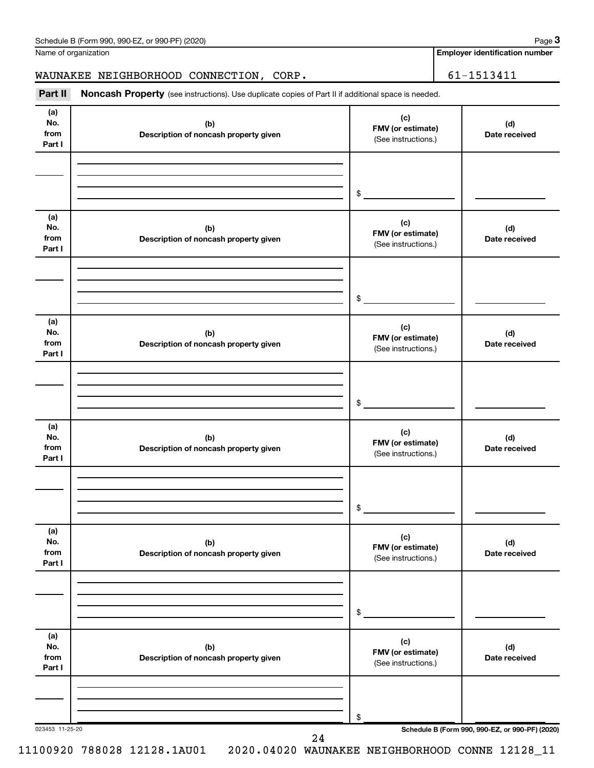| Schedule B (Form 990, 990-EZ, or 990-PF) (2020) | Page |
|-------------------------------------------------|------|
|-------------------------------------------------|------|

Name of organization

**Employer identification number**

WAUNAKEE NEIGHBORHOOD CONNECTION, CORP. 61-1513411

| Part II                      | Noncash Property (see instructions). Use duplicate copies of Part II if additional space is needed. |                                                 |                                                 |  |  |  |  |
|------------------------------|-----------------------------------------------------------------------------------------------------|-------------------------------------------------|-------------------------------------------------|--|--|--|--|
| (a)<br>No.<br>from<br>Part I | (b)<br>Description of noncash property given                                                        | (c)<br>FMV (or estimate)<br>(See instructions.) | (d)<br>Date received                            |  |  |  |  |
|                              |                                                                                                     | \$                                              |                                                 |  |  |  |  |
|                              |                                                                                                     |                                                 |                                                 |  |  |  |  |
| (a)<br>No.<br>from<br>Part I | (b)<br>Description of noncash property given                                                        | (c)<br>FMV (or estimate)<br>(See instructions.) | (d)<br>Date received                            |  |  |  |  |
|                              |                                                                                                     |                                                 |                                                 |  |  |  |  |
|                              |                                                                                                     | \$                                              |                                                 |  |  |  |  |
| (a)<br>No.<br>from<br>Part I | (b)<br>Description of noncash property given                                                        | (c)<br>FMV (or estimate)<br>(See instructions.) | (d)<br>Date received                            |  |  |  |  |
|                              |                                                                                                     |                                                 |                                                 |  |  |  |  |
|                              |                                                                                                     |                                                 |                                                 |  |  |  |  |
|                              |                                                                                                     | $$\circ$$                                       |                                                 |  |  |  |  |
| (a)<br>No.<br>from<br>Part I | (b)<br>Description of noncash property given                                                        | (c)<br>FMV (or estimate)<br>(See instructions.) | (d)<br>Date received                            |  |  |  |  |
|                              |                                                                                                     |                                                 |                                                 |  |  |  |  |
|                              |                                                                                                     | \$                                              |                                                 |  |  |  |  |
| (a)                          |                                                                                                     |                                                 |                                                 |  |  |  |  |
| No.<br>from<br>Part I        | (b)<br>Description of noncash property given                                                        | (c)<br>FMV (or estimate)<br>(See instructions.) | (d)<br>Date received                            |  |  |  |  |
|                              |                                                                                                     |                                                 |                                                 |  |  |  |  |
|                              |                                                                                                     | \$                                              |                                                 |  |  |  |  |
| (a)<br>No.<br>from<br>Part I | (b)<br>Description of noncash property given                                                        | (c)<br>FMV (or estimate)<br>(See instructions.) | (d)<br>Date received                            |  |  |  |  |
|                              |                                                                                                     |                                                 |                                                 |  |  |  |  |
|                              |                                                                                                     | \$                                              |                                                 |  |  |  |  |
| 023453 11-25-20              | 24                                                                                                  |                                                 | Schedule B (Form 990, 990-EZ, or 990-PF) (2020) |  |  |  |  |

11100920 788028 12128.1AU01 2020.04020 WAUNAKEE NEIGHBORHOOD CONNE 12128\_11

**3**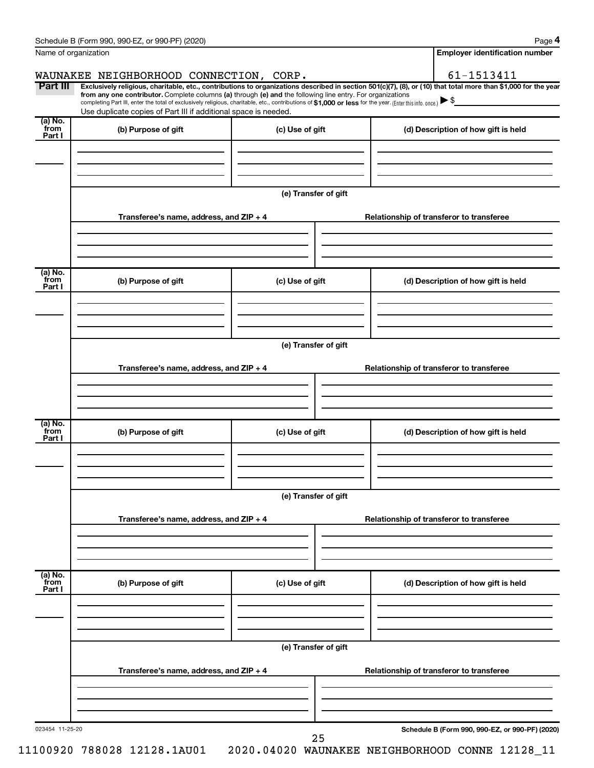|                 | Schedule B (Form 990, 990-EZ, or 990-PF) (2020)                                                                                                                                                                             |                      | Page 4                                                                                                                                                         |  |  |  |  |  |  |
|-----------------|-----------------------------------------------------------------------------------------------------------------------------------------------------------------------------------------------------------------------------|----------------------|----------------------------------------------------------------------------------------------------------------------------------------------------------------|--|--|--|--|--|--|
|                 | Name of organization                                                                                                                                                                                                        |                      | <b>Employer identification number</b>                                                                                                                          |  |  |  |  |  |  |
|                 | WAUNAKEE NEIGHBORHOOD CONNECTION, CORP.                                                                                                                                                                                     |                      | 61-1513411                                                                                                                                                     |  |  |  |  |  |  |
| Part III        | from any one contributor. Complete columns (a) through (e) and the following line entry. For organizations                                                                                                                  |                      | Exclusively religious, charitable, etc., contributions to organizations described in section 501(c)(7), (8), or (10) that total more than \$1,000 for the year |  |  |  |  |  |  |
|                 | completing Part III, enter the total of exclusively religious, charitable, etc., contributions of \$1,000 or less for the year. (Enter this info. once.)<br>Use duplicate copies of Part III if additional space is needed. |                      |                                                                                                                                                                |  |  |  |  |  |  |
| (a) No.         |                                                                                                                                                                                                                             |                      |                                                                                                                                                                |  |  |  |  |  |  |
| from<br>Part I  | (b) Purpose of gift                                                                                                                                                                                                         | (c) Use of gift      | (d) Description of how gift is held                                                                                                                            |  |  |  |  |  |  |
|                 |                                                                                                                                                                                                                             |                      |                                                                                                                                                                |  |  |  |  |  |  |
|                 |                                                                                                                                                                                                                             |                      |                                                                                                                                                                |  |  |  |  |  |  |
|                 |                                                                                                                                                                                                                             |                      |                                                                                                                                                                |  |  |  |  |  |  |
|                 |                                                                                                                                                                                                                             | (e) Transfer of gift |                                                                                                                                                                |  |  |  |  |  |  |
|                 | Transferee's name, address, and ZIP + 4                                                                                                                                                                                     |                      | Relationship of transferor to transferee                                                                                                                       |  |  |  |  |  |  |
|                 |                                                                                                                                                                                                                             |                      |                                                                                                                                                                |  |  |  |  |  |  |
|                 |                                                                                                                                                                                                                             |                      |                                                                                                                                                                |  |  |  |  |  |  |
| (a) No.         |                                                                                                                                                                                                                             |                      |                                                                                                                                                                |  |  |  |  |  |  |
| from<br>Part I  | (b) Purpose of gift                                                                                                                                                                                                         | (c) Use of gift      | (d) Description of how gift is held                                                                                                                            |  |  |  |  |  |  |
|                 |                                                                                                                                                                                                                             |                      |                                                                                                                                                                |  |  |  |  |  |  |
|                 |                                                                                                                                                                                                                             |                      |                                                                                                                                                                |  |  |  |  |  |  |
|                 |                                                                                                                                                                                                                             |                      |                                                                                                                                                                |  |  |  |  |  |  |
|                 | (e) Transfer of gift                                                                                                                                                                                                        |                      |                                                                                                                                                                |  |  |  |  |  |  |
|                 | Transferee's name, address, and ZIP + 4                                                                                                                                                                                     |                      | Relationship of transferor to transferee                                                                                                                       |  |  |  |  |  |  |
|                 |                                                                                                                                                                                                                             |                      |                                                                                                                                                                |  |  |  |  |  |  |
|                 |                                                                                                                                                                                                                             |                      |                                                                                                                                                                |  |  |  |  |  |  |
|                 |                                                                                                                                                                                                                             |                      |                                                                                                                                                                |  |  |  |  |  |  |
| (a) No.<br>from | (b) Purpose of gift                                                                                                                                                                                                         | (c) Use of gift      | (d) Description of how gift is held                                                                                                                            |  |  |  |  |  |  |
| Part I          |                                                                                                                                                                                                                             |                      |                                                                                                                                                                |  |  |  |  |  |  |
|                 |                                                                                                                                                                                                                             |                      |                                                                                                                                                                |  |  |  |  |  |  |
|                 |                                                                                                                                                                                                                             |                      |                                                                                                                                                                |  |  |  |  |  |  |
|                 | (e) Transfer of gift                                                                                                                                                                                                        |                      |                                                                                                                                                                |  |  |  |  |  |  |
|                 | Transferee's name, address, and ZIP + 4                                                                                                                                                                                     |                      | Relationship of transferor to transferee                                                                                                                       |  |  |  |  |  |  |
|                 |                                                                                                                                                                                                                             |                      |                                                                                                                                                                |  |  |  |  |  |  |
|                 |                                                                                                                                                                                                                             |                      |                                                                                                                                                                |  |  |  |  |  |  |
|                 |                                                                                                                                                                                                                             |                      |                                                                                                                                                                |  |  |  |  |  |  |
| (a) No.<br>from | (b) Purpose of gift                                                                                                                                                                                                         | (c) Use of gift      | (d) Description of how gift is held                                                                                                                            |  |  |  |  |  |  |
| Part I          |                                                                                                                                                                                                                             |                      |                                                                                                                                                                |  |  |  |  |  |  |
|                 |                                                                                                                                                                                                                             |                      |                                                                                                                                                                |  |  |  |  |  |  |
|                 |                                                                                                                                                                                                                             |                      |                                                                                                                                                                |  |  |  |  |  |  |
|                 | (e) Transfer of gift                                                                                                                                                                                                        |                      |                                                                                                                                                                |  |  |  |  |  |  |
|                 |                                                                                                                                                                                                                             |                      |                                                                                                                                                                |  |  |  |  |  |  |
|                 | Transferee's name, address, and ZIP + 4                                                                                                                                                                                     |                      | Relationship of transferor to transferee                                                                                                                       |  |  |  |  |  |  |
|                 |                                                                                                                                                                                                                             |                      |                                                                                                                                                                |  |  |  |  |  |  |
|                 |                                                                                                                                                                                                                             |                      |                                                                                                                                                                |  |  |  |  |  |  |
| 023454 11-25-20 |                                                                                                                                                                                                                             |                      | Schedule B (Form 990, 990-EZ, or 990-PF) (2020)                                                                                                                |  |  |  |  |  |  |
|                 |                                                                                                                                                                                                                             | 25                   |                                                                                                                                                                |  |  |  |  |  |  |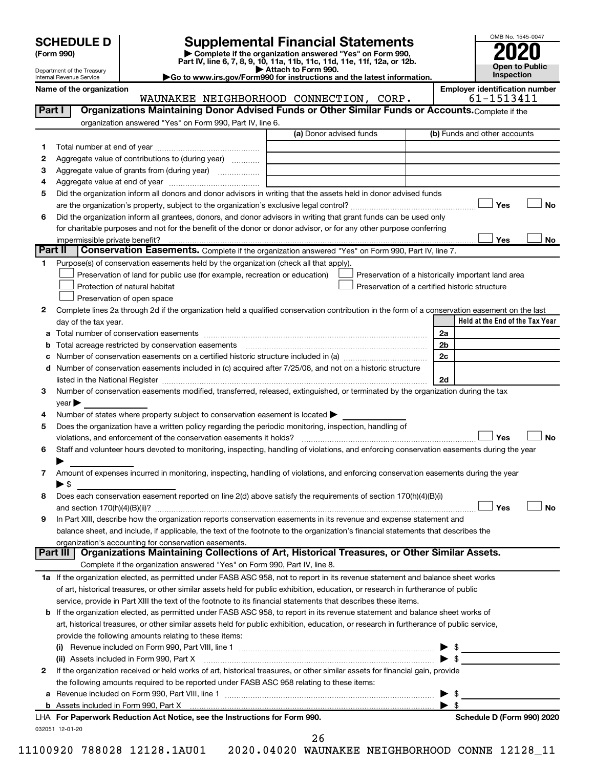| <b>SCHEDULE D</b> |  |
|-------------------|--|
|-------------------|--|

| (Form 990) |
|------------|
|            |

# **SCHEDULE D Supplemental Financial Statements**<br> **Form 990 2020**<br> **Part IV** line 6.7.8.9.10, 11a, 11b, 11d, 11d, 11d, 11d, 11d, 12a, 0r, 12b

**(Form 990) | Complete if the organization answered "Yes" on Form 990, Part IV, line 6, 7, 8, 9, 10, 11a, 11b, 11c, 11d, 11e, 11f, 12a, or 12b.**

**| Attach to Form 990. |Go to www.irs.gov/Form990 for instructions and the latest information.**



Department of the Treasury Internal Revenue Service

**Name of the organization Employer identification number**

|         | WAUNAKEE NEIGHBORHOOD CONNECTION, CORP.                                                                                                                           | 61-1513411                                         |
|---------|-------------------------------------------------------------------------------------------------------------------------------------------------------------------|----------------------------------------------------|
| Part I  | Organizations Maintaining Donor Advised Funds or Other Similar Funds or Accounts. Complete if the                                                                 |                                                    |
|         | organization answered "Yes" on Form 990, Part IV, line 6.                                                                                                         |                                                    |
|         | (a) Donor advised funds                                                                                                                                           | (b) Funds and other accounts                       |
| 1       |                                                                                                                                                                   |                                                    |
| 2       | Aggregate value of contributions to (during year)                                                                                                                 |                                                    |
| 3       | Aggregate value of grants from (during year)                                                                                                                      |                                                    |
| 4       |                                                                                                                                                                   |                                                    |
| 5       | Did the organization inform all donors and donor advisors in writing that the assets held in donor advised funds                                                  |                                                    |
|         |                                                                                                                                                                   | Yes<br><b>No</b>                                   |
| 6       | Did the organization inform all grantees, donors, and donor advisors in writing that grant funds can be used only                                                 |                                                    |
|         | for charitable purposes and not for the benefit of the donor or donor advisor, or for any other purpose conferring                                                |                                                    |
|         |                                                                                                                                                                   | Yes<br>No                                          |
| Part II | Conservation Easements. Complete if the organization answered "Yes" on Form 990, Part IV, line 7.                                                                 |                                                    |
| 1.      | Purpose(s) of conservation easements held by the organization (check all that apply).                                                                             |                                                    |
|         | Preservation of land for public use (for example, recreation or education)                                                                                        | Preservation of a historically important land area |
|         | Protection of natural habitat<br>Preservation of a certified historic structure                                                                                   |                                                    |
|         | Preservation of open space                                                                                                                                        |                                                    |
| 2       | Complete lines 2a through 2d if the organization held a qualified conservation contribution in the form of a conservation easement on the last                    |                                                    |
|         | day of the tax year.                                                                                                                                              | Held at the End of the Tax Year                    |
|         |                                                                                                                                                                   | 2a                                                 |
| b       |                                                                                                                                                                   | 2 <sub>b</sub>                                     |
| c       |                                                                                                                                                                   | 2c                                                 |
|         | d Number of conservation easements included in (c) acquired after 7/25/06, and not on a historic structure                                                        |                                                    |
|         |                                                                                                                                                                   | 2d                                                 |
| 3       | Number of conservation easements modified, transferred, released, extinguished, or terminated by the organization during the tax                                  |                                                    |
|         | $year \blacktriangleright$                                                                                                                                        |                                                    |
| 4       | Number of states where property subject to conservation easement is located $\blacktriangleright$                                                                 |                                                    |
| 5       | Does the organization have a written policy regarding the periodic monitoring, inspection, handling of                                                            |                                                    |
|         | violations, and enforcement of the conservation easements it holds?                                                                                               | Yes<br>No                                          |
| 6       | Staff and volunteer hours devoted to monitoring, inspecting, handling of violations, and enforcing conservation easements during the year                         |                                                    |
|         |                                                                                                                                                                   |                                                    |
| 7       | Amount of expenses incurred in monitoring, inspecting, handling of violations, and enforcing conservation easements during the year                               |                                                    |
|         | $\blacktriangleright$ \$                                                                                                                                          |                                                    |
| 8       | Does each conservation easement reported on line 2(d) above satisfy the requirements of section 170(h)(4)(B)(i)                                                   |                                                    |
|         |                                                                                                                                                                   | Yes<br>No                                          |
|         | In Part XIII, describe how the organization reports conservation easements in its revenue and expense statement and                                               |                                                    |
| 9       | balance sheet, and include, if applicable, the text of the footnote to the organization's financial statements that describes the                                 |                                                    |
|         |                                                                                                                                                                   |                                                    |
|         | organization's accounting for conservation easements.<br>Organizations Maintaining Collections of Art, Historical Treasures, or Other Similar Assets.<br>Part III |                                                    |
|         | Complete if the organization answered "Yes" on Form 990, Part IV, line 8.                                                                                         |                                                    |
|         | 1a If the organization elected, as permitted under FASB ASC 958, not to report in its revenue statement and balance sheet works                                   |                                                    |
|         | of art, historical treasures, or other similar assets held for public exhibition, education, or research in furtherance of public                                 |                                                    |
|         | service, provide in Part XIII the text of the footnote to its financial statements that describes these items.                                                    |                                                    |
|         | b If the organization elected, as permitted under FASB ASC 958, to report in its revenue statement and balance sheet works of                                     |                                                    |
|         |                                                                                                                                                                   |                                                    |
|         | art, historical treasures, or other similar assets held for public exhibition, education, or research in furtherance of public service,                           |                                                    |
|         | provide the following amounts relating to these items:                                                                                                            |                                                    |
|         | (i)                                                                                                                                                               | $\blacktriangleright$ \$                           |
|         | (ii) Assets included in Form 990, Part X                                                                                                                          |                                                    |
| 2       | If the organization received or held works of art, historical treasures, or other similar assets for financial gain, provide                                      |                                                    |
|         | the following amounts required to be reported under FASB ASC 958 relating to these items:                                                                         |                                                    |
|         |                                                                                                                                                                   | -\$<br>▶                                           |
|         |                                                                                                                                                                   | $\blacktriangleright$ s                            |
|         | LHA For Paperwork Reduction Act Notice, see the Instructions for Form 990.                                                                                        | Schedule D (Form 990) 2020                         |
|         | 032051 12-01-20<br>າເ                                                                                                                                             |                                                    |

26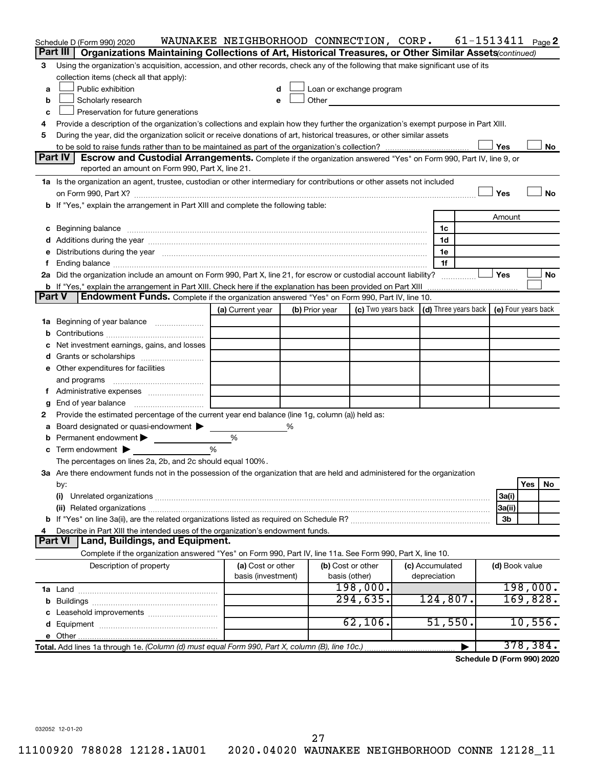| Part III<br>Organizations Maintaining Collections of Art, Historical Treasures, or Other Similar Assets (continued)<br>Using the organization's acquisition, accession, and other records, check any of the following that make significant use of its<br>З<br>collection items (check all that apply):<br>Public exhibition<br>Loan or exchange program<br>d<br>a<br>Other and the control of the control of the control of the control of the control of the control of the control of the control of the control of the control of the control of the control of the control of the control of th<br>Scholarly research<br>b<br>е<br>Preservation for future generations<br>c<br>Provide a description of the organization's collections and explain how they further the organization's exempt purpose in Part XIII.<br>4<br>During the year, did the organization solicit or receive donations of art, historical treasures, or other similar assets<br>5<br>Yes<br>No<br><b>Part IV</b><br>Escrow and Custodial Arrangements. Complete if the organization answered "Yes" on Form 990, Part IV, line 9, or<br>reported an amount on Form 990, Part X, line 21.<br>1a Is the organization an agent, trustee, custodian or other intermediary for contributions or other assets not included<br>Yes<br>No<br>b If "Yes," explain the arrangement in Part XIII and complete the following table:<br>Amount<br>1c<br>c Beginning balance measurements and the contract of Beginning balance measurements are all the contract of the contract of the contract of the contract of the contract of the contract of the contract of the contract of th<br>1d<br>Distributions during the year measurement contains and all the year measurement of the state of the state of the state of the state of the state of the state of the state of the state of the state of the state of the state<br>1e<br>е<br>1f<br>f.<br>2a Did the organization include an amount on Form 990, Part X, line 21, for escrow or custodial account liability?<br>Yes<br>No<br>b If "Yes," explain the arrangement in Part XIII. Check here if the explanation has been provided on Part XIII<br>Part V<br><b>Endowment Funds.</b> Complete if the organization answered "Yes" on Form 990, Part IV, line 10.<br>$(d)$ Three years back $\mid$ (e) Four years back<br>(c) Two years back<br>(a) Current year<br>(b) Prior year<br>Beginning of year balance<br>1a<br>b<br>Net investment earnings, gains, and losses<br>e Other expenditures for facilities<br>and programs<br>End of year balance<br>g<br>Provide the estimated percentage of the current year end balance (line 1g, column (a)) held as:<br>2<br>Board designated or quasi-endowment<br>℅<br>Permanent endowment<br>%<br>Term endowment $\blacktriangleright$<br>%<br>The percentages on lines 2a, 2b, and 2c should equal 100%.<br>3a Are there endowment funds not in the possession of the organization that are held and administered for the organization<br>Yes<br>No<br>by:<br>3a(i)<br>(i)<br>3a(ii)<br>3b<br>Describe in Part XIII the intended uses of the organization's endowment funds.<br>4<br>Land, Buildings, and Equipment.<br><b>Part VI</b><br>Complete if the organization answered "Yes" on Form 990, Part IV, line 11a. See Form 990, Part X, line 10.<br>(b) Cost or other<br>Description of property<br>(a) Cost or other<br>(c) Accumulated<br>(d) Book value<br>basis (investment)<br>basis (other)<br>depreciation<br>198,000.<br>198,000.<br>169,828.<br>294,635.<br>124,807.<br>10,556.<br>62, 106.<br>51,550.<br>378,384.<br>Total. Add lines 1a through 1e. (Column (d) must equal Form 990, Part X, column (B), line 10c.) | Schedule D (Form 990) 2020 | WAUNAKEE NEIGHBORHOOD CONNECTION, CORP. |  |  |  | $61 - 1513411$ Page 2 |  |
|----------------------------------------------------------------------------------------------------------------------------------------------------------------------------------------------------------------------------------------------------------------------------------------------------------------------------------------------------------------------------------------------------------------------------------------------------------------------------------------------------------------------------------------------------------------------------------------------------------------------------------------------------------------------------------------------------------------------------------------------------------------------------------------------------------------------------------------------------------------------------------------------------------------------------------------------------------------------------------------------------------------------------------------------------------------------------------------------------------------------------------------------------------------------------------------------------------------------------------------------------------------------------------------------------------------------------------------------------------------------------------------------------------------------------------------------------------------------------------------------------------------------------------------------------------------------------------------------------------------------------------------------------------------------------------------------------------------------------------------------------------------------------------------------------------------------------------------------------------------------------------------------------------------------------------------------------------------------------------------------------------------------------------------------------------------------------------------------------------------------------------------------------------------------------------------------------------------------------------------------------------------------------------------------------------------------------------------------------------------------------------------------------------------------------------------------------------------------------------------------------------------------------------------------------------------------------------------------------------------------------------------------------------------------------------------------------------------------------------------------------------------------------------------------------------------------------------------------------------------------------------------------------------------------------------------------------------------------------------------------------------------------------------------------------------------------------------------------------------------------------------------------------------------------------------------------------------------------------------------------------------------------------------------------------------------------------------------------------------------------------------------------------------------------------------------------------------------------------------------------------------------------------------------------------------------------------------------------------------------------------------------------------------------------------------------------------------|----------------------------|-----------------------------------------|--|--|--|-----------------------|--|
|                                                                                                                                                                                                                                                                                                                                                                                                                                                                                                                                                                                                                                                                                                                                                                                                                                                                                                                                                                                                                                                                                                                                                                                                                                                                                                                                                                                                                                                                                                                                                                                                                                                                                                                                                                                                                                                                                                                                                                                                                                                                                                                                                                                                                                                                                                                                                                                                                                                                                                                                                                                                                                                                                                                                                                                                                                                                                                                                                                                                                                                                                                                                                                                                                                                                                                                                                                                                                                                                                                                                                                                                                                                                                                          |                            |                                         |  |  |  |                       |  |
|                                                                                                                                                                                                                                                                                                                                                                                                                                                                                                                                                                                                                                                                                                                                                                                                                                                                                                                                                                                                                                                                                                                                                                                                                                                                                                                                                                                                                                                                                                                                                                                                                                                                                                                                                                                                                                                                                                                                                                                                                                                                                                                                                                                                                                                                                                                                                                                                                                                                                                                                                                                                                                                                                                                                                                                                                                                                                                                                                                                                                                                                                                                                                                                                                                                                                                                                                                                                                                                                                                                                                                                                                                                                                                          |                            |                                         |  |  |  |                       |  |
|                                                                                                                                                                                                                                                                                                                                                                                                                                                                                                                                                                                                                                                                                                                                                                                                                                                                                                                                                                                                                                                                                                                                                                                                                                                                                                                                                                                                                                                                                                                                                                                                                                                                                                                                                                                                                                                                                                                                                                                                                                                                                                                                                                                                                                                                                                                                                                                                                                                                                                                                                                                                                                                                                                                                                                                                                                                                                                                                                                                                                                                                                                                                                                                                                                                                                                                                                                                                                                                                                                                                                                                                                                                                                                          |                            |                                         |  |  |  |                       |  |
|                                                                                                                                                                                                                                                                                                                                                                                                                                                                                                                                                                                                                                                                                                                                                                                                                                                                                                                                                                                                                                                                                                                                                                                                                                                                                                                                                                                                                                                                                                                                                                                                                                                                                                                                                                                                                                                                                                                                                                                                                                                                                                                                                                                                                                                                                                                                                                                                                                                                                                                                                                                                                                                                                                                                                                                                                                                                                                                                                                                                                                                                                                                                                                                                                                                                                                                                                                                                                                                                                                                                                                                                                                                                                                          |                            |                                         |  |  |  |                       |  |
|                                                                                                                                                                                                                                                                                                                                                                                                                                                                                                                                                                                                                                                                                                                                                                                                                                                                                                                                                                                                                                                                                                                                                                                                                                                                                                                                                                                                                                                                                                                                                                                                                                                                                                                                                                                                                                                                                                                                                                                                                                                                                                                                                                                                                                                                                                                                                                                                                                                                                                                                                                                                                                                                                                                                                                                                                                                                                                                                                                                                                                                                                                                                                                                                                                                                                                                                                                                                                                                                                                                                                                                                                                                                                                          |                            |                                         |  |  |  |                       |  |
|                                                                                                                                                                                                                                                                                                                                                                                                                                                                                                                                                                                                                                                                                                                                                                                                                                                                                                                                                                                                                                                                                                                                                                                                                                                                                                                                                                                                                                                                                                                                                                                                                                                                                                                                                                                                                                                                                                                                                                                                                                                                                                                                                                                                                                                                                                                                                                                                                                                                                                                                                                                                                                                                                                                                                                                                                                                                                                                                                                                                                                                                                                                                                                                                                                                                                                                                                                                                                                                                                                                                                                                                                                                                                                          |                            |                                         |  |  |  |                       |  |
|                                                                                                                                                                                                                                                                                                                                                                                                                                                                                                                                                                                                                                                                                                                                                                                                                                                                                                                                                                                                                                                                                                                                                                                                                                                                                                                                                                                                                                                                                                                                                                                                                                                                                                                                                                                                                                                                                                                                                                                                                                                                                                                                                                                                                                                                                                                                                                                                                                                                                                                                                                                                                                                                                                                                                                                                                                                                                                                                                                                                                                                                                                                                                                                                                                                                                                                                                                                                                                                                                                                                                                                                                                                                                                          |                            |                                         |  |  |  |                       |  |
|                                                                                                                                                                                                                                                                                                                                                                                                                                                                                                                                                                                                                                                                                                                                                                                                                                                                                                                                                                                                                                                                                                                                                                                                                                                                                                                                                                                                                                                                                                                                                                                                                                                                                                                                                                                                                                                                                                                                                                                                                                                                                                                                                                                                                                                                                                                                                                                                                                                                                                                                                                                                                                                                                                                                                                                                                                                                                                                                                                                                                                                                                                                                                                                                                                                                                                                                                                                                                                                                                                                                                                                                                                                                                                          |                            |                                         |  |  |  |                       |  |
|                                                                                                                                                                                                                                                                                                                                                                                                                                                                                                                                                                                                                                                                                                                                                                                                                                                                                                                                                                                                                                                                                                                                                                                                                                                                                                                                                                                                                                                                                                                                                                                                                                                                                                                                                                                                                                                                                                                                                                                                                                                                                                                                                                                                                                                                                                                                                                                                                                                                                                                                                                                                                                                                                                                                                                                                                                                                                                                                                                                                                                                                                                                                                                                                                                                                                                                                                                                                                                                                                                                                                                                                                                                                                                          |                            |                                         |  |  |  |                       |  |
|                                                                                                                                                                                                                                                                                                                                                                                                                                                                                                                                                                                                                                                                                                                                                                                                                                                                                                                                                                                                                                                                                                                                                                                                                                                                                                                                                                                                                                                                                                                                                                                                                                                                                                                                                                                                                                                                                                                                                                                                                                                                                                                                                                                                                                                                                                                                                                                                                                                                                                                                                                                                                                                                                                                                                                                                                                                                                                                                                                                                                                                                                                                                                                                                                                                                                                                                                                                                                                                                                                                                                                                                                                                                                                          |                            |                                         |  |  |  |                       |  |
|                                                                                                                                                                                                                                                                                                                                                                                                                                                                                                                                                                                                                                                                                                                                                                                                                                                                                                                                                                                                                                                                                                                                                                                                                                                                                                                                                                                                                                                                                                                                                                                                                                                                                                                                                                                                                                                                                                                                                                                                                                                                                                                                                                                                                                                                                                                                                                                                                                                                                                                                                                                                                                                                                                                                                                                                                                                                                                                                                                                                                                                                                                                                                                                                                                                                                                                                                                                                                                                                                                                                                                                                                                                                                                          |                            |                                         |  |  |  |                       |  |
|                                                                                                                                                                                                                                                                                                                                                                                                                                                                                                                                                                                                                                                                                                                                                                                                                                                                                                                                                                                                                                                                                                                                                                                                                                                                                                                                                                                                                                                                                                                                                                                                                                                                                                                                                                                                                                                                                                                                                                                                                                                                                                                                                                                                                                                                                                                                                                                                                                                                                                                                                                                                                                                                                                                                                                                                                                                                                                                                                                                                                                                                                                                                                                                                                                                                                                                                                                                                                                                                                                                                                                                                                                                                                                          |                            |                                         |  |  |  |                       |  |
|                                                                                                                                                                                                                                                                                                                                                                                                                                                                                                                                                                                                                                                                                                                                                                                                                                                                                                                                                                                                                                                                                                                                                                                                                                                                                                                                                                                                                                                                                                                                                                                                                                                                                                                                                                                                                                                                                                                                                                                                                                                                                                                                                                                                                                                                                                                                                                                                                                                                                                                                                                                                                                                                                                                                                                                                                                                                                                                                                                                                                                                                                                                                                                                                                                                                                                                                                                                                                                                                                                                                                                                                                                                                                                          |                            |                                         |  |  |  |                       |  |
|                                                                                                                                                                                                                                                                                                                                                                                                                                                                                                                                                                                                                                                                                                                                                                                                                                                                                                                                                                                                                                                                                                                                                                                                                                                                                                                                                                                                                                                                                                                                                                                                                                                                                                                                                                                                                                                                                                                                                                                                                                                                                                                                                                                                                                                                                                                                                                                                                                                                                                                                                                                                                                                                                                                                                                                                                                                                                                                                                                                                                                                                                                                                                                                                                                                                                                                                                                                                                                                                                                                                                                                                                                                                                                          |                            |                                         |  |  |  |                       |  |
|                                                                                                                                                                                                                                                                                                                                                                                                                                                                                                                                                                                                                                                                                                                                                                                                                                                                                                                                                                                                                                                                                                                                                                                                                                                                                                                                                                                                                                                                                                                                                                                                                                                                                                                                                                                                                                                                                                                                                                                                                                                                                                                                                                                                                                                                                                                                                                                                                                                                                                                                                                                                                                                                                                                                                                                                                                                                                                                                                                                                                                                                                                                                                                                                                                                                                                                                                                                                                                                                                                                                                                                                                                                                                                          |                            |                                         |  |  |  |                       |  |
|                                                                                                                                                                                                                                                                                                                                                                                                                                                                                                                                                                                                                                                                                                                                                                                                                                                                                                                                                                                                                                                                                                                                                                                                                                                                                                                                                                                                                                                                                                                                                                                                                                                                                                                                                                                                                                                                                                                                                                                                                                                                                                                                                                                                                                                                                                                                                                                                                                                                                                                                                                                                                                                                                                                                                                                                                                                                                                                                                                                                                                                                                                                                                                                                                                                                                                                                                                                                                                                                                                                                                                                                                                                                                                          |                            |                                         |  |  |  |                       |  |
|                                                                                                                                                                                                                                                                                                                                                                                                                                                                                                                                                                                                                                                                                                                                                                                                                                                                                                                                                                                                                                                                                                                                                                                                                                                                                                                                                                                                                                                                                                                                                                                                                                                                                                                                                                                                                                                                                                                                                                                                                                                                                                                                                                                                                                                                                                                                                                                                                                                                                                                                                                                                                                                                                                                                                                                                                                                                                                                                                                                                                                                                                                                                                                                                                                                                                                                                                                                                                                                                                                                                                                                                                                                                                                          |                            |                                         |  |  |  |                       |  |
|                                                                                                                                                                                                                                                                                                                                                                                                                                                                                                                                                                                                                                                                                                                                                                                                                                                                                                                                                                                                                                                                                                                                                                                                                                                                                                                                                                                                                                                                                                                                                                                                                                                                                                                                                                                                                                                                                                                                                                                                                                                                                                                                                                                                                                                                                                                                                                                                                                                                                                                                                                                                                                                                                                                                                                                                                                                                                                                                                                                                                                                                                                                                                                                                                                                                                                                                                                                                                                                                                                                                                                                                                                                                                                          |                            |                                         |  |  |  |                       |  |
|                                                                                                                                                                                                                                                                                                                                                                                                                                                                                                                                                                                                                                                                                                                                                                                                                                                                                                                                                                                                                                                                                                                                                                                                                                                                                                                                                                                                                                                                                                                                                                                                                                                                                                                                                                                                                                                                                                                                                                                                                                                                                                                                                                                                                                                                                                                                                                                                                                                                                                                                                                                                                                                                                                                                                                                                                                                                                                                                                                                                                                                                                                                                                                                                                                                                                                                                                                                                                                                                                                                                                                                                                                                                                                          |                            |                                         |  |  |  |                       |  |
|                                                                                                                                                                                                                                                                                                                                                                                                                                                                                                                                                                                                                                                                                                                                                                                                                                                                                                                                                                                                                                                                                                                                                                                                                                                                                                                                                                                                                                                                                                                                                                                                                                                                                                                                                                                                                                                                                                                                                                                                                                                                                                                                                                                                                                                                                                                                                                                                                                                                                                                                                                                                                                                                                                                                                                                                                                                                                                                                                                                                                                                                                                                                                                                                                                                                                                                                                                                                                                                                                                                                                                                                                                                                                                          |                            |                                         |  |  |  |                       |  |
|                                                                                                                                                                                                                                                                                                                                                                                                                                                                                                                                                                                                                                                                                                                                                                                                                                                                                                                                                                                                                                                                                                                                                                                                                                                                                                                                                                                                                                                                                                                                                                                                                                                                                                                                                                                                                                                                                                                                                                                                                                                                                                                                                                                                                                                                                                                                                                                                                                                                                                                                                                                                                                                                                                                                                                                                                                                                                                                                                                                                                                                                                                                                                                                                                                                                                                                                                                                                                                                                                                                                                                                                                                                                                                          |                            |                                         |  |  |  |                       |  |
|                                                                                                                                                                                                                                                                                                                                                                                                                                                                                                                                                                                                                                                                                                                                                                                                                                                                                                                                                                                                                                                                                                                                                                                                                                                                                                                                                                                                                                                                                                                                                                                                                                                                                                                                                                                                                                                                                                                                                                                                                                                                                                                                                                                                                                                                                                                                                                                                                                                                                                                                                                                                                                                                                                                                                                                                                                                                                                                                                                                                                                                                                                                                                                                                                                                                                                                                                                                                                                                                                                                                                                                                                                                                                                          |                            |                                         |  |  |  |                       |  |
|                                                                                                                                                                                                                                                                                                                                                                                                                                                                                                                                                                                                                                                                                                                                                                                                                                                                                                                                                                                                                                                                                                                                                                                                                                                                                                                                                                                                                                                                                                                                                                                                                                                                                                                                                                                                                                                                                                                                                                                                                                                                                                                                                                                                                                                                                                                                                                                                                                                                                                                                                                                                                                                                                                                                                                                                                                                                                                                                                                                                                                                                                                                                                                                                                                                                                                                                                                                                                                                                                                                                                                                                                                                                                                          |                            |                                         |  |  |  |                       |  |
|                                                                                                                                                                                                                                                                                                                                                                                                                                                                                                                                                                                                                                                                                                                                                                                                                                                                                                                                                                                                                                                                                                                                                                                                                                                                                                                                                                                                                                                                                                                                                                                                                                                                                                                                                                                                                                                                                                                                                                                                                                                                                                                                                                                                                                                                                                                                                                                                                                                                                                                                                                                                                                                                                                                                                                                                                                                                                                                                                                                                                                                                                                                                                                                                                                                                                                                                                                                                                                                                                                                                                                                                                                                                                                          |                            |                                         |  |  |  |                       |  |
|                                                                                                                                                                                                                                                                                                                                                                                                                                                                                                                                                                                                                                                                                                                                                                                                                                                                                                                                                                                                                                                                                                                                                                                                                                                                                                                                                                                                                                                                                                                                                                                                                                                                                                                                                                                                                                                                                                                                                                                                                                                                                                                                                                                                                                                                                                                                                                                                                                                                                                                                                                                                                                                                                                                                                                                                                                                                                                                                                                                                                                                                                                                                                                                                                                                                                                                                                                                                                                                                                                                                                                                                                                                                                                          |                            |                                         |  |  |  |                       |  |
|                                                                                                                                                                                                                                                                                                                                                                                                                                                                                                                                                                                                                                                                                                                                                                                                                                                                                                                                                                                                                                                                                                                                                                                                                                                                                                                                                                                                                                                                                                                                                                                                                                                                                                                                                                                                                                                                                                                                                                                                                                                                                                                                                                                                                                                                                                                                                                                                                                                                                                                                                                                                                                                                                                                                                                                                                                                                                                                                                                                                                                                                                                                                                                                                                                                                                                                                                                                                                                                                                                                                                                                                                                                                                                          |                            |                                         |  |  |  |                       |  |
|                                                                                                                                                                                                                                                                                                                                                                                                                                                                                                                                                                                                                                                                                                                                                                                                                                                                                                                                                                                                                                                                                                                                                                                                                                                                                                                                                                                                                                                                                                                                                                                                                                                                                                                                                                                                                                                                                                                                                                                                                                                                                                                                                                                                                                                                                                                                                                                                                                                                                                                                                                                                                                                                                                                                                                                                                                                                                                                                                                                                                                                                                                                                                                                                                                                                                                                                                                                                                                                                                                                                                                                                                                                                                                          |                            |                                         |  |  |  |                       |  |
|                                                                                                                                                                                                                                                                                                                                                                                                                                                                                                                                                                                                                                                                                                                                                                                                                                                                                                                                                                                                                                                                                                                                                                                                                                                                                                                                                                                                                                                                                                                                                                                                                                                                                                                                                                                                                                                                                                                                                                                                                                                                                                                                                                                                                                                                                                                                                                                                                                                                                                                                                                                                                                                                                                                                                                                                                                                                                                                                                                                                                                                                                                                                                                                                                                                                                                                                                                                                                                                                                                                                                                                                                                                                                                          |                            |                                         |  |  |  |                       |  |
|                                                                                                                                                                                                                                                                                                                                                                                                                                                                                                                                                                                                                                                                                                                                                                                                                                                                                                                                                                                                                                                                                                                                                                                                                                                                                                                                                                                                                                                                                                                                                                                                                                                                                                                                                                                                                                                                                                                                                                                                                                                                                                                                                                                                                                                                                                                                                                                                                                                                                                                                                                                                                                                                                                                                                                                                                                                                                                                                                                                                                                                                                                                                                                                                                                                                                                                                                                                                                                                                                                                                                                                                                                                                                                          |                            |                                         |  |  |  |                       |  |
|                                                                                                                                                                                                                                                                                                                                                                                                                                                                                                                                                                                                                                                                                                                                                                                                                                                                                                                                                                                                                                                                                                                                                                                                                                                                                                                                                                                                                                                                                                                                                                                                                                                                                                                                                                                                                                                                                                                                                                                                                                                                                                                                                                                                                                                                                                                                                                                                                                                                                                                                                                                                                                                                                                                                                                                                                                                                                                                                                                                                                                                                                                                                                                                                                                                                                                                                                                                                                                                                                                                                                                                                                                                                                                          |                            |                                         |  |  |  |                       |  |
|                                                                                                                                                                                                                                                                                                                                                                                                                                                                                                                                                                                                                                                                                                                                                                                                                                                                                                                                                                                                                                                                                                                                                                                                                                                                                                                                                                                                                                                                                                                                                                                                                                                                                                                                                                                                                                                                                                                                                                                                                                                                                                                                                                                                                                                                                                                                                                                                                                                                                                                                                                                                                                                                                                                                                                                                                                                                                                                                                                                                                                                                                                                                                                                                                                                                                                                                                                                                                                                                                                                                                                                                                                                                                                          |                            |                                         |  |  |  |                       |  |
|                                                                                                                                                                                                                                                                                                                                                                                                                                                                                                                                                                                                                                                                                                                                                                                                                                                                                                                                                                                                                                                                                                                                                                                                                                                                                                                                                                                                                                                                                                                                                                                                                                                                                                                                                                                                                                                                                                                                                                                                                                                                                                                                                                                                                                                                                                                                                                                                                                                                                                                                                                                                                                                                                                                                                                                                                                                                                                                                                                                                                                                                                                                                                                                                                                                                                                                                                                                                                                                                                                                                                                                                                                                                                                          |                            |                                         |  |  |  |                       |  |
|                                                                                                                                                                                                                                                                                                                                                                                                                                                                                                                                                                                                                                                                                                                                                                                                                                                                                                                                                                                                                                                                                                                                                                                                                                                                                                                                                                                                                                                                                                                                                                                                                                                                                                                                                                                                                                                                                                                                                                                                                                                                                                                                                                                                                                                                                                                                                                                                                                                                                                                                                                                                                                                                                                                                                                                                                                                                                                                                                                                                                                                                                                                                                                                                                                                                                                                                                                                                                                                                                                                                                                                                                                                                                                          |                            |                                         |  |  |  |                       |  |
|                                                                                                                                                                                                                                                                                                                                                                                                                                                                                                                                                                                                                                                                                                                                                                                                                                                                                                                                                                                                                                                                                                                                                                                                                                                                                                                                                                                                                                                                                                                                                                                                                                                                                                                                                                                                                                                                                                                                                                                                                                                                                                                                                                                                                                                                                                                                                                                                                                                                                                                                                                                                                                                                                                                                                                                                                                                                                                                                                                                                                                                                                                                                                                                                                                                                                                                                                                                                                                                                                                                                                                                                                                                                                                          |                            |                                         |  |  |  |                       |  |
|                                                                                                                                                                                                                                                                                                                                                                                                                                                                                                                                                                                                                                                                                                                                                                                                                                                                                                                                                                                                                                                                                                                                                                                                                                                                                                                                                                                                                                                                                                                                                                                                                                                                                                                                                                                                                                                                                                                                                                                                                                                                                                                                                                                                                                                                                                                                                                                                                                                                                                                                                                                                                                                                                                                                                                                                                                                                                                                                                                                                                                                                                                                                                                                                                                                                                                                                                                                                                                                                                                                                                                                                                                                                                                          |                            |                                         |  |  |  |                       |  |
|                                                                                                                                                                                                                                                                                                                                                                                                                                                                                                                                                                                                                                                                                                                                                                                                                                                                                                                                                                                                                                                                                                                                                                                                                                                                                                                                                                                                                                                                                                                                                                                                                                                                                                                                                                                                                                                                                                                                                                                                                                                                                                                                                                                                                                                                                                                                                                                                                                                                                                                                                                                                                                                                                                                                                                                                                                                                                                                                                                                                                                                                                                                                                                                                                                                                                                                                                                                                                                                                                                                                                                                                                                                                                                          |                            |                                         |  |  |  |                       |  |
|                                                                                                                                                                                                                                                                                                                                                                                                                                                                                                                                                                                                                                                                                                                                                                                                                                                                                                                                                                                                                                                                                                                                                                                                                                                                                                                                                                                                                                                                                                                                                                                                                                                                                                                                                                                                                                                                                                                                                                                                                                                                                                                                                                                                                                                                                                                                                                                                                                                                                                                                                                                                                                                                                                                                                                                                                                                                                                                                                                                                                                                                                                                                                                                                                                                                                                                                                                                                                                                                                                                                                                                                                                                                                                          |                            |                                         |  |  |  |                       |  |
|                                                                                                                                                                                                                                                                                                                                                                                                                                                                                                                                                                                                                                                                                                                                                                                                                                                                                                                                                                                                                                                                                                                                                                                                                                                                                                                                                                                                                                                                                                                                                                                                                                                                                                                                                                                                                                                                                                                                                                                                                                                                                                                                                                                                                                                                                                                                                                                                                                                                                                                                                                                                                                                                                                                                                                                                                                                                                                                                                                                                                                                                                                                                                                                                                                                                                                                                                                                                                                                                                                                                                                                                                                                                                                          |                            |                                         |  |  |  |                       |  |
|                                                                                                                                                                                                                                                                                                                                                                                                                                                                                                                                                                                                                                                                                                                                                                                                                                                                                                                                                                                                                                                                                                                                                                                                                                                                                                                                                                                                                                                                                                                                                                                                                                                                                                                                                                                                                                                                                                                                                                                                                                                                                                                                                                                                                                                                                                                                                                                                                                                                                                                                                                                                                                                                                                                                                                                                                                                                                                                                                                                                                                                                                                                                                                                                                                                                                                                                                                                                                                                                                                                                                                                                                                                                                                          |                            |                                         |  |  |  |                       |  |
|                                                                                                                                                                                                                                                                                                                                                                                                                                                                                                                                                                                                                                                                                                                                                                                                                                                                                                                                                                                                                                                                                                                                                                                                                                                                                                                                                                                                                                                                                                                                                                                                                                                                                                                                                                                                                                                                                                                                                                                                                                                                                                                                                                                                                                                                                                                                                                                                                                                                                                                                                                                                                                                                                                                                                                                                                                                                                                                                                                                                                                                                                                                                                                                                                                                                                                                                                                                                                                                                                                                                                                                                                                                                                                          |                            |                                         |  |  |  |                       |  |
|                                                                                                                                                                                                                                                                                                                                                                                                                                                                                                                                                                                                                                                                                                                                                                                                                                                                                                                                                                                                                                                                                                                                                                                                                                                                                                                                                                                                                                                                                                                                                                                                                                                                                                                                                                                                                                                                                                                                                                                                                                                                                                                                                                                                                                                                                                                                                                                                                                                                                                                                                                                                                                                                                                                                                                                                                                                                                                                                                                                                                                                                                                                                                                                                                                                                                                                                                                                                                                                                                                                                                                                                                                                                                                          |                            |                                         |  |  |  |                       |  |
|                                                                                                                                                                                                                                                                                                                                                                                                                                                                                                                                                                                                                                                                                                                                                                                                                                                                                                                                                                                                                                                                                                                                                                                                                                                                                                                                                                                                                                                                                                                                                                                                                                                                                                                                                                                                                                                                                                                                                                                                                                                                                                                                                                                                                                                                                                                                                                                                                                                                                                                                                                                                                                                                                                                                                                                                                                                                                                                                                                                                                                                                                                                                                                                                                                                                                                                                                                                                                                                                                                                                                                                                                                                                                                          |                            |                                         |  |  |  |                       |  |
|                                                                                                                                                                                                                                                                                                                                                                                                                                                                                                                                                                                                                                                                                                                                                                                                                                                                                                                                                                                                                                                                                                                                                                                                                                                                                                                                                                                                                                                                                                                                                                                                                                                                                                                                                                                                                                                                                                                                                                                                                                                                                                                                                                                                                                                                                                                                                                                                                                                                                                                                                                                                                                                                                                                                                                                                                                                                                                                                                                                                                                                                                                                                                                                                                                                                                                                                                                                                                                                                                                                                                                                                                                                                                                          |                            |                                         |  |  |  |                       |  |
|                                                                                                                                                                                                                                                                                                                                                                                                                                                                                                                                                                                                                                                                                                                                                                                                                                                                                                                                                                                                                                                                                                                                                                                                                                                                                                                                                                                                                                                                                                                                                                                                                                                                                                                                                                                                                                                                                                                                                                                                                                                                                                                                                                                                                                                                                                                                                                                                                                                                                                                                                                                                                                                                                                                                                                                                                                                                                                                                                                                                                                                                                                                                                                                                                                                                                                                                                                                                                                                                                                                                                                                                                                                                                                          |                            |                                         |  |  |  |                       |  |
|                                                                                                                                                                                                                                                                                                                                                                                                                                                                                                                                                                                                                                                                                                                                                                                                                                                                                                                                                                                                                                                                                                                                                                                                                                                                                                                                                                                                                                                                                                                                                                                                                                                                                                                                                                                                                                                                                                                                                                                                                                                                                                                                                                                                                                                                                                                                                                                                                                                                                                                                                                                                                                                                                                                                                                                                                                                                                                                                                                                                                                                                                                                                                                                                                                                                                                                                                                                                                                                                                                                                                                                                                                                                                                          |                            |                                         |  |  |  |                       |  |
|                                                                                                                                                                                                                                                                                                                                                                                                                                                                                                                                                                                                                                                                                                                                                                                                                                                                                                                                                                                                                                                                                                                                                                                                                                                                                                                                                                                                                                                                                                                                                                                                                                                                                                                                                                                                                                                                                                                                                                                                                                                                                                                                                                                                                                                                                                                                                                                                                                                                                                                                                                                                                                                                                                                                                                                                                                                                                                                                                                                                                                                                                                                                                                                                                                                                                                                                                                                                                                                                                                                                                                                                                                                                                                          |                            |                                         |  |  |  |                       |  |
|                                                                                                                                                                                                                                                                                                                                                                                                                                                                                                                                                                                                                                                                                                                                                                                                                                                                                                                                                                                                                                                                                                                                                                                                                                                                                                                                                                                                                                                                                                                                                                                                                                                                                                                                                                                                                                                                                                                                                                                                                                                                                                                                                                                                                                                                                                                                                                                                                                                                                                                                                                                                                                                                                                                                                                                                                                                                                                                                                                                                                                                                                                                                                                                                                                                                                                                                                                                                                                                                                                                                                                                                                                                                                                          |                            |                                         |  |  |  |                       |  |
|                                                                                                                                                                                                                                                                                                                                                                                                                                                                                                                                                                                                                                                                                                                                                                                                                                                                                                                                                                                                                                                                                                                                                                                                                                                                                                                                                                                                                                                                                                                                                                                                                                                                                                                                                                                                                                                                                                                                                                                                                                                                                                                                                                                                                                                                                                                                                                                                                                                                                                                                                                                                                                                                                                                                                                                                                                                                                                                                                                                                                                                                                                                                                                                                                                                                                                                                                                                                                                                                                                                                                                                                                                                                                                          |                            |                                         |  |  |  |                       |  |
|                                                                                                                                                                                                                                                                                                                                                                                                                                                                                                                                                                                                                                                                                                                                                                                                                                                                                                                                                                                                                                                                                                                                                                                                                                                                                                                                                                                                                                                                                                                                                                                                                                                                                                                                                                                                                                                                                                                                                                                                                                                                                                                                                                                                                                                                                                                                                                                                                                                                                                                                                                                                                                                                                                                                                                                                                                                                                                                                                                                                                                                                                                                                                                                                                                                                                                                                                                                                                                                                                                                                                                                                                                                                                                          |                            |                                         |  |  |  |                       |  |
|                                                                                                                                                                                                                                                                                                                                                                                                                                                                                                                                                                                                                                                                                                                                                                                                                                                                                                                                                                                                                                                                                                                                                                                                                                                                                                                                                                                                                                                                                                                                                                                                                                                                                                                                                                                                                                                                                                                                                                                                                                                                                                                                                                                                                                                                                                                                                                                                                                                                                                                                                                                                                                                                                                                                                                                                                                                                                                                                                                                                                                                                                                                                                                                                                                                                                                                                                                                                                                                                                                                                                                                                                                                                                                          |                            |                                         |  |  |  |                       |  |

**Schedule D (Form 990) 2020**

032052 12-01-20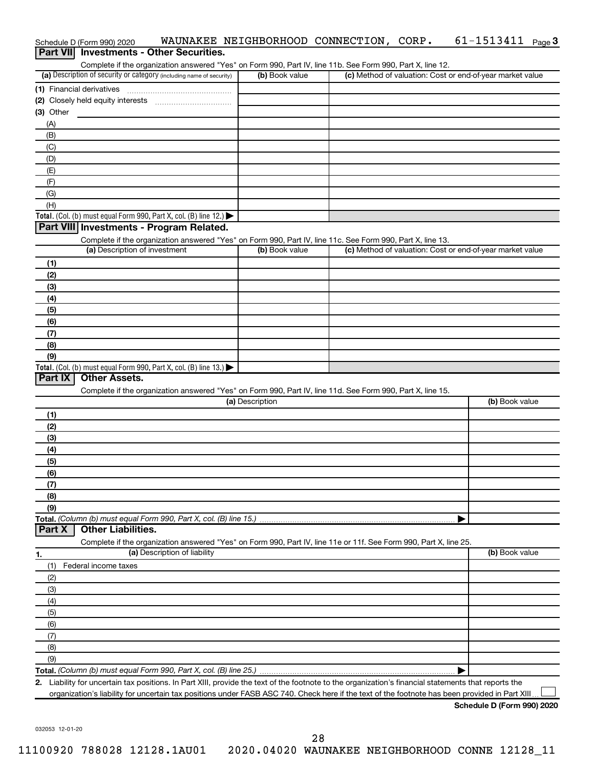|                  | Schedule D (Form 990) 2020                                                                                                                           | WAUNAKEE NEIGHBORHOOD CONNECTION, CORP. |  | $61 - 1513411$ Page 3                                     |
|------------------|------------------------------------------------------------------------------------------------------------------------------------------------------|-----------------------------------------|--|-----------------------------------------------------------|
| <b>Part VIII</b> | <b>Investments - Other Securities.</b>                                                                                                               |                                         |  |                                                           |
|                  | Complete if the organization answered "Yes" on Form 990, Part IV, line 11b. See Form 990, Part X, line 12.                                           |                                         |  |                                                           |
|                  | (a) Description of security or category (including name of security)                                                                                 | (b) Book value                          |  | (c) Method of valuation: Cost or end-of-year market value |
|                  | (1) Financial derivatives                                                                                                                            |                                         |  |                                                           |
|                  |                                                                                                                                                      |                                         |  |                                                           |
| $(3)$ Other      |                                                                                                                                                      |                                         |  |                                                           |
| (A)<br>(B)       |                                                                                                                                                      |                                         |  |                                                           |
| (C)              |                                                                                                                                                      |                                         |  |                                                           |
| (D)              |                                                                                                                                                      |                                         |  |                                                           |
| (E)              |                                                                                                                                                      |                                         |  |                                                           |
| (F)              |                                                                                                                                                      |                                         |  |                                                           |
| (G)              |                                                                                                                                                      |                                         |  |                                                           |
| (H)              |                                                                                                                                                      |                                         |  |                                                           |
|                  | Total. (Col. (b) must equal Form 990, Part X, col. (B) line 12.)                                                                                     |                                         |  |                                                           |
|                  | Part VIII Investments - Program Related.                                                                                                             |                                         |  |                                                           |
|                  | Complete if the organization answered "Yes" on Form 990, Part IV, line 11c. See Form 990, Part X, line 13.                                           |                                         |  |                                                           |
|                  | (a) Description of investment                                                                                                                        | (b) Book value                          |  | (c) Method of valuation: Cost or end-of-year market value |
| (1)              |                                                                                                                                                      |                                         |  |                                                           |
| (2)              |                                                                                                                                                      |                                         |  |                                                           |
| (3)              |                                                                                                                                                      |                                         |  |                                                           |
| (4)              |                                                                                                                                                      |                                         |  |                                                           |
| (5)<br>(6)       |                                                                                                                                                      |                                         |  |                                                           |
| (7)              |                                                                                                                                                      |                                         |  |                                                           |
| (8)              |                                                                                                                                                      |                                         |  |                                                           |
| (9)              |                                                                                                                                                      |                                         |  |                                                           |
|                  | Total. (Col. (b) must equal Form 990, Part X, col. (B) line 13.) $\blacktriangleright$                                                               |                                         |  |                                                           |
| Part IX          | <b>Other Assets.</b>                                                                                                                                 |                                         |  |                                                           |
|                  | Complete if the organization answered "Yes" on Form 990, Part IV, line 11d. See Form 990, Part X, line 15.                                           |                                         |  |                                                           |
|                  |                                                                                                                                                      | (a) Description                         |  | (b) Book value                                            |
| (1)              |                                                                                                                                                      |                                         |  |                                                           |
| (2)              |                                                                                                                                                      |                                         |  |                                                           |
| (3)              |                                                                                                                                                      |                                         |  |                                                           |
| (4)              |                                                                                                                                                      |                                         |  |                                                           |
| (5)              |                                                                                                                                                      |                                         |  |                                                           |
| (6)              |                                                                                                                                                      |                                         |  |                                                           |
| (7)<br>(8)       |                                                                                                                                                      |                                         |  |                                                           |
| (9)              |                                                                                                                                                      |                                         |  |                                                           |
|                  | Total. (Column (b) must equal Form 990, Part X, col. (B) line 15.)                                                                                   |                                         |  |                                                           |
| Part X           | <b>Other Liabilities.</b>                                                                                                                            |                                         |  |                                                           |
|                  | Complete if the organization answered "Yes" on Form 990, Part IV, line 11e or 11f. See Form 990, Part X, line 25.                                    |                                         |  |                                                           |
| 1.               | (a) Description of liability                                                                                                                         |                                         |  | (b) Book value                                            |
| (1)              | Federal income taxes                                                                                                                                 |                                         |  |                                                           |
| (2)              |                                                                                                                                                      |                                         |  |                                                           |
| (3)              |                                                                                                                                                      |                                         |  |                                                           |
| (4)              |                                                                                                                                                      |                                         |  |                                                           |
| (5)              |                                                                                                                                                      |                                         |  |                                                           |
| (6)              |                                                                                                                                                      |                                         |  |                                                           |
| (7)              |                                                                                                                                                      |                                         |  |                                                           |
| (8)              |                                                                                                                                                      |                                         |  |                                                           |
| (9)              |                                                                                                                                                      |                                         |  |                                                           |
|                  | 2. Liability for uncertain tax positions. In Part XIII, provide the text of the footnote to the organization's financial statements that reports the |                                         |  |                                                           |
|                  | organization's liability for uncertain tax positions under FASB ASC 740. Check here if the text of the footnote has been provided in Part XIII.      |                                         |  |                                                           |

**Schedule D (Form 990) 2020**

032053 12-01-20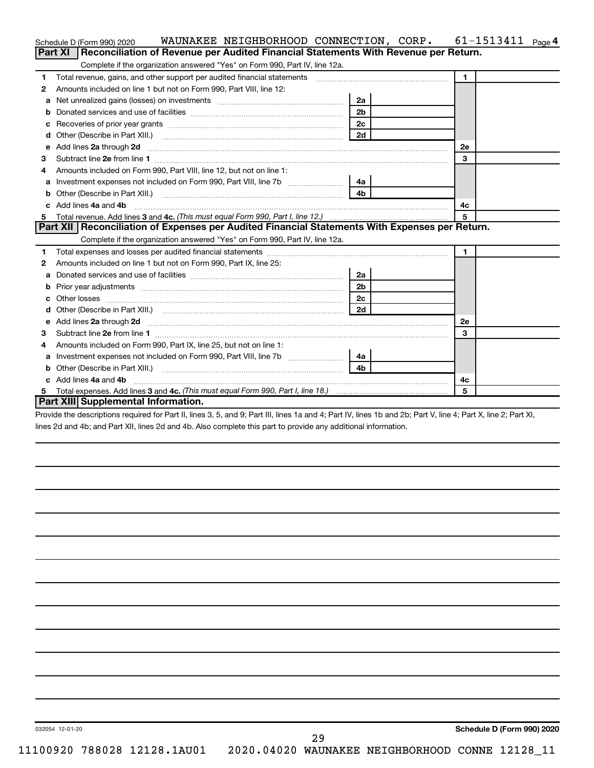|    | WAUNAKEE NEIGHBORHOOD CONNECTION, CORP.<br>Schedule D (Form 990) 2020                                                                                                                                                               |                | $61 - 1513411$ Page 4 |
|----|-------------------------------------------------------------------------------------------------------------------------------------------------------------------------------------------------------------------------------------|----------------|-----------------------|
|    | Reconciliation of Revenue per Audited Financial Statements With Revenue per Return.<br><b>Part XI</b>                                                                                                                               |                |                       |
|    | Complete if the organization answered "Yes" on Form 990, Part IV, line 12a.                                                                                                                                                         |                |                       |
| 1  | Total revenue, gains, and other support per audited financial statements [111] [11] Total revenue, gains, and other support per audited financial statements [11] [11] Total revenue of the support of the support of the supp      |                | $\mathbf{1}$          |
| 2  | Amounts included on line 1 but not on Form 990, Part VIII, line 12:                                                                                                                                                                 |                |                       |
| a  |                                                                                                                                                                                                                                     | 2a             |                       |
|    |                                                                                                                                                                                                                                     | 2 <sub>b</sub> |                       |
|    |                                                                                                                                                                                                                                     | 2c             |                       |
| d  | Other (Describe in Part XIII.) <b>2006</b> 2007 2010 2010 2010 2010 2011 2013 2014 2015 2016 2017 2018 2019 2019 2016 2016 2017 2018 2019 2016 2017 2018 2019 2016 2017 2018 2019 2019 2019 2016 2017 2018 2019 2019 2019 2019 2019 | 2d             |                       |
| е  | Add lines 2a through 2d                                                                                                                                                                                                             |                | 2е                    |
| 3  |                                                                                                                                                                                                                                     |                | 3                     |
| 4  | Amounts included on Form 990, Part VIII, line 12, but not on line 1:                                                                                                                                                                |                |                       |
|    | Investment expenses not included on Form 990, Part VIII, line 7b [11] [11] Investment expenses not included on Form 990, Part VIII, line 7b                                                                                         | 4a l           |                       |
|    |                                                                                                                                                                                                                                     | 4 <sub>b</sub> |                       |
| C. | Add lines 4a and 4b                                                                                                                                                                                                                 |                | 4c                    |
|    |                                                                                                                                                                                                                                     |                | 5                     |
|    | Part XII   Reconciliation of Expenses per Audited Financial Statements With Expenses per Return.                                                                                                                                    |                |                       |
|    | Complete if the organization answered "Yes" on Form 990, Part IV, line 12a.                                                                                                                                                         |                |                       |
| 1  |                                                                                                                                                                                                                                     |                | $\mathbf{1}$          |
| 2  | Amounts included on line 1 but not on Form 990, Part IX, line 25:                                                                                                                                                                   |                |                       |
| a  |                                                                                                                                                                                                                                     | 2a             |                       |
| b  |                                                                                                                                                                                                                                     | 2 <sub>b</sub> |                       |
|    |                                                                                                                                                                                                                                     | 2 <sub>c</sub> |                       |
| d  |                                                                                                                                                                                                                                     | 2d             |                       |
| е  | Add lines 2a through 2d <b>contained a contained a contained a contained a</b> contained a contained a contained a contained a contained a contact a contact a contact a contact a contact a contact a contact a contact a contact  |                | 2е                    |
| з  |                                                                                                                                                                                                                                     |                | 3                     |
| 4  | Amounts included on Form 990, Part IX, line 25, but not on line 1:                                                                                                                                                                  |                |                       |
| a  | Investment expenses not included on Form 990, Part VIII, line 7b                                                                                                                                                                    |                |                       |
|    |                                                                                                                                                                                                                                     | 4 <sub>b</sub> |                       |
| C. | Add lines 4a and 4b                                                                                                                                                                                                                 |                | 4c                    |
|    |                                                                                                                                                                                                                                     |                | 5                     |
|    | Part XIII Supplemental Information.                                                                                                                                                                                                 |                |                       |

Provide the descriptions required for Part II, lines 3, 5, and 9; Part III, lines 1a and 4; Part IV, lines 1b and 2b; Part V, line 4; Part X, line 2; Part XI, lines 2d and 4b; and Part XII, lines 2d and 4b. Also complete this part to provide any additional information.

29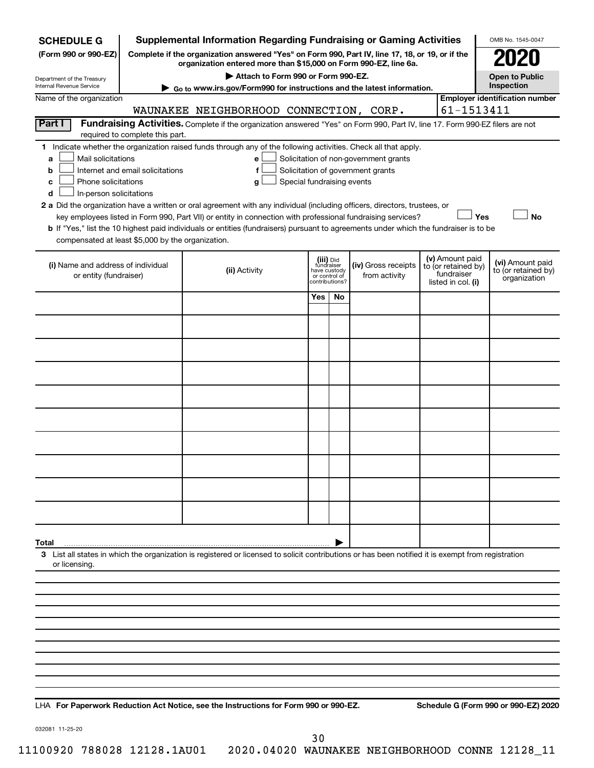| <b>SCHEDULE G</b>                                                                        |                                                                                                                                                                                                           | <b>Supplemental Information Regarding Fundraising or Gaming Activities</b>                                                                                                                                                                           |                                                                            |    |                                                                            |  |                                                                            | OMB No. 1545-0047                                       |  |  |  |  |
|------------------------------------------------------------------------------------------|-----------------------------------------------------------------------------------------------------------------------------------------------------------------------------------------------------------|------------------------------------------------------------------------------------------------------------------------------------------------------------------------------------------------------------------------------------------------------|----------------------------------------------------------------------------|----|----------------------------------------------------------------------------|--|----------------------------------------------------------------------------|---------------------------------------------------------|--|--|--|--|
| (Form 990 or 990-EZ)                                                                     | Complete if the organization answered "Yes" on Form 990, Part IV, line 17, 18, or 19, or if the                                                                                                           |                                                                                                                                                                                                                                                      |                                                                            |    |                                                                            |  |                                                                            |                                                         |  |  |  |  |
| Department of the Treasury                                                               | organization entered more than \$15,000 on Form 990-EZ, line 6a.<br>Attach to Form 990 or Form 990-EZ.<br><b>Open to Public</b><br>Go to www.irs.gov/Form990 for instructions and the latest information. |                                                                                                                                                                                                                                                      |                                                                            |    |                                                                            |  |                                                                            |                                                         |  |  |  |  |
| Internal Revenue Service                                                                 |                                                                                                                                                                                                           |                                                                                                                                                                                                                                                      |                                                                            |    |                                                                            |  |                                                                            | Inspection                                              |  |  |  |  |
| Name of the organization                                                                 |                                                                                                                                                                                                           | WAUNAKEE NEIGHBORHOOD CONNECTION, CORP.                                                                                                                                                                                                              |                                                                            |    |                                                                            |  | 61-1513411                                                                 | <b>Employer identification number</b>                   |  |  |  |  |
| Part I                                                                                   |                                                                                                                                                                                                           | Fundraising Activities. Complete if the organization answered "Yes" on Form 990, Part IV, line 17. Form 990-EZ filers are not                                                                                                                        |                                                                            |    |                                                                            |  |                                                                            |                                                         |  |  |  |  |
|                                                                                          | required to complete this part.                                                                                                                                                                           |                                                                                                                                                                                                                                                      |                                                                            |    |                                                                            |  |                                                                            |                                                         |  |  |  |  |
| Mail solicitations<br>a<br>b<br>Phone solicitations<br>c<br>In-person solicitations<br>d | Internet and email solicitations                                                                                                                                                                          | 1 Indicate whether the organization raised funds through any of the following activities. Check all that apply.<br>е<br>f<br>Special fundraising events<br>g                                                                                         |                                                                            |    | Solicitation of non-government grants<br>Solicitation of government grants |  |                                                                            |                                                         |  |  |  |  |
|                                                                                          |                                                                                                                                                                                                           | 2 a Did the organization have a written or oral agreement with any individual (including officers, directors, trustees, or                                                                                                                           |                                                                            |    |                                                                            |  |                                                                            |                                                         |  |  |  |  |
|                                                                                          |                                                                                                                                                                                                           | key employees listed in Form 990, Part VII) or entity in connection with professional fundraising services?<br>b If "Yes," list the 10 highest paid individuals or entities (fundraisers) pursuant to agreements under which the fundraiser is to be |                                                                            |    |                                                                            |  | Yes                                                                        | <b>No</b>                                               |  |  |  |  |
| compensated at least \$5,000 by the organization.                                        |                                                                                                                                                                                                           |                                                                                                                                                                                                                                                      |                                                                            |    |                                                                            |  |                                                                            |                                                         |  |  |  |  |
| (i) Name and address of individual<br>or entity (fundraiser)                             |                                                                                                                                                                                                           | (ii) Activity                                                                                                                                                                                                                                        | (iii) Did<br>fundraiser<br>have custody<br>or control of<br>contributions? |    | (iv) Gross receipts<br>from activity                                       |  | (v) Amount paid<br>to (or retained by)<br>fundraiser<br>listed in col. (i) | (vi) Amount paid<br>to (or retained by)<br>organization |  |  |  |  |
|                                                                                          |                                                                                                                                                                                                           |                                                                                                                                                                                                                                                      | Yes                                                                        | No |                                                                            |  |                                                                            |                                                         |  |  |  |  |
|                                                                                          |                                                                                                                                                                                                           |                                                                                                                                                                                                                                                      |                                                                            |    |                                                                            |  |                                                                            |                                                         |  |  |  |  |
|                                                                                          |                                                                                                                                                                                                           |                                                                                                                                                                                                                                                      |                                                                            |    |                                                                            |  |                                                                            |                                                         |  |  |  |  |
|                                                                                          |                                                                                                                                                                                                           |                                                                                                                                                                                                                                                      |                                                                            |    |                                                                            |  |                                                                            |                                                         |  |  |  |  |
|                                                                                          |                                                                                                                                                                                                           |                                                                                                                                                                                                                                                      |                                                                            |    |                                                                            |  |                                                                            |                                                         |  |  |  |  |
|                                                                                          |                                                                                                                                                                                                           |                                                                                                                                                                                                                                                      |                                                                            |    |                                                                            |  |                                                                            |                                                         |  |  |  |  |
|                                                                                          |                                                                                                                                                                                                           |                                                                                                                                                                                                                                                      |                                                                            |    |                                                                            |  |                                                                            |                                                         |  |  |  |  |
|                                                                                          |                                                                                                                                                                                                           |                                                                                                                                                                                                                                                      |                                                                            |    |                                                                            |  |                                                                            |                                                         |  |  |  |  |
|                                                                                          |                                                                                                                                                                                                           |                                                                                                                                                                                                                                                      |                                                                            |    |                                                                            |  |                                                                            |                                                         |  |  |  |  |
|                                                                                          |                                                                                                                                                                                                           |                                                                                                                                                                                                                                                      |                                                                            |    |                                                                            |  |                                                                            |                                                         |  |  |  |  |
|                                                                                          |                                                                                                                                                                                                           |                                                                                                                                                                                                                                                      |                                                                            |    |                                                                            |  |                                                                            |                                                         |  |  |  |  |
|                                                                                          |                                                                                                                                                                                                           |                                                                                                                                                                                                                                                      |                                                                            |    |                                                                            |  |                                                                            |                                                         |  |  |  |  |
| Total                                                                                    |                                                                                                                                                                                                           | 3 List all states in which the organization is registered or licensed to solicit contributions or has been notified it is exempt from registration                                                                                                   |                                                                            |    |                                                                            |  |                                                                            |                                                         |  |  |  |  |
| or licensing.                                                                            |                                                                                                                                                                                                           |                                                                                                                                                                                                                                                      |                                                                            |    |                                                                            |  |                                                                            |                                                         |  |  |  |  |
|                                                                                          |                                                                                                                                                                                                           |                                                                                                                                                                                                                                                      |                                                                            |    |                                                                            |  |                                                                            |                                                         |  |  |  |  |
|                                                                                          |                                                                                                                                                                                                           |                                                                                                                                                                                                                                                      |                                                                            |    |                                                                            |  |                                                                            |                                                         |  |  |  |  |
|                                                                                          |                                                                                                                                                                                                           |                                                                                                                                                                                                                                                      |                                                                            |    |                                                                            |  |                                                                            |                                                         |  |  |  |  |
|                                                                                          |                                                                                                                                                                                                           |                                                                                                                                                                                                                                                      |                                                                            |    |                                                                            |  |                                                                            |                                                         |  |  |  |  |
|                                                                                          |                                                                                                                                                                                                           |                                                                                                                                                                                                                                                      |                                                                            |    |                                                                            |  |                                                                            |                                                         |  |  |  |  |
|                                                                                          |                                                                                                                                                                                                           |                                                                                                                                                                                                                                                      |                                                                            |    |                                                                            |  |                                                                            |                                                         |  |  |  |  |
|                                                                                          |                                                                                                                                                                                                           |                                                                                                                                                                                                                                                      |                                                                            |    |                                                                            |  |                                                                            |                                                         |  |  |  |  |

**For Paperwork Reduction Act Notice, see the Instructions for Form 990 or 990-EZ. Schedule G (Form 990 or 990-EZ) 2020** LHA

032081 11-25-20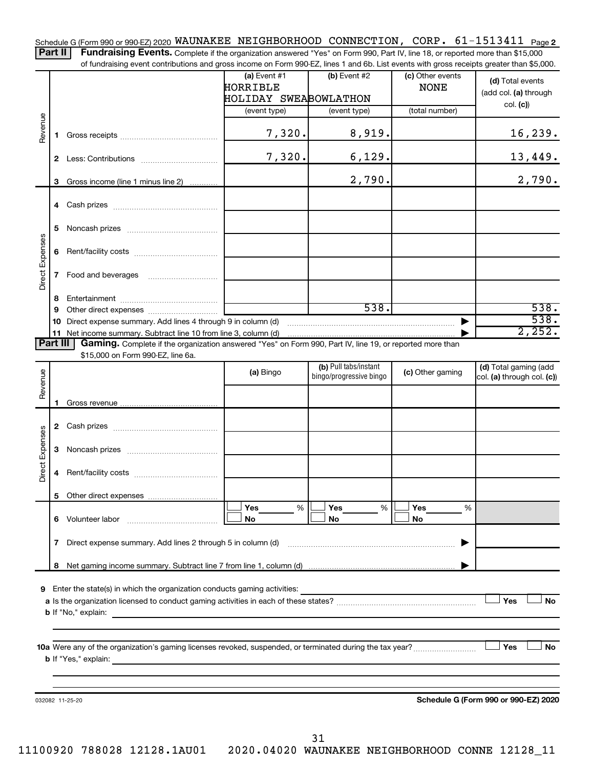Schedule G (Form 990 or 990-EZ) 2020 <code>WAUNAKEE NEIGHBORHOOD CONNECTION</code> ,  $\,$  <code>CORP</code> .  $\,$  61-1513411  $\,$  Page <code>2</code>

Part II | Fundraising Events. Complete if the organization answered "Yes" on Form 990, Part IV, line 18, or reported more than \$15,000 of fundraising event contributions and gross income on Form 990-EZ, lines 1 and 6b. List events with gross receipts greater than \$5,000.

|                 |              |                                                                                                          | (a) Event $#1$<br>HORRIBLE<br>HOLIDAY SWEABOWLATHON | (b) Event #2            | (c) Other events<br><b>NONE</b> | (d) Total events<br>(add col. (a) through           |
|-----------------|--------------|----------------------------------------------------------------------------------------------------------|-----------------------------------------------------|-------------------------|---------------------------------|-----------------------------------------------------|
|                 |              |                                                                                                          | (event type)                                        | (event type)            | (total number)                  | col. (c)                                            |
| Revenue         | 1.           |                                                                                                          | 7,320.                                              | 8,919.                  |                                 | <u>16,239.</u>                                      |
|                 | 2            |                                                                                                          | 7,320.                                              | 6,129.                  |                                 | 13,449.                                             |
|                 | 3.           | Gross income (line 1 minus line 2)                                                                       |                                                     | 2,790.                  |                                 | 2,790.                                              |
|                 | 4            |                                                                                                          |                                                     |                         |                                 |                                                     |
|                 | 5.           |                                                                                                          |                                                     |                         |                                 |                                                     |
|                 | 6            |                                                                                                          |                                                     |                         |                                 |                                                     |
| Direct Expenses | $\mathbf{7}$ |                                                                                                          |                                                     |                         |                                 |                                                     |
|                 | 8.<br>9      |                                                                                                          |                                                     | 538.                    |                                 | 538.                                                |
|                 | 10           | Direct expense summary. Add lines 4 through 9 in column (d)                                              |                                                     |                         |                                 | 538.                                                |
|                 |              | 11 Net income summary. Subtract line 10 from line 3, column (d)                                          |                                                     |                         |                                 | 2,252.                                              |
| Part III        |              | Gaming. Complete if the organization answered "Yes" on Form 990, Part IV, line 19, or reported more than |                                                     |                         |                                 |                                                     |
|                 |              | \$15,000 on Form 990-EZ, line 6a.                                                                        |                                                     | (b) Pull tabs/instant   |                                 |                                                     |
|                 |              |                                                                                                          | (a) Bingo                                           | bingo/progressive bingo | (c) Other gaming                | (d) Total gaming (add<br>col. (a) through col. (c)) |
| Revenue         |              |                                                                                                          |                                                     |                         |                                 |                                                     |
|                 | 1.           |                                                                                                          |                                                     |                         |                                 |                                                     |
|                 |              |                                                                                                          |                                                     |                         |                                 |                                                     |
|                 |              |                                                                                                          |                                                     |                         |                                 |                                                     |
| Direct Expenses | 3            |                                                                                                          |                                                     |                         |                                 |                                                     |
|                 | 4            |                                                                                                          |                                                     |                         |                                 |                                                     |
|                 |              |                                                                                                          |                                                     |                         |                                 |                                                     |
|                 |              |                                                                                                          | Yes<br>%                                            | Yes<br>%                | Yes<br>%                        |                                                     |
|                 |              | 6 Volunteer labor                                                                                        | No                                                  | No                      | No                              |                                                     |
|                 | 7            | Direct expense summary. Add lines 2 through 5 in column (d)                                              |                                                     |                         |                                 |                                                     |
|                 | 8            |                                                                                                          |                                                     |                         |                                 |                                                     |
| 9               |              | Enter the state(s) in which the organization conducts gaming activities:<br><b>b</b> If "No," explain:   |                                                     |                         |                                 | Yes<br><b>No</b>                                    |
|                 |              |                                                                                                          |                                                     |                         |                                 |                                                     |
|                 |              |                                                                                                          |                                                     |                         |                                 | Yes<br><b>No</b>                                    |
|                 |              |                                                                                                          |                                                     |                         |                                 |                                                     |
|                 |              | 032082 11-25-20                                                                                          |                                                     |                         |                                 | Schedule G (Form 990 or 990-EZ) 2020                |
|                 |              |                                                                                                          |                                                     |                         |                                 |                                                     |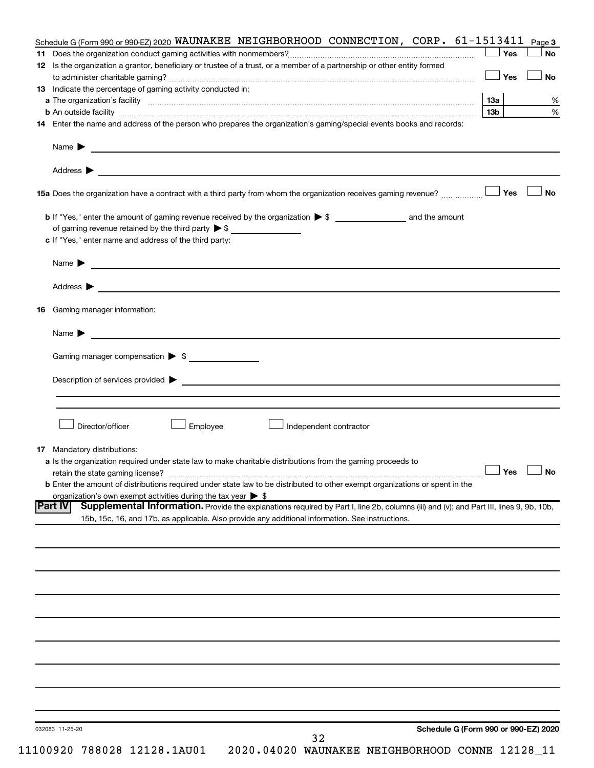| Address ><br><u> 1989 - Johann Barbara, martin amerikan basal dan berasal dan berasal dari berasal dalam basal dan berasal dan</u>                                                                                                       |                      |  |
|------------------------------------------------------------------------------------------------------------------------------------------------------------------------------------------------------------------------------------------|----------------------|--|
|                                                                                                                                                                                                                                          |                      |  |
| <b>16</b> Gaming manager information:                                                                                                                                                                                                    |                      |  |
|                                                                                                                                                                                                                                          |                      |  |
| <u> 1989 - Johann Barnett, fransk politiker (d. 1989)</u><br>Name $\blacktriangleright$                                                                                                                                                  |                      |  |
| Gaming manager compensation > \$                                                                                                                                                                                                         |                      |  |
|                                                                                                                                                                                                                                          |                      |  |
| Description of services provided states and the contract of the contract of the contract of the contract of the contract of the contract of the contract of the contract of the contract of the contract of the contract of th           |                      |  |
|                                                                                                                                                                                                                                          |                      |  |
|                                                                                                                                                                                                                                          |                      |  |
| Director/officer<br>Employee<br>Independent contractor                                                                                                                                                                                   |                      |  |
|                                                                                                                                                                                                                                          |                      |  |
| <b>17</b> Mandatory distributions:                                                                                                                                                                                                       |                      |  |
|                                                                                                                                                                                                                                          |                      |  |
| a Is the organization required under state law to make charitable distributions from the gaming proceeds to                                                                                                                              |                      |  |
|                                                                                                                                                                                                                                          | $\Box$ Yes $\Box$ No |  |
| <b>b</b> Enter the amount of distributions required under state law to be distributed to other exempt organizations or spent in the                                                                                                      |                      |  |
| organization's own exempt activities during the tax year $\triangleright$ \$<br>Supplemental Information. Provide the explanations required by Part I, line 2b, columns (iii) and (v); and Part III, lines 9, 9b, 10b,<br><b>Part IV</b> |                      |  |
| 15b, 15c, 16, and 17b, as applicable. Also provide any additional information. See instructions.                                                                                                                                         |                      |  |
|                                                                                                                                                                                                                                          |                      |  |
|                                                                                                                                                                                                                                          |                      |  |
|                                                                                                                                                                                                                                          |                      |  |
|                                                                                                                                                                                                                                          |                      |  |
|                                                                                                                                                                                                                                          |                      |  |
|                                                                                                                                                                                                                                          |                      |  |
|                                                                                                                                                                                                                                          |                      |  |
|                                                                                                                                                                                                                                          |                      |  |
|                                                                                                                                                                                                                                          |                      |  |
|                                                                                                                                                                                                                                          |                      |  |
|                                                                                                                                                                                                                                          |                      |  |
|                                                                                                                                                                                                                                          |                      |  |
|                                                                                                                                                                                                                                          |                      |  |
|                                                                                                                                                                                                                                          |                      |  |
| Schedule G (Form 990 or 990-EZ) 2020<br>032083 11-25-20                                                                                                                                                                                  |                      |  |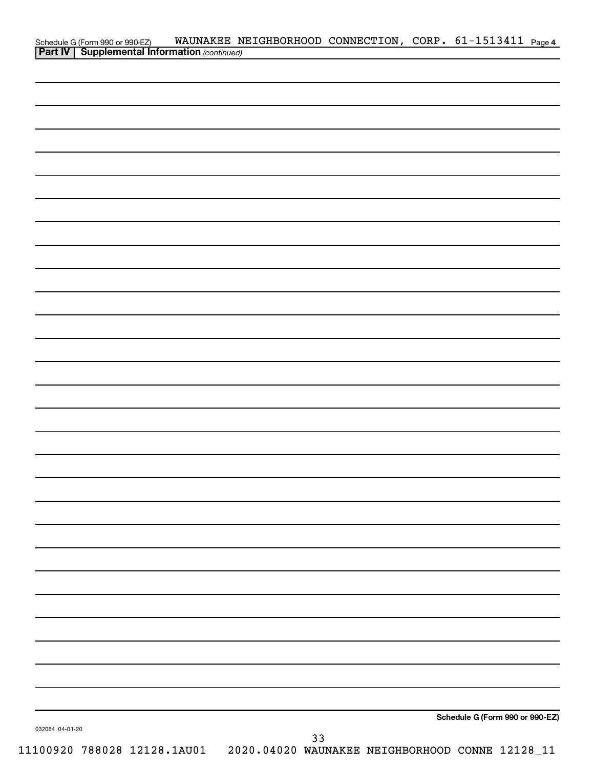|                 | Schedule G (Form 990 or 990-EZ) WAUNAKEE N<br><b>Part IV   Supplemental Information</b> (continued) | WAUNAKEE NEIGHBORHOOD CONNECTION, CORP. 61-1513411 Page 4 |  |                                 |  |
|-----------------|-----------------------------------------------------------------------------------------------------|-----------------------------------------------------------|--|---------------------------------|--|
|                 |                                                                                                     |                                                           |  |                                 |  |
|                 |                                                                                                     |                                                           |  |                                 |  |
|                 |                                                                                                     |                                                           |  |                                 |  |
|                 |                                                                                                     |                                                           |  |                                 |  |
|                 |                                                                                                     |                                                           |  |                                 |  |
|                 |                                                                                                     |                                                           |  |                                 |  |
|                 |                                                                                                     |                                                           |  |                                 |  |
|                 |                                                                                                     |                                                           |  |                                 |  |
|                 |                                                                                                     |                                                           |  |                                 |  |
|                 |                                                                                                     |                                                           |  |                                 |  |
|                 |                                                                                                     |                                                           |  |                                 |  |
|                 |                                                                                                     |                                                           |  |                                 |  |
|                 |                                                                                                     |                                                           |  |                                 |  |
|                 |                                                                                                     |                                                           |  |                                 |  |
|                 |                                                                                                     |                                                           |  |                                 |  |
|                 |                                                                                                     |                                                           |  |                                 |  |
|                 |                                                                                                     |                                                           |  |                                 |  |
|                 |                                                                                                     |                                                           |  |                                 |  |
|                 |                                                                                                     |                                                           |  |                                 |  |
|                 |                                                                                                     |                                                           |  |                                 |  |
|                 |                                                                                                     |                                                           |  |                                 |  |
|                 |                                                                                                     |                                                           |  |                                 |  |
|                 |                                                                                                     |                                                           |  |                                 |  |
|                 |                                                                                                     |                                                           |  |                                 |  |
|                 |                                                                                                     |                                                           |  |                                 |  |
|                 |                                                                                                     |                                                           |  |                                 |  |
|                 |                                                                                                     |                                                           |  |                                 |  |
|                 |                                                                                                     |                                                           |  |                                 |  |
|                 |                                                                                                     |                                                           |  |                                 |  |
|                 |                                                                                                     |                                                           |  |                                 |  |
|                 |                                                                                                     |                                                           |  |                                 |  |
|                 |                                                                                                     |                                                           |  |                                 |  |
| 032084 04-01-20 |                                                                                                     |                                                           |  | Schedule G (Form 990 or 990-EZ) |  |
|                 |                                                                                                     | 33                                                        |  |                                 |  |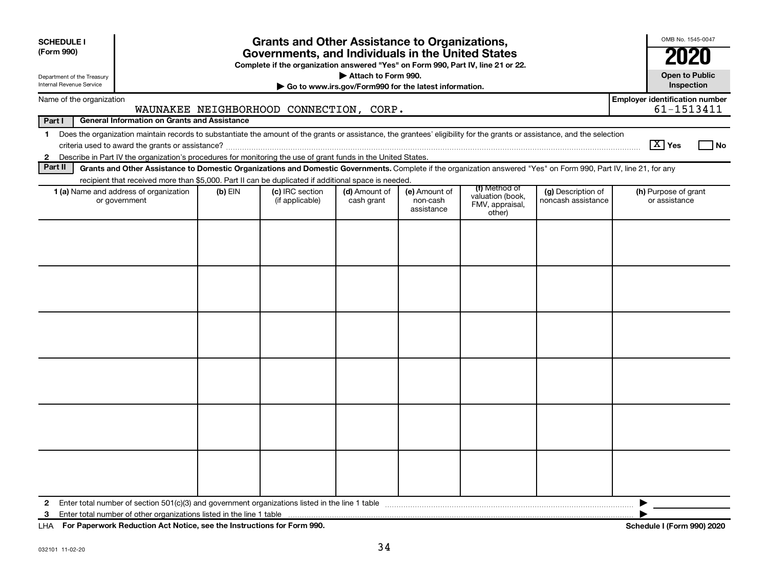| <b>SCHEDULE I</b><br>(Form 990)<br>Department of the Treasury<br>Internal Revenue Service |                                                                                                                                                                                                                                                                                     |         | <b>Grants and Other Assistance to Organizations,</b><br>Governments, and Individuals in the United States<br>Complete if the organization answered "Yes" on Form 990, Part IV, line 21 or 22. | Attach to Form 990.         | Go to www.irs.gov/Form990 for the latest information. |                                                                |                                          |                                       | OMB No. 1545-0047<br><b>Open to Public</b><br>Inspection |
|-------------------------------------------------------------------------------------------|-------------------------------------------------------------------------------------------------------------------------------------------------------------------------------------------------------------------------------------------------------------------------------------|---------|-----------------------------------------------------------------------------------------------------------------------------------------------------------------------------------------------|-----------------------------|-------------------------------------------------------|----------------------------------------------------------------|------------------------------------------|---------------------------------------|----------------------------------------------------------|
|                                                                                           | Name of the organization                                                                                                                                                                                                                                                            |         |                                                                                                                                                                                               |                             |                                                       |                                                                |                                          | <b>Employer identification number</b> |                                                          |
|                                                                                           |                                                                                                                                                                                                                                                                                     |         | WAUNAKEE NEIGHBORHOOD CONNECTION, CORP.                                                                                                                                                       |                             |                                                       |                                                                |                                          |                                       | 61-1513411                                               |
| Part I                                                                                    | <b>General Information on Grants and Assistance</b>                                                                                                                                                                                                                                 |         |                                                                                                                                                                                               |                             |                                                       |                                                                |                                          |                                       |                                                          |
| $\mathbf 1$                                                                               | Does the organization maintain records to substantiate the amount of the grants or assistance, the grantees' eligibility for the grants or assistance, and the selection                                                                                                            |         |                                                                                                                                                                                               |                             |                                                       |                                                                |                                          | $\boxed{\text{X}}$ Yes                | l No                                                     |
| $\mathbf{2}$<br>Part II                                                                   | Describe in Part IV the organization's procedures for monitoring the use of grant funds in the United States.<br>Grants and Other Assistance to Domestic Organizations and Domestic Governments. Complete if the organization answered "Yes" on Form 990, Part IV, line 21, for any |         |                                                                                                                                                                                               |                             |                                                       |                                                                |                                          |                                       |                                                          |
|                                                                                           | recipient that received more than \$5,000. Part II can be duplicated if additional space is needed.                                                                                                                                                                                 |         |                                                                                                                                                                                               |                             |                                                       |                                                                |                                          |                                       |                                                          |
|                                                                                           | 1 (a) Name and address of organization<br>or government                                                                                                                                                                                                                             | (b) EIN | (c) IRC section<br>(if applicable)                                                                                                                                                            | (d) Amount of<br>cash grant | (e) Amount of<br>non-cash<br>assistance               | (f) Method of<br>valuation (book,<br>FMV, appraisal,<br>other) | (g) Description of<br>noncash assistance | (h) Purpose of grant<br>or assistance |                                                          |
|                                                                                           |                                                                                                                                                                                                                                                                                     |         |                                                                                                                                                                                               |                             |                                                       |                                                                |                                          |                                       |                                                          |
| $\mathbf{2}$                                                                              |                                                                                                                                                                                                                                                                                     |         |                                                                                                                                                                                               |                             |                                                       |                                                                |                                          | ▶                                     |                                                          |
| 3                                                                                         |                                                                                                                                                                                                                                                                                     |         |                                                                                                                                                                                               |                             |                                                       |                                                                |                                          |                                       |                                                          |

**For Paperwork Reduction Act Notice, see the Instructions for Form 990. Schedule I (Form 990) 2020** LHA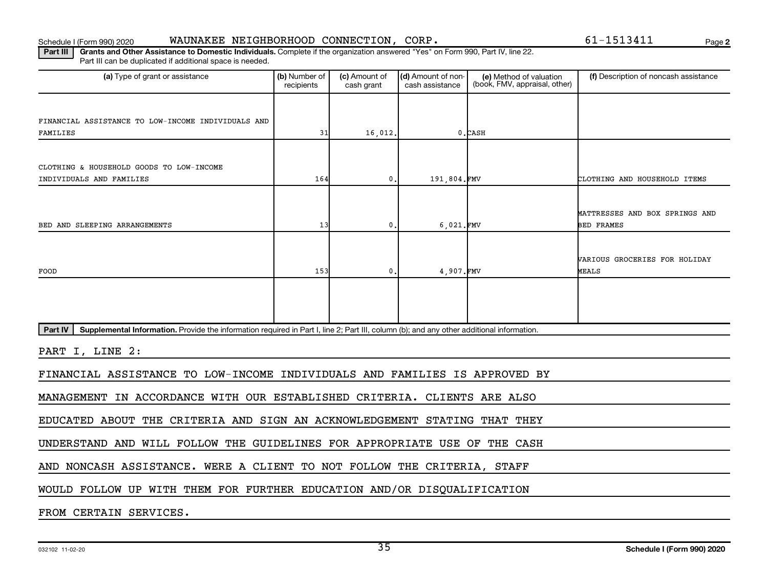Schedule I (Form 990) 2020 WAUNAKEE NEIGHBORHOOD CONNECTION,CORP. 61-1513411 Page

**2**

Part III | Grants and Other Assistance to Domestic Individuals. Complete if the organization answered "Yes" on Form 990, Part IV, line 22. Part III can be duplicated if additional space is needed.

| (a) Type of grant or assistance                                                                                                                      | (b) Number of<br>recipients | (c) Amount of<br>cash grant | (d) Amount of non-<br>cash assistance | (e) Method of valuation<br>(book, FMV, appraisal, other) | (f) Description of noncash assistance |
|------------------------------------------------------------------------------------------------------------------------------------------------------|-----------------------------|-----------------------------|---------------------------------------|----------------------------------------------------------|---------------------------------------|
|                                                                                                                                                      |                             |                             |                                       |                                                          |                                       |
| FINANCIAL ASSISTANCE TO LOW-INCOME INDIVIDUALS AND                                                                                                   |                             |                             |                                       |                                                          |                                       |
| FAMILIES                                                                                                                                             | 31                          | 16,012.                     |                                       | $0$ . CASH                                               |                                       |
|                                                                                                                                                      |                             |                             |                                       |                                                          |                                       |
| CLOTHING & HOUSEHOLD GOODS TO LOW-INCOME                                                                                                             |                             |                             |                                       |                                                          |                                       |
| INDIVIDUALS AND FAMILIES                                                                                                                             | 164                         | 0.                          | 191,804.FMV                           |                                                          | CLOTHING AND HOUSEHOLD ITEMS          |
|                                                                                                                                                      |                             |                             |                                       |                                                          |                                       |
|                                                                                                                                                      |                             |                             |                                       |                                                          |                                       |
|                                                                                                                                                      |                             |                             |                                       |                                                          | MATTRESSES AND BOX SPRINGS AND        |
| BED AND SLEEPING ARRANGEMENTS                                                                                                                        | 13                          | 0.                          | 6,021.FMV                             |                                                          | <b>BED FRAMES</b>                     |
|                                                                                                                                                      |                             |                             |                                       |                                                          |                                       |
|                                                                                                                                                      |                             |                             |                                       |                                                          | <b>VARIOUS GROCERIES FOR HOLIDAY</b>  |
| FOOD                                                                                                                                                 | 153                         | $\mathbf{0}$ .              | 4,907.FMV                             |                                                          | <b>MEALS</b>                          |
|                                                                                                                                                      |                             |                             |                                       |                                                          |                                       |
|                                                                                                                                                      |                             |                             |                                       |                                                          |                                       |
|                                                                                                                                                      |                             |                             |                                       |                                                          |                                       |
| Part IV<br>Supplemental Information. Provide the information required in Part I, line 2; Part III, column (b); and any other additional information. |                             |                             |                                       |                                                          |                                       |
| PART I, LINE 2:                                                                                                                                      |                             |                             |                                       |                                                          |                                       |
|                                                                                                                                                      |                             |                             |                                       |                                                          |                                       |
| FINANCIAL ASSISTANCE TO LOW-INCOME INDIVIDUALS AND FAMILIES IS APPROVED BY                                                                           |                             |                             |                                       |                                                          |                                       |
| IN ACCORDANCE WITH OUR ESTABLISHED CRITERIA. CLIENTS ARE ALSO<br><b>MANAGEMENT</b>                                                                   |                             |                             |                                       |                                                          |                                       |
| EDUCATED ABOUT THE CRITERIA AND SIGN AN ACKNOWLEDGEMENT STATING THAT THEY                                                                            |                             |                             |                                       |                                                          |                                       |
|                                                                                                                                                      |                             |                             |                                       |                                                          |                                       |
| UNDERSTAND AND WILL FOLLOW THE GUIDELINES FOR APPROPRIATE USE OF                                                                                     |                             |                             |                                       | THE CASH                                                 |                                       |
| AND NONCASH ASSISTANCE. WERE A CLIENT TO NOT FOLLOW THE CRITERIA, STAFF                                                                              |                             |                             |                                       |                                                          |                                       |
| WOULD FOLLOW UP WITH THEM FOR FURTHER EDUCATION AND/OR DISQUALIFICATION                                                                              |                             |                             |                                       |                                                          |                                       |
| FROM CERTAIN SERVICES.                                                                                                                               |                             |                             |                                       |                                                          |                                       |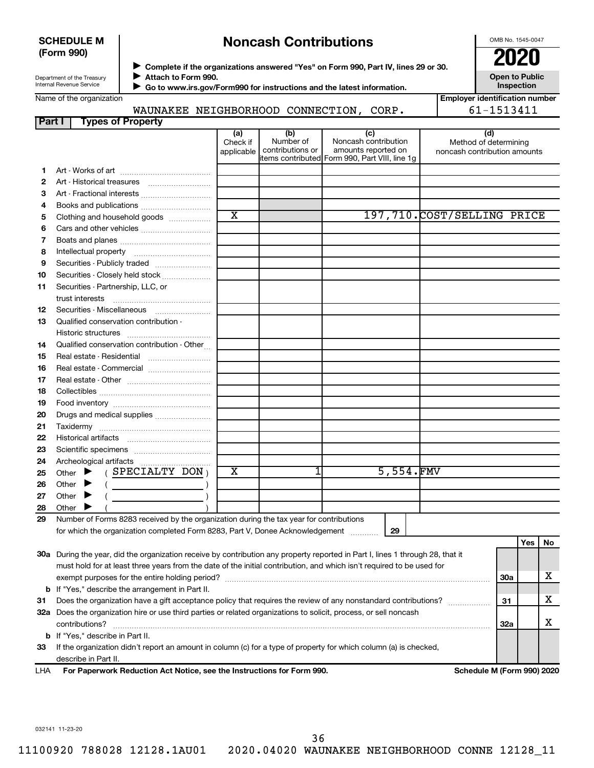### **SCHEDULE M (Form 990)**

# **Noncash Contributions**

OMB No. 1545-0047

| Department of the Treasury |
|----------------------------|
| Internal Revenue Service   |

◆ Complete if the organizations answered "Yes" on Form 990, Part IV, lines 29 or 30.<br>● Complete if the organizations answered "Yes" on Form 990, Part IV, lines 29 or 30.  $\blacktriangleright$ 

 **Go to www.irs.gov/Form990 for instructions and the latest information.**  $\blacktriangleright$ 

**Attach to Form 990.**

**Open to Public Inspection**

| Name of the organization |  |
|--------------------------|--|
|                          |  |

WAUNAKEE NEIGHBORHOOD CONNECTION, CORP. 61-1513411

**Employer identification number**

| Part I | <b>Types of Property</b>                                                                                                       |                               |                                      |                                                                                                      |                                                              |            |       |    |
|--------|--------------------------------------------------------------------------------------------------------------------------------|-------------------------------|--------------------------------------|------------------------------------------------------------------------------------------------------|--------------------------------------------------------------|------------|-------|----|
|        |                                                                                                                                | (a)<br>Check if<br>applicable | (b)<br>Number of<br>contributions or | (c)<br>Noncash contribution<br>amounts reported on<br>items contributed Form 990, Part VIII, line 1g | (d)<br>Method of determining<br>noncash contribution amounts |            |       |    |
| 1      |                                                                                                                                |                               |                                      |                                                                                                      |                                                              |            |       |    |
| 2      |                                                                                                                                |                               |                                      |                                                                                                      |                                                              |            |       |    |
| 3      | Art - Fractional interests                                                                                                     |                               |                                      |                                                                                                      |                                                              |            |       |    |
| 4      | Books and publications                                                                                                         |                               |                                      |                                                                                                      |                                                              |            |       |    |
| 5      | Clothing and household goods                                                                                                   | $\overline{\textbf{x}}$       |                                      |                                                                                                      | 197,710.COST/SELLING PRICE                                   |            |       |    |
| 6      |                                                                                                                                |                               |                                      |                                                                                                      |                                                              |            |       |    |
| 7      |                                                                                                                                |                               |                                      |                                                                                                      |                                                              |            |       |    |
| 8      |                                                                                                                                |                               |                                      |                                                                                                      |                                                              |            |       |    |
| 9      | Securities - Publicly traded                                                                                                   |                               |                                      |                                                                                                      |                                                              |            |       |    |
| 10     | Securities - Closely held stock                                                                                                |                               |                                      |                                                                                                      |                                                              |            |       |    |
| 11     | Securities - Partnership, LLC, or                                                                                              |                               |                                      |                                                                                                      |                                                              |            |       |    |
|        | trust interests                                                                                                                |                               |                                      |                                                                                                      |                                                              |            |       |    |
| 12     | Securities - Miscellaneous                                                                                                     |                               |                                      |                                                                                                      |                                                              |            |       |    |
| 13     | Qualified conservation contribution -                                                                                          |                               |                                      |                                                                                                      |                                                              |            |       |    |
|        |                                                                                                                                |                               |                                      |                                                                                                      |                                                              |            |       |    |
| 14     | Qualified conservation contribution - Other                                                                                    |                               |                                      |                                                                                                      |                                                              |            |       |    |
| 15     |                                                                                                                                |                               |                                      |                                                                                                      |                                                              |            |       |    |
| 16     | Real estate - Commercial                                                                                                       |                               |                                      |                                                                                                      |                                                              |            |       |    |
| 17     |                                                                                                                                |                               |                                      |                                                                                                      |                                                              |            |       |    |
| 18     |                                                                                                                                |                               |                                      |                                                                                                      |                                                              |            |       |    |
| 19     |                                                                                                                                |                               |                                      |                                                                                                      |                                                              |            |       |    |
| 20     | Drugs and medical supplies                                                                                                     |                               |                                      |                                                                                                      |                                                              |            |       |    |
| 21     |                                                                                                                                |                               |                                      |                                                                                                      |                                                              |            |       |    |
| 22     |                                                                                                                                |                               |                                      |                                                                                                      |                                                              |            |       |    |
| 23     |                                                                                                                                |                               |                                      |                                                                                                      |                                                              |            |       |    |
| 24     |                                                                                                                                |                               |                                      |                                                                                                      |                                                              |            |       |    |
| 25     | $($ SPECIALTY DON $)$<br>Other<br>▸                                                                                            | $\overline{\textbf{x}}$       |                                      | 5,554.FMV                                                                                            |                                                              |            |       |    |
| 26     | Other<br>▸<br>$\overline{\phantom{a}}$ )                                                                                       |                               |                                      |                                                                                                      |                                                              |            |       |    |
| 27     | Other<br>▸                                                                                                                     |                               |                                      |                                                                                                      |                                                              |            |       |    |
| 28     | Other                                                                                                                          |                               |                                      |                                                                                                      |                                                              |            |       |    |
| 29     | Number of Forms 8283 received by the organization during the tax year for contributions                                        |                               |                                      |                                                                                                      |                                                              |            |       |    |
|        | for which the organization completed Form 8283, Part V, Donee Acknowledgement                                                  |                               |                                      | 29                                                                                                   |                                                              |            |       |    |
|        |                                                                                                                                |                               |                                      |                                                                                                      |                                                              |            | Yes l | No |
|        | 30a During the year, did the organization receive by contribution any property reported in Part I, lines 1 through 28, that it |                               |                                      |                                                                                                      |                                                              |            |       |    |
|        | must hold for at least three years from the date of the initial contribution, and which isn't required to be used for          |                               |                                      |                                                                                                      |                                                              |            |       |    |
|        |                                                                                                                                |                               |                                      |                                                                                                      |                                                              | <b>30a</b> |       | x  |
|        | <b>b</b> If "Yes," describe the arrangement in Part II.                                                                        |                               |                                      |                                                                                                      |                                                              |            |       |    |
| 31     | Does the organization have a gift acceptance policy that requires the review of any nonstandard contributions?                 |                               |                                      |                                                                                                      |                                                              | 31         |       | x  |
|        | 32a Does the organization hire or use third parties or related organizations to solicit, process, or sell noncash              |                               |                                      |                                                                                                      |                                                              |            |       |    |
|        | contributions?                                                                                                                 |                               |                                      |                                                                                                      |                                                              | 32a        |       | х  |
|        | <b>b</b> If "Yes," describe in Part II.                                                                                        |                               |                                      |                                                                                                      |                                                              |            |       |    |
| 33     | If the organization didn't report an amount in column (c) for a type of property for which column (a) is checked,              |                               |                                      |                                                                                                      |                                                              |            |       |    |
|        | describe in Part II.                                                                                                           |                               |                                      |                                                                                                      |                                                              |            |       |    |
| LHA    | For Paperwork Reduction Act Notice, see the Instructions for Form 990.                                                         |                               |                                      |                                                                                                      | Schedule M (Form 990) 2020                                   |            |       |    |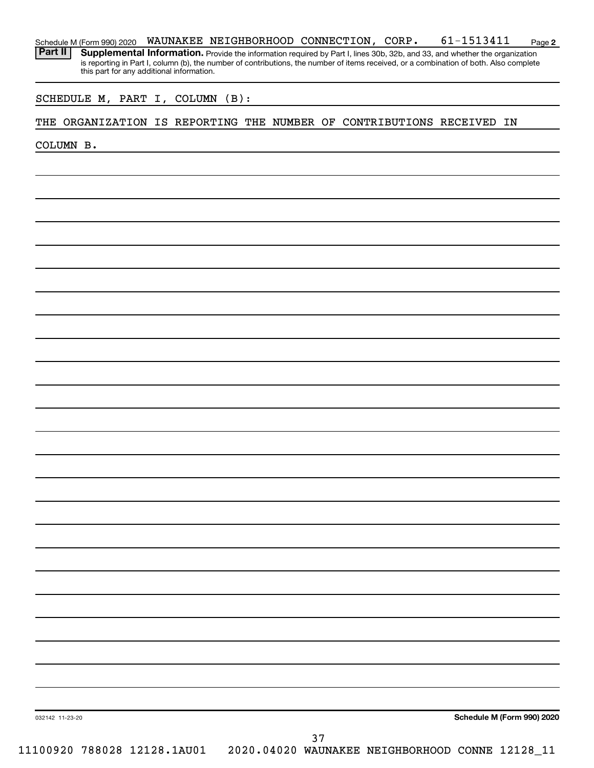| Schedule M (Form 990) 2020 |                                           | WAUNAKEE NEIGHBORHOOD CONNECTION, CORP. |  | 61-1513411                                                                                                                                                                                                                                                           | Page 2 |
|----------------------------|-------------------------------------------|-----------------------------------------|--|----------------------------------------------------------------------------------------------------------------------------------------------------------------------------------------------------------------------------------------------------------------------|--------|
| Part II                    | this part for any additional information. |                                         |  | Supplemental Information. Provide the information required by Part I, lines 30b, 32b, and 33, and whether the organization<br>is reporting in Part I, column (b), the number of contributions, the number of items received, or a combination of both. Also complete |        |

### SCHEDULE M, PART I, COLUMN (B):

### THE ORGANIZATION IS REPORTING THE NUMBER OF CONTRIBUTIONS RECEIVED IN

COLUMN B.

**Schedule M (Form 990) 2020**

032142 11-23-20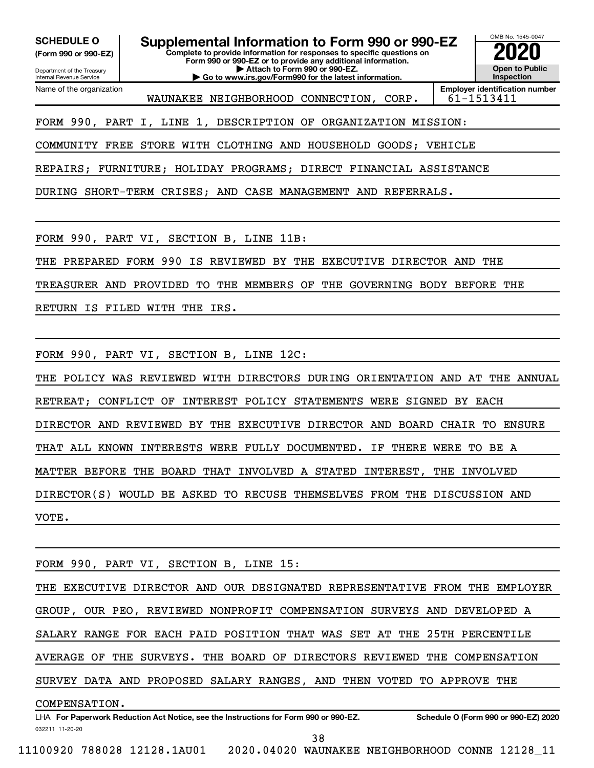**(Form 990 or 990-EZ)**

Department of the Treasury Internal Revenue Service Name of the organization

**Complete to provide information for responses to specific questions on Form 990 or 990-EZ or to provide any additional information. | Attach to Form 990 or 990-EZ. | Go to www.irs.gov/Form990 for the latest information. SCHEDULE O Supplemental Information to Form 990 or 990-EZ 2020**<br>(Form 990 or 990-EZ) Complete to provide information for responses to specific questions on



WAUNAKEE NEIGHBORHOOD CONNECTION, CORP. | 61-1513411

FORM 990, PART I, LINE 1, DESCRIPTION OF ORGANIZATION MISSION:

COMMUNITY FREE STORE WITH CLOTHING AND HOUSEHOLD GOODS; VEHICLE

REPAIRS; FURNITURE; HOLIDAY PROGRAMS; DIRECT FINANCIAL ASSISTANCE

DURING SHORT-TERM CRISES; AND CASE MANAGEMENT AND REFERRALS.

FORM 990, PART VI, SECTION B, LINE 11B:

THE PREPARED FORM 990 IS REVIEWED BY THE EXECUTIVE DIRECTOR AND THE

TREASURER AND PROVIDED TO THE MEMBERS OF THE GOVERNING BODY BEFORE THE

RETURN IS FILED WITH THE IRS.

FORM 990, PART VI, SECTION B, LINE 12C:

THE POLICY WAS REVIEWED WITH DIRECTORS DURING ORIENTATION AND AT THE ANNUAL RETREAT; CONFLICT OF INTEREST POLICY STATEMENTS WERE SIGNED BY EACH DIRECTOR AND REVIEWED BY THE EXECUTIVE DIRECTOR AND BOARD CHAIR TO ENSURE THAT ALL KNOWN INTERESTS WERE FULLY DOCUMENTED. IF THERE WERE TO BE A MATTER BEFORE THE BOARD THAT INVOLVED A STATED INTEREST, THE INVOLVED DIRECTOR(S) WOULD BE ASKED TO RECUSE THEMSELVES FROM THE DISCUSSION AND VOTE.

FORM 990, PART VI, SECTION B, LINE 15:

THE EXECUTIVE DIRECTOR AND OUR DESIGNATED REPRESENTATIVE FROM THE EMPLOYER GROUP, OUR PEO, REVIEWED NONPROFIT COMPENSATION SURVEYS AND DEVELOPED A SALARY RANGE FOR EACH PAID POSITION THAT WAS SET AT THE 25TH PERCENTILE AVERAGE OF THE SURVEYS. THE BOARD OF DIRECTORS REVIEWED THE COMPENSATION SURVEY DATA AND PROPOSED SALARY RANGES, AND THEN VOTED TO APPROVE THE COMPENSATION.